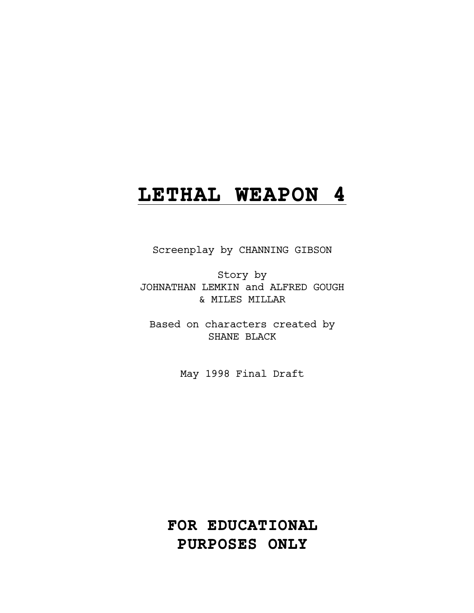# **LETHAL WEAPON 4**

Screenplay by CHANNING GIBSON

Story by JOHNATHAN LEMKIN and ALFRED GOUGH & MILES MILLAR

Based on characters created by SHANE BLACK

May 1998 Final Draft

**FOR EDUCATIONAL PURPOSES ONLY**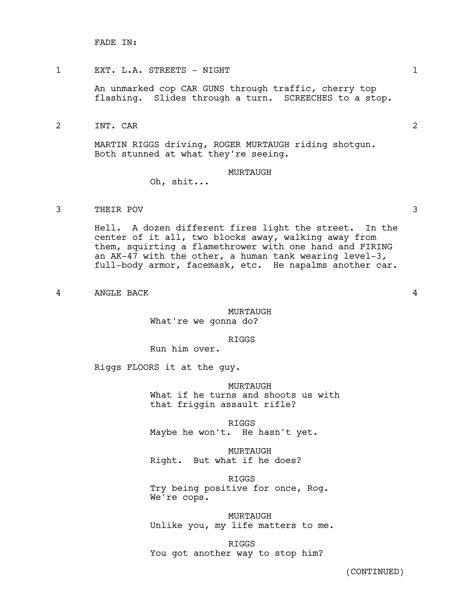FADE IN:

### 1 EXT. L.A. STREETS - NIGHT 1

An unmarked cop CAR GUNS through traffic, cherry top flashing. Slides through a turn. SCREECHES to a stop.

2 INT. CAR 2

MARTIN RIGGS driving, ROGER MURTAUGH riding shotgun. Both stunned at what they're seeing.

#### MURTAUGH

Oh, shit...

3 THEIR POV 3

Hell. A dozen different fires light the street. In the center of it all, two blocks away, walking away from them, squirting a flamethrower with one hand and FIRING an AK-47 with the other, a human tank wearing level-3, full-body armor, facemask, etc. He napalms another car.

4 ANGLE BACK 4

### MURTAUGH

What're we gonna do?

#### RIGGS

Run him over.

Riggs FLOORS it at the guy.

MURTAUGH

What if he turns and shoots us with that friggin assault rifle?

RIGGS Maybe he won't. He hasn't yet.

MURTAUGH Right. But what if he does?

RIGGS Try being positive for once, Rog. We're cops.

MURTAUGH Unlike you, my life matters to me.

RIGGS You got another way to stop him?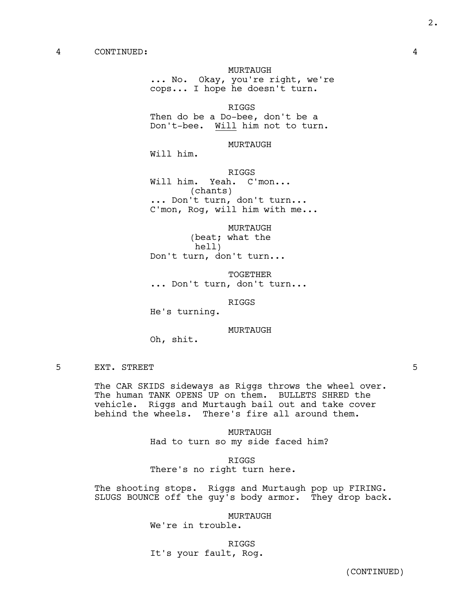#### MURTAUGH

... No. Okay, you're right, we're cops... I hope he doesn't turn.

RIGGS

Then do be a Do-bee, don't be a Don't-bee. Will him not to turn.

MURTAUGH

Will him.

RIGGS

Will him. Yeah. C'mon... (chants) ... Don't turn, don't turn... C'mon, Rog, will him with me...

MURTAUGH (beat; what the hell) Don't turn, don't turn...

TOGETHER ... Don't turn, don't turn...

RIGGS

He's turning.

MURTAUGH

Oh, shit.

5 EXT. STREET 5

The CAR SKIDS sideways as Riggs throws the wheel over. The human TANK OPENS UP on them. BULLETS SHRED the vehicle. Riggs and Murtaugh bail out and take cover behind the wheels. There's fire all around them.

> MURTAUGH Had to turn so my side faced him?

RIGGS There's no right turn here.

The shooting stops. Riggs and Murtaugh pop up FIRING. SLUGS BOUNCE off the guy's body armor. They drop back.

MURTAUGH

We're in trouble.

RIGGS

It's your fault, Rog.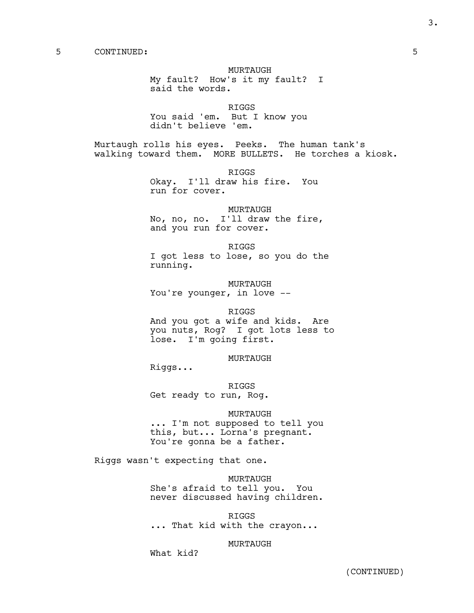MURTAUGH My fault? How's it my fault? I said the words.

RIGGS You said 'em. But I know you didn't believe 'em.

Murtaugh rolls his eyes. Peeks. The human tank's walking toward them. MORE BULLETS. He torches a kiosk.

> RIGGS Okay. I'll draw his fire. You run for cover.

MURTAUGH No, no, no. I'll draw the fire, and you run for cover.

RIGGS I got less to lose, so you do the running.

MURTAUGH You're younger, in love --

RIGGS

And you got a wife and kids. Are you nuts, Rog? I got lots less to lose. I'm going first.

MURTAUGH

Riggs...

RIGGS Get ready to run, Rog.

#### MURTAUGH

... I'm not supposed to tell you this, but... Lorna's pregnant. You're gonna be a father.

Riggs wasn't expecting that one.

MURTAUGH She's afraid to tell you. You never discussed having children.

RIGGS ... That kid with the crayon...

### MURTAUGH

What kid?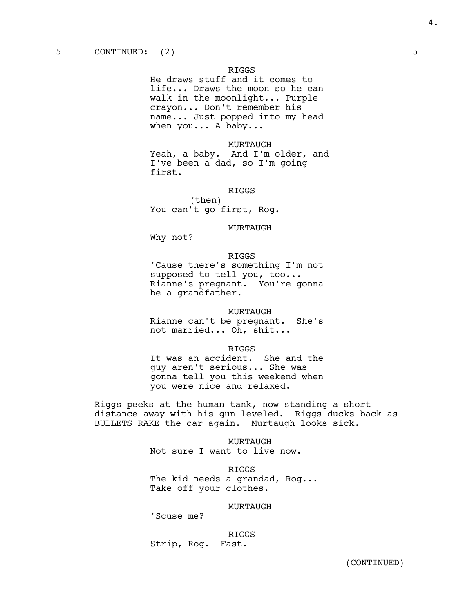He draws stuff and it comes to life... Draws the moon so he can walk in the moonlight... Purple crayon... Don't remember his name... Just popped into my head when you... A baby...

MURTAUGH

Yeah, a baby. And I'm older, and I've been a dad, so I'm going first.

### RIGGS

(then) You can't go first, Rog.

### MURTAUGH

Why not?

#### RIGGS

'Cause there's something I'm not supposed to tell you, too... Rianne's pregnant. You're gonna be a grandfather.

#### MURTAUGH

Rianne can't be pregnant. She's not married... Oh, shit...

RIGGS

It was an accident. She and the guy aren't serious... She was gonna tell you this weekend when you were nice and relaxed.

Riggs peeks at the human tank, now standing a short distance away with his gun leveled. Riggs ducks back as BULLETS RAKE the car again. Murtaugh looks sick.

#### MURTAUGH

Not sure I want to live now.

RIGGS The kid needs a grandad, Rog... Take off your clothes.

#### MURTAUGH

'Scuse me?

RIGGS Strip, Rog. Fast.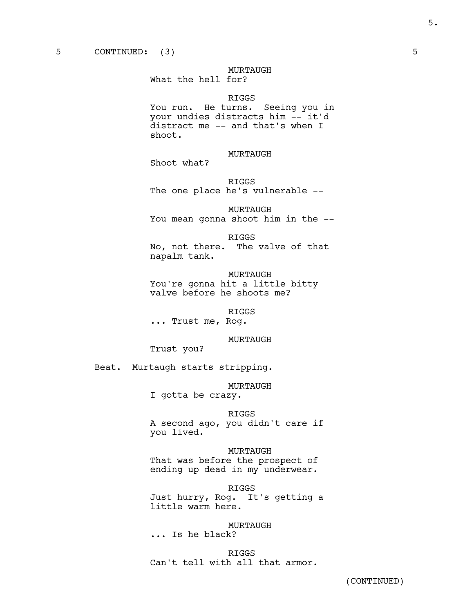MURTAUGH

What the hell for?

#### RIGGS

You run. He turns. Seeing you in your undies distracts him -- it'd distract me -- and that's when I shoot.

MURTAUGH

Shoot what?

RIGGS The one place he's vulnerable --

MURTAUGH You mean gonna shoot him in the --

RIGGS

No, not there. The valve of that napalm tank.

MURTAUGH You're gonna hit a little bitty valve before he shoots me?

RIGGS

... Trust me, Rog.

MURTAUGH

Trust you?

Beat. Murtaugh starts stripping.

MURTAUGH

I gotta be crazy.

RIGGS

A second ago, you didn't care if you lived.

MURTAUGH That was before the prospect of ending up dead in my underwear.

RIGGS Just hurry, Rog. It's getting a little warm here.

MURTAUGH ... Is he black?

RIGGS Can't tell with all that armor.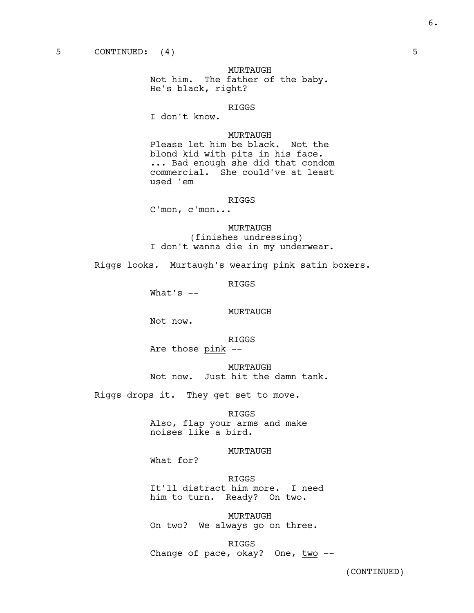MURTAUGH Not him. The father of the baby. He's black, right?

RIGGS

I don't know.

#### MURTAUGH

Please let him be black. Not the blond kid with pits in his face. ... Bad enough she did that condom commercial. She could've at least used 'em

#### RIGGS

C'mon, c'mon...

MURTAUGH (finishes undressing) I don't wanna die in my underwear.

Riggs looks. Murtaugh's wearing pink satin boxers.

RIGGS

What's --

#### MURTAUGH

Not now.

RIGGS

Are those pink --

MURTAUGH Not now. Just hit the damn tank.

Riggs drops it. They get set to move.

RIGGS

Also, flap your arms and make noises like a bird.

MURTAUGH

What for?

RIGGS It'll distract him more. I need him to turn. Ready? On two.

MURTAUGH On two? We always go on three.

RIGGS Change of pace, okay? One, two --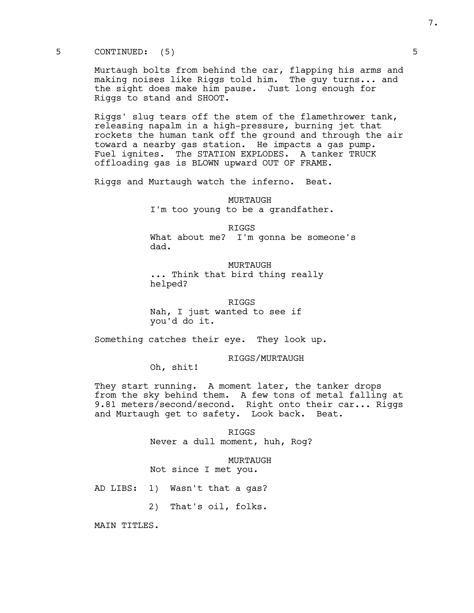5 CONTINUED: (5) 5

Murtaugh bolts from behind the car, flapping his arms and making noises like Riggs told him. The guy turns... and the sight does make him pause. Just long enough for Riggs to stand and SHOOT.

Riggs' slug tears off the stem of the flamethrower tank, releasing napalm in a high-pressure, burning jet that rockets the human tank off the ground and through the air toward a nearby gas station. He impacts a gas pump. Fuel ignites. The STATION EXPLODES. A tanker TRUCK offloading gas is BLOWN upward OUT OF FRAME.

Riggs and Murtaugh watch the inferno. Beat.

MURTAUGH I'm too young to be a grandfather.

RIGGS What about me? I'm gonna be someone's dad.

MURTAUGH

... Think that bird thing really helped?

RIGGS Nah, I just wanted to see if you'd do it.

Something catches their eye. They look up.

RIGGS/MURTAUGH

Oh, shit!

They start running. A moment later, the tanker drops from the sky behind them. A few tons of metal falling at 9.81 meters/second/second. Right onto their car... Riggs and Murtaugh get to safety. Look back. Beat.

> RIGGS Never a dull moment, huh, Rog?

MURTAUGH Not since I met you.

AD LIBS: 1) Wasn't that a gas?

2) That's oil, folks.

MAIN TITLES.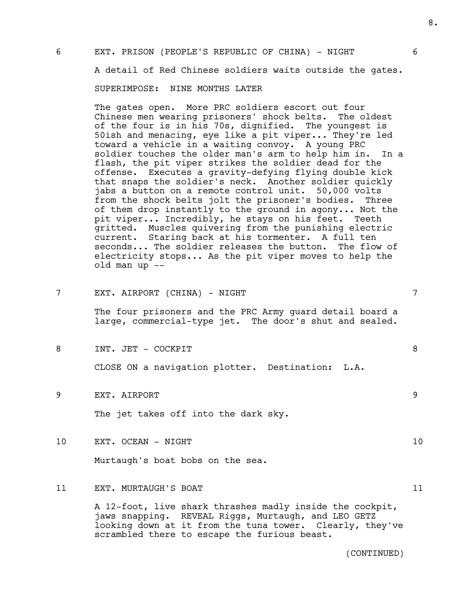### 6 EXT. PRISON (PEOPLE'S REPUBLIC OF CHINA) - NIGHT 6

A detail of Red Chinese soldiers waits outside the gates.

SUPERIMPOSE: NINE MONTHS LATER

The gates open. More PRC soldiers escort out four Chinese men wearing prisoners' shock belts. The oldest of the four is in his 70s, dignified. The youngest is 50ish and menacing, eye like a pit viper... They're led toward a vehicle in a waiting convoy. A young PRC soldier touches the older man's arm to help him in. In a flash, the pit viper strikes the soldier dead for the offense. Executes a gravity-defying flying double kick that snaps the soldier's neck. Another soldier quickly jabs a button on a remote control unit. 50,000 volts from the shock belts jolt the prisoner's bodies. Three of them drop instantly to the ground in agony... Not the pit viper... Incredibly, he stays on his feet. Teeth gritted. Muscles quivering from the punishing electric current. Staring back at his tormenter. A full ten seconds... The soldier releases the button. The flow of electricity stops... As the pit viper moves to help the old man up --

7 EXT. AIRPORT (CHINA) - NIGHT 7

The four prisoners and the PRC Army guard detail board a large, commercial-type jet. The door's shut and sealed.

8 INT. JET – COCKPIT

CLOSE ON a navigation plotter. Destination: L.A.

9 EXT. AIRPORT 9

The jet takes off into the dark sky.

10 EXT. OCEAN - NIGHT 10

Murtaugh's boat bobs on the sea.

#### 11 EXT. MURTAUGH'S BOAT 11

A 12-foot, live shark thrashes madly inside the cockpit, jaws snapping. REVEAL Riggs, Murtaugh, and LEO GETZ looking down at it from the tuna tower. Clearly, they've scrambled there to escape the furious beast.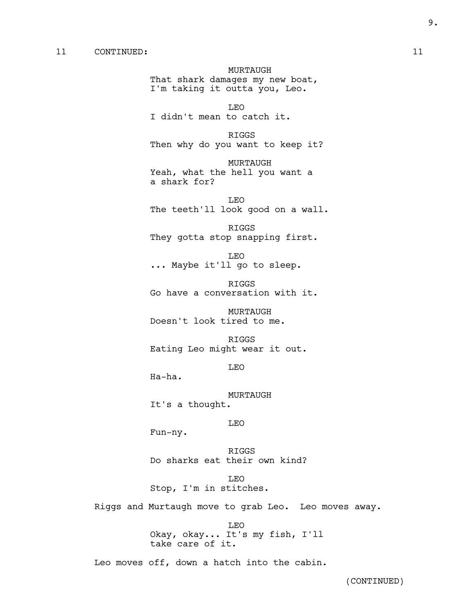### 11 CONTINUED: 11

MURTAUGH That shark damages my new boat, I'm taking it outta you, Leo.

LEO I didn't mean to catch it.

RIGGS Then why do you want to keep it?

MURTAUGH Yeah, what the hell you want a a shark for?

LEO The teeth'll look good on a wall.

RIGGS They gotta stop snapping first.

LEO ... Maybe it'll go to sleep.

RIGGS Go have a conversation with it.

MURTAUGH Doesn't look tired to me.

RIGGS Eating Leo might wear it out.

LEO

Ha-ha.

MURTAUGH It's a thought.

### LEO

Fun-ny.

RIGGS Do sharks eat their own kind?

LEO Stop, I'm in stitches.

Riggs and Murtaugh move to grab Leo. Leo moves away.

LEO Okay, okay... It's my fish, I'll take care of it.

Leo moves off, down a hatch into the cabin.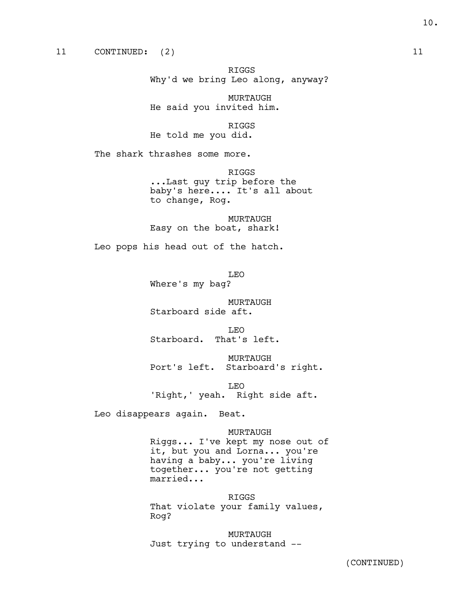RIGGS Why'd we bring Leo along, anyway?

MURTAUGH He said you invited him.

RIGGS He told me you did.

The shark thrashes some more.

RIGGS ...Last guy trip before the baby's here.... It's all about to change, Rog.

MURTAUGH Easy on the boat, shark!

Leo pops his head out of the hatch.

LEO Where's my bag?

MURTAUGH Starboard side aft.

LEO Starboard. That's left.

MURTAUGH Port's left. Starboard's right.

LEO 'Right,' yeah. Right side aft.

Leo disappears again. Beat.

MURTAUGH Riggs... I've kept my nose out of it, but you and Lorna... you're having a baby... you're living together... you're not getting married...

RIGGS That violate your family values, Rog?

MURTAUGH Just trying to understand --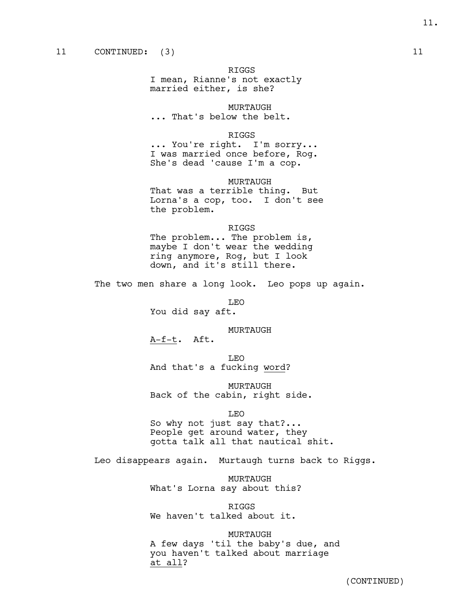I mean, Rianne's not exactly married either, is she?

MURTAUGH ... That's below the belt.

#### RIGGS

... You're right. I'm sorry... I was married once before, Rog. She's dead 'cause I'm a cop.

MURTAUGH

That was a terrible thing. But Lorna's a cop, too. I don't see the problem.

#### RIGGS

The problem... The problem is, maybe I don't wear the wedding ring anymore, Rog, but I look down, and it's still there.

The two men share a long look. Leo pops up again.

LEO

You did say aft.

MURTAUGH

A-f-t. Aft.

LEO And that's a fucking word?

MURTAUGH Back of the cabin, right side.

LEO

So why not just say that?... People get around water, they gotta talk all that nautical shit.

Leo disappears again. Murtaugh turns back to Riggs.

MURTAUGH What's Lorna say about this?

RIGGS We haven't talked about it.

MURTAUGH A few days 'til the baby's due, and you haven't talked about marriage at all?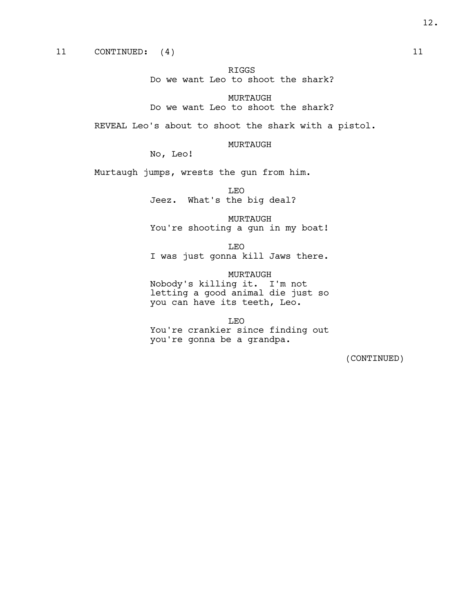RIGGS Do we want Leo to shoot the shark?

MURTAUGH Do we want Leo to shoot the shark?

REVEAL Leo's about to shoot the shark with a pistol.

### MURTAUGH

No, Leo!

Murtaugh jumps, wrests the gun from him.

LEO Jeez. What's the big deal?

MURTAUGH You're shooting a gun in my boat!

LEO I was just gonna kill Jaws there.

MURTAUGH Nobody's killing it. I'm not letting a good animal die just so you can have its teeth, Leo.

LEO You're crankier since finding out you're gonna be a grandpa.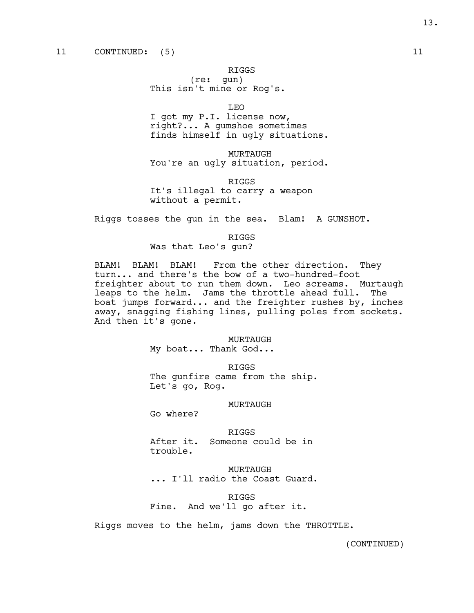(re: gun) This isn't mine or Rog's.

LEO

I got my P.I. license now, right?... A gumshoe sometimes finds himself in ugly situations.

MURTAUGH You're an ugly situation, period.

RIGGS It's illegal to carry a weapon without a permit.

Riggs tosses the gun in the sea. Blam! A GUNSHOT.

#### RIGGS

Was that Leo's gun?

BLAM! BLAM! BLAM! From the other direction. They turn... and there's the bow of a two-hundred-foot freighter about to run them down. Leo screams. Murtaugh leaps to the helm. Jams the throttle ahead full. The boat jumps forward... and the freighter rushes by, inches away, snagging fishing lines, pulling poles from sockets. And then it's gone.

#### MURTAUGH

My boat... Thank God...

RIGGS

The gunfire came from the ship. Let's go, Rog.

#### MURTAUGH

Go where?

RIGGS After it. Someone could be in trouble.

MURTAUGH ... I'll radio the Coast Guard.

RIGGS Fine. And we'll go after it.

Riggs moves to the helm, jams down the THROTTLE.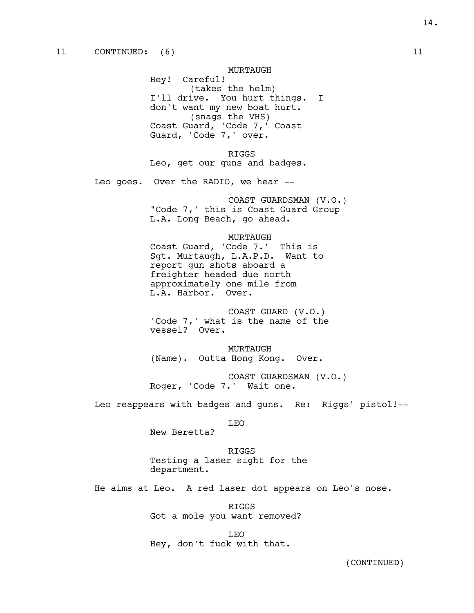MURTAUGH Hey! Careful! (takes the helm) I'll drive. You hurt things. I don't want my new boat hurt. (snags the VHS) Coast Guard, 'Code 7,' Coast Guard, 'Code 7,' over.

RIGGS Leo, get our guns and badges.

Leo goes. Over the RADIO, we hear --

COAST GUARDSMAN (V.O.) "Code 7,' this is Coast Guard Group L.A. Long Beach, go ahead.

#### MURTAUGH

Coast Guard, 'Code 7.' This is Sgt. Murtaugh, L.A.P.D. Want to report gun shots aboard a freighter headed due north approximately one mile from L.A. Harbor. Over.

COAST GUARD (V.O.) 'Code 7,' what is the name of the vessel? Over.

MURTAUGH (Name). Outta Hong Kong. Over.

COAST GUARDSMAN (V.O.) Roger, 'Code 7.' Wait one.

Leo reappears with badges and guns. Re: Riggs' pistol!--

LEO

New Beretta?

RIGGS Testing a laser sight for the department.

He aims at Leo. A red laser dot appears on Leo's nose.

RIGGS Got a mole you want removed?

LEO Hey, don't fuck with that.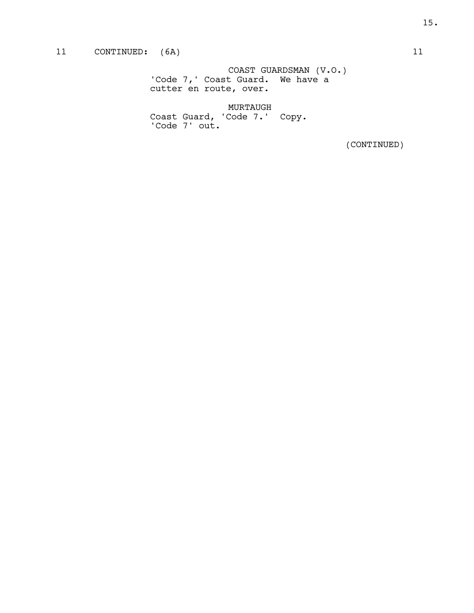### 11 CONTINUED: (6A) 11

COAST GUARDSMAN (V.O.) 'Code 7,' Coast Guard. We have a cutter en route, over.

MURTAUGH Coast Guard, 'Code 7.' Copy. 'Code 7' out.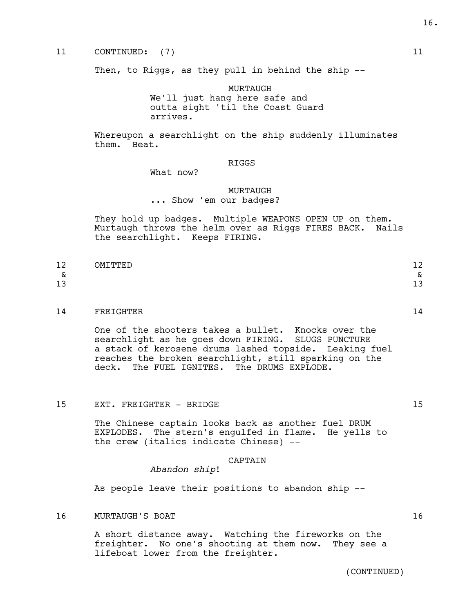### 11 CONTINUED: (7) 11

Then, to Riggs, as they pull in behind the ship --

MURTAUGH

We'll just hang here safe and outta sight 'til the Coast Guard arrives.

Whereupon a searchlight on the ship suddenly illuminates them. Beat.

#### RIGGS

What now?

#### MURTAUGH

... Show 'em our badges?

They hold up badges. Multiple WEAPONS OPEN UP on them. Murtaugh throws the helm over as Riggs FIRES BACK. Nails the searchlight. Keeps FIRING.

| 1 O<br>⊥∠ | OMTͲͲϜϺ<br>-- | $\sim$<br>∸                                        |
|-----------|---------------|----------------------------------------------------|
| α         |               | $\overline{\phantom{0}}$<br>$\scriptstyle{\alpha}$ |
| າາ<br>⊥ఎ  |               | 1. 0<br>ᅩ                                          |

#### 14 FREIGHTER 14

One of the shooters takes a bullet. Knocks over the searchlight as he goes down FIRING. SLUGS PUNCTURE a stack of kerosene drums lashed topside. Leaking fuel reaches the broken searchlight, still sparking on the deck. The FUEL IGNITES. The DRUMS EXPLODE.

15 EXT. FREIGHTER – BRIDGE 15 and 15 and 15 and 15 and 15 and 15 and 15 and 15 and 15 and 15 and 15 and 15 and 15 and 15 and 15 and 15 and 15 and 16 and 16 and 16 and 16 and 16 and 16 and 16 and 16 and 16 and 16 and 16 and

The Chinese captain looks back as another fuel DRUM EXPLODES. The stern's engulfed in flame. He yells to the crew (italics indicate Chinese) --

### CAPTAIN

*Abandon ship*!

As people leave their positions to abandon ship --

16 MURTAUGH'S BOAT 16 MURTAUGH 18 MEASURE 16 MURTAUGH 16

A short distance away. Watching the fireworks on the freighter. No one's shooting at them now. They see a lifeboat lower from the freighter.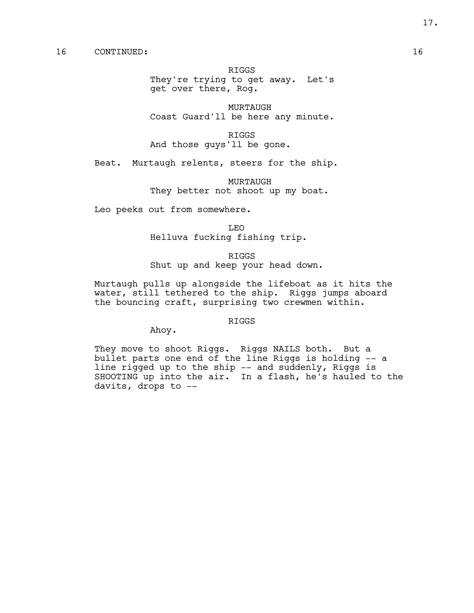They're trying to get away. Let's get over there, Rog.

MURTAUGH Coast Guard'll be here any minute.

RIGGS And those guys'll be gone.

Beat. Murtaugh relents, steers for the ship.

MURTAUGH They better not shoot up my boat.

Leo peeks out from somewhere.

LEO Helluva fucking fishing trip.

RIGGS Shut up and keep your head down.

Murtaugh pulls up alongside the lifeboat as it hits the water, still tethered to the ship. Riggs jumps aboard the bouncing craft, surprising two crewmen within.

#### RIGGS

Ahoy.

They move to shoot Riggs. Riggs NAILS both. But a bullet parts one end of the line Riggs is holding -- a line rigged up to the ship -- and suddenly, Riggs is SHOOTING up into the air. In a flash, he's hauled to the davits, drops to --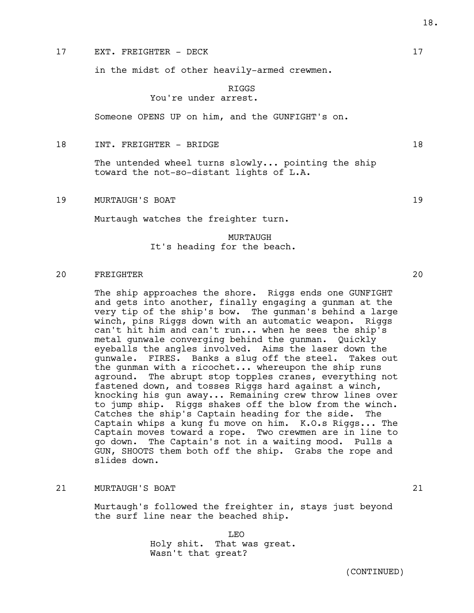#### 17 EXT. FREIGHTER – DECK 17

in the midst of other heavily-armed crewmen.

#### RIGGS You're under arrest.

Someone OPENS UP on him, and the GUNFIGHT's on.

18 INT. FREIGHTER – BRIDGE 18

The untended wheel turns slowly... pointing the ship toward the not-so-distant lights of L.A.

19 MURTAUGH'S BOAT 19

Murtaugh watches the freighter turn.

### MURTAUGH It's heading for the beach.

### 20 FREIGHTER 20

The ship approaches the shore. Riggs ends one GUNFIGHT and gets into another, finally engaging a gunman at the very tip of the ship's bow. The gunman's behind a large winch, pins Riggs down with an automatic weapon. Riggs can't hit him and can't run... when he sees the ship's metal gunwale converging behind the gunman. Quickly eyeballs the angles involved. Aims the laser down the gunwale. FIRES. Banks a slug off the steel. Takes out the gunman with a ricochet... whereupon the ship runs aground. The abrupt stop topples cranes, everything not fastened down, and tosses Riggs hard against a winch, knocking his gun away... Remaining crew throw lines over to jump ship. Riggs shakes off the blow from the winch. Catches the ship's Captain heading for the side. The Captain whips a kung fu move on him. K.O.s Riggs... The Captain moves toward a rope. Two crewmen are in line to go down. The Captain's not in a waiting mood. Pulls a GUN, SHOOTS them both off the ship. Grabs the rope and slides down.

#### 21 MURTAUGH'S BOAT 21

Murtaugh's followed the freighter in, stays just beyond the surf line near the beached ship.

> LEO Holy shit. That was great. Wasn't that great?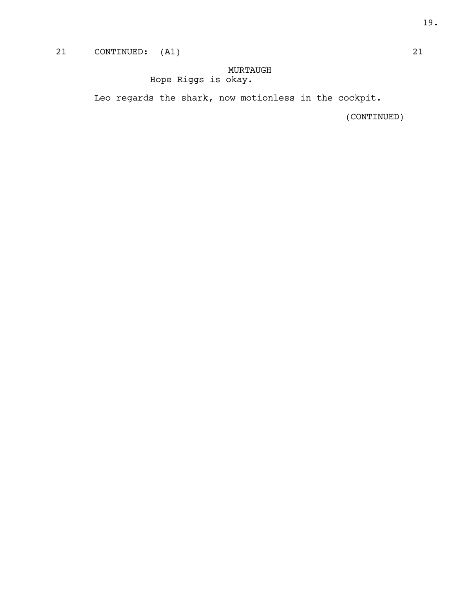## 21 CONTINUED: (A1) 21

### MURTAUGH Hope Riggs is okay.

Leo regards the shark, now motionless in the cockpit.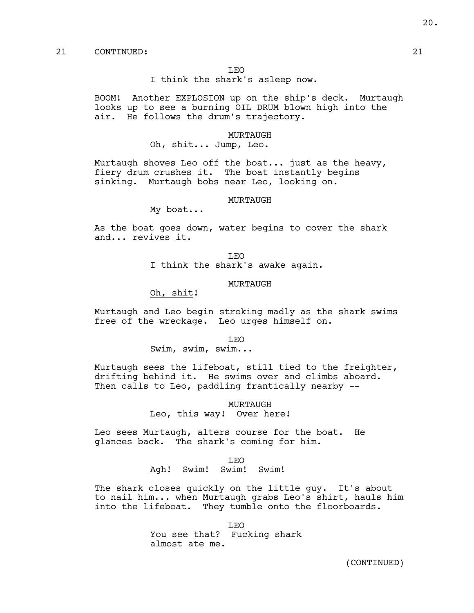I think the shark's asleep now.

BOOM! Another EXPLOSION up on the ship's deck. Murtaugh looks up to see a burning OIL DRUM blown high into the air. He follows the drum's trajectory.

#### MURTAUGH

Oh, shit... Jump, Leo.

Murtaugh shoves Leo off the boat... just as the heavy, fiery drum crushes it. The boat instantly begins sinking. Murtaugh bobs near Leo, looking on.

#### MURTAUGH

My boat...

As the boat goes down, water begins to cover the shark and... revives it.

> LEO I think the shark's awake again.

#### MURTAUGH

Oh, shit!

Murtaugh and Leo begin stroking madly as the shark swims free of the wreckage. Leo urges himself on.

LEO

Swim, swim, swim...

Murtaugh sees the lifeboat, still tied to the freighter, drifting behind it. He swims over and climbs aboard. Then calls to Leo, paddling frantically nearby --

> MURTAUGH Leo, this way! Over here!

Leo sees Murtaugh, alters course for the boat. He glances back. The shark's coming for him.

#### LEO

Agh! Swim! Swim! Swim!

The shark closes quickly on the little guy. It's about to nail him... when Murtaugh grabs Leo's shirt, hauls him into the lifeboat. They tumble onto the floorboards.

> LEO You see that? Fucking shark almost ate me.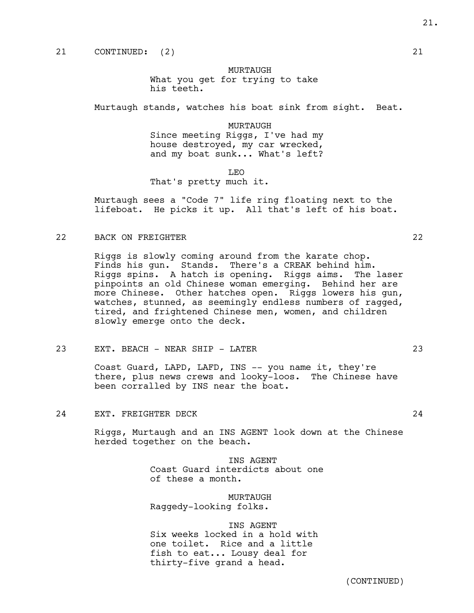MURTAUGH

What you get for trying to take his teeth.

Murtaugh stands, watches his boat sink from sight. Beat.

MURTAUGH Since meeting Riggs, I've had my house destroyed, my car wrecked, and my boat sunk... What's left?

LEO

That's pretty much it.

Murtaugh sees a "Code 7" life ring floating next to the lifeboat. He picks it up. All that's left of his boat.

22 BACK ON FREIGHTER 22

Riggs is slowly coming around from the karate chop. Finds his gun. Stands. There's a CREAK behind him. Riggs spins. A hatch is opening. Riggs aims. The laser pinpoints an old Chinese woman emerging. Behind her are more Chinese. Other hatches open. Riggs lowers his gun, watches, stunned, as seemingly endless numbers of ragged, tired, and frightened Chinese men, women, and children slowly emerge onto the deck.

23 EXT. BEACH - NEAR SHIP - LATER 23

Coast Guard, LAPD, LAFD, INS -- you name it, they're there, plus news crews and looky-loos. The Chinese have been corralled by INS near the boat.

24 EXT. FREIGHTER DECK 24

Riggs, Murtaugh and an INS AGENT look down at the Chinese herded together on the beach.

INS AGENT

Coast Guard interdicts about one of these a month.

MURTAUGH

Raggedy-looking folks.

#### INS AGENT

Six weeks locked in a hold with one toilet. Rice and a little fish to eat... Lousy deal for thirty-five grand a head.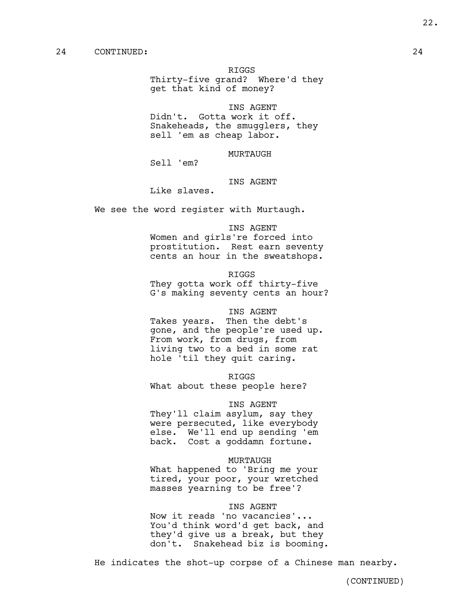Thirty-five grand? Where'd they get that kind of money?

INS AGENT

Didn't. Gotta work it off. Snakeheads, the smugglers, they sell 'em as cheap labor.

MURTAUGH

Sell 'em?

#### INS AGENT

Like slaves.

We see the word register with Murtaugh.

INS AGENT

Women and girls're forced into prostitution. Rest earn seventy cents an hour in the sweatshops.

RIGGS

They gotta work off thirty-five G's making seventy cents an hour?

#### INS AGENT

Takes years. Then the debt's gone, and the people're used up. From work, from drugs, from living two to a bed in some rat hole 'til they quit caring.

RIGGS

What about these people here?

#### INS AGENT

They'll claim asylum, say they were persecuted, like everybody else. We'll end up sending 'em back. Cost a goddamn fortune.

#### MURTAUGH

What happened to 'Bring me your tired, your poor, your wretched masses yearning to be free'?

### INS AGENT

Now it reads 'no vacancies'... You'd think word'd get back, and they'd give us a break, but they don't. Snakehead biz is booming.

He indicates the shot-up corpse of a Chinese man nearby.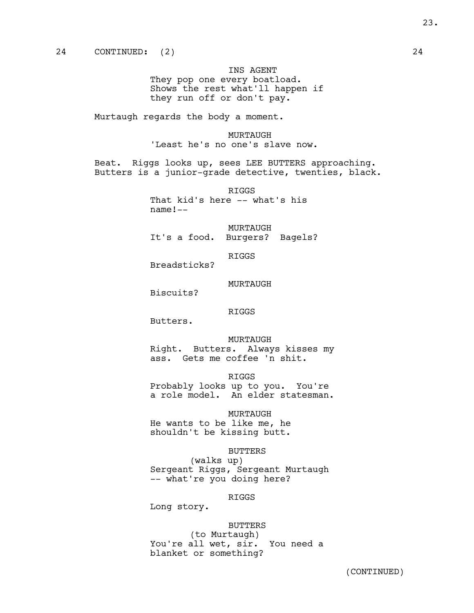INS AGENT They pop one every boatload. Shows the rest what'll happen if they run off or don't pay.

Murtaugh regards the body a moment.

MURTAUGH 'Least he's no one's slave now.

Beat. Riggs looks up, sees LEE BUTTERS approaching. Butters is a junior-grade detective, twenties, black.

> RIGGS That kid's here -- what's his name!--

MURTAUGH It's a food. Burgers? Bagels?

RIGGS

Breadsticks?

MURTAUGH

Biscuits?

RIGGS

Butters.

MURTAUGH Right. Butters. Always kisses my ass. Gets me coffee 'n shit.

RIGGS Probably looks up to you. You're

a role model. An elder statesman.

MURTAUGH He wants to be like me, he shouldn't be kissing butt.

BUTTERS

(walks up) Sergeant Riggs, Sergeant Murtaugh -- what're you doing here?

RIGGS

Long story.

BUTTERS

(to Murtaugh) You're all wet, sir. You need a blanket or something?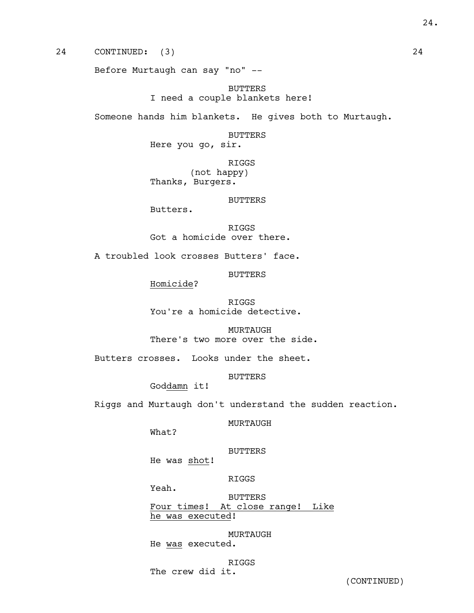24 CONTINUED: (3) 24

Before Murtaugh can say "no" --

BUTTERS I need a couple blankets here!

Someone hands him blankets. He gives both to Murtaugh.

#### BUTTERS

Here you go, sir.

RIGGS (not happy) Thanks, Burgers.

#### BUTTERS

Butters.

RIGGS Got a homicide over there.

A troubled look crosses Butters' face.

BUTTERS

Homicide?

RIGGS You're a homicide detective.

MURTAUGH There's two more over the side.

Butters crosses. Looks under the sheet.

BUTTERS

Goddamn it!

Riggs and Murtaugh don't understand the sudden reaction.

MURTAUGH

What?

### BUTTERS

He was shot!

RIGGS

Yeah.

BUTTERS Four times! At close range! Like he was executed!

MURTAUGH He was executed.

### RIGGS

The crew did it.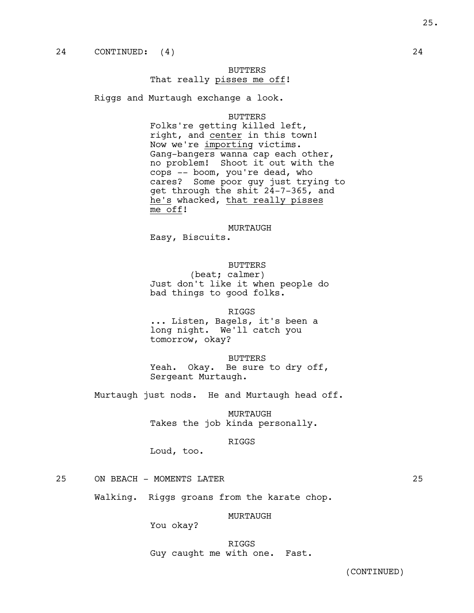### BUTTERS That really pisses me off!

Riggs and Murtaugh exchange a look.

#### BUTTERS

Folks're getting killed left, right, and center in this town! Now we're importing victims. Gang-bangers wanna cap each other, no problem! Shoot it out with the cops -- boom, you're dead, who cares? Some poor guy just trying to get through the shit 24-7-365, and he's whacked, that really pisses me off!

MURTAUGH

Easy, Biscuits.

### BUTTERS

(beat; calmer) Just don't like it when people do bad things to good folks.

RIGGS

... Listen, Bagels, it's been a long night. We'll catch you tomorrow, okay?

BUTTERS Yeah. Okay. Be sure to dry off, Sergeant Murtaugh.

Murtaugh just nods. He and Murtaugh head off.

MURTAUGH Takes the job kinda personally.

#### RIGGS

Loud, too.

25 ON BEACH - MOMENTS LATER 25

Walking. Riggs groans from the karate chop.

#### MURTAUGH

You okay?

RIGGS Guy caught me with one. Fast.

25.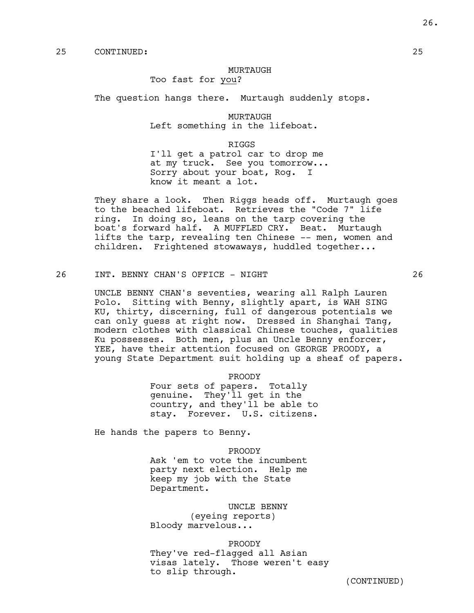#### MURTAUGH

Too fast for you?

The question hangs there. Murtaugh suddenly stops.

MURTAUGH Left something in the lifeboat.

RIGGS I'll get a patrol car to drop me at my truck. See you tomorrow... Sorry about your boat, Rog. I know it meant a lot.

They share a look. Then Riggs heads off. Murtaugh goes to the beached lifeboat. Retrieves the "Code 7" life ring. In doing so, leans on the tarp covering the boat's forward half. A MUFFLED CRY. Beat. Murtaugh lifts the tarp, revealing ten Chinese -- men, women and children. Frightened stowaways, huddled together...

26 INT. BENNY CHAN'S OFFICE - NIGHT 26

UNCLE BENNY CHAN's seventies, wearing all Ralph Lauren Polo. Sitting with Benny, slightly apart, is WAH SING KU, thirty, discerning, full of dangerous potentials we can only guess at right now. Dressed in Shanghai Tang, modern clothes with classical Chinese touches, qualities Ku possesses. Both men, plus an Uncle Benny enforcer, YEE, have their attention focused on GEORGE PROODY, a young State Department suit holding up a sheaf of papers.

> PROODY Four sets of papers. Totally genuine. They'll get in the country, and they'll be able to stay. Forever. U.S. citizens.

He hands the papers to Benny.

PROODY Ask 'em to vote the incumbent party next election. Help me keep my job with the State Department.

UNCLE BENNY (eyeing reports) Bloody marvelous...

PROODY

They've red-flagged all Asian visas lately. Those weren't easy to slip through.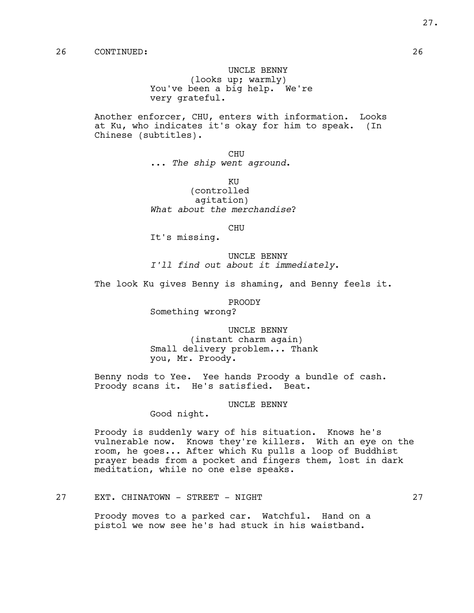UNCLE BENNY (looks up; warmly) You've been a big help. We're very grateful.

Another enforcer, CHU, enters with information. Looks at Ku, who indicates it's okay for him to speak. (In Chinese (subtitles).

> CHU ... *The ship went aground*.

KU (controlled agitation) *What about the merchandise*?

CHU

It's missing.

UNCLE BENNY *I'll find out about it immediately*.

The look Ku gives Benny is shaming, and Benny feels it.

PROODY

Something wrong?

UNCLE BENNY (instant charm again) Small delivery problem... Thank you, Mr. Proody.

Benny nods to Yee. Yee hands Proody a bundle of cash. Proody scans it. He's satisfied. Beat.

UNCLE BENNY

Good night.

Proody is suddenly wary of his situation. Knows he's vulnerable now. Knows they're killers. With an eye on the room, he goes... After which Ku pulls a loop of Buddhist prayer beads from a pocket and fingers them, lost in dark meditation, while no one else speaks.

### 27 EXT. CHINATOWN - STREET - NIGHT 27

Proody moves to a parked car. Watchful. Hand on a pistol we now see he's had stuck in his waistband.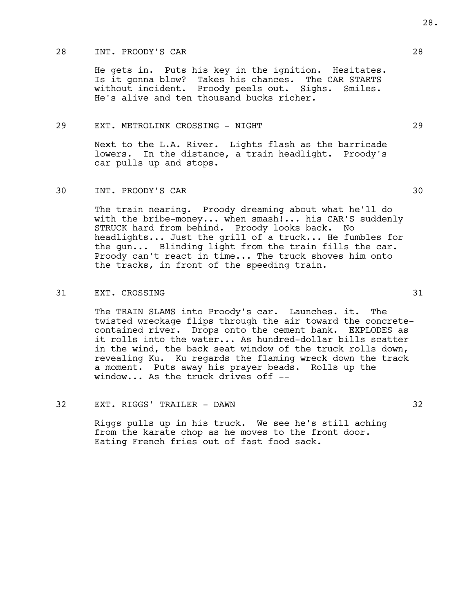### 28 INT. PROODY'S CAR 28

He gets in. Puts his key in the ignition. Hesitates. Is it gonna blow? Takes his chances. The CAR STARTS without incident. Proody peels out. Sighs. Smiles. He's alive and ten thousand bucks richer.

#### 29 EXT. METROLINK CROSSING - NIGHT 29

Next to the L.A. River. Lights flash as the barricade lowers. In the distance, a train headlight. Proody's car pulls up and stops.

The train nearing. Proody dreaming about what he'll do with the bribe-money... when smash!... his CAR'S suddenly STRUCK hard from behind. Proody looks back. No headlights... Just the grill of a truck... He fumbles for the gun... Blinding light from the train fills the car. Proody can't react in time... The truck shoves him onto the tracks, in front of the speeding train.

### 31 EXT. CROSSING 31

The TRAIN SLAMS into Proody's car. Launches. it. The twisted wreckage flips through the air toward the concretecontained river. Drops onto the cement bank. EXPLODES as it rolls into the water... As hundred-dollar bills scatter in the wind, the back seat window of the truck rolls down, revealing Ku. Ku regards the flaming wreck down the track a moment. Puts away his prayer beads. Rolls up the window... As the truck drives off --

32 EXT. RIGGS' TRAILER - DAWN 32

Riggs pulls up in his truck. We see he's still aching from the karate chop as he moves to the front door. Eating French fries out of fast food sack.

30 INT. PROODY'S CAR 30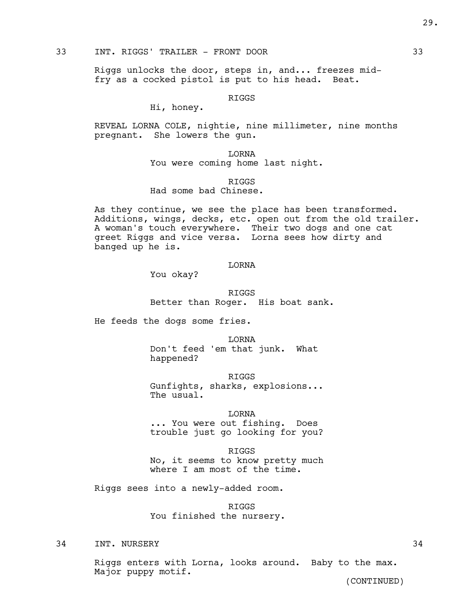### 33 INT. RIGGS' TRAILER - FRONT DOOR 33

Riggs unlocks the door, steps in, and... freezes midfry as a cocked pistol is put to his head. Beat.

RIGGS

Hi, honey.

REVEAL LORNA COLE, nightie, nine millimeter, nine months pregnant. She lowers the gun.

> LORNA You were coming home last night.

RIGGS Had some bad Chinese.

As they continue, we see the place has been transformed. Additions, wings, decks, etc. open out from the old trailer. A woman's touch everywhere. Their two dogs and one cat greet Riggs and vice versa. Lorna sees how dirty and banged up he is.

#### LORNA

You okay?

RIGGS Better than Roger. His boat sank.

He feeds the dogs some fries.

LORNA Don't feed 'em that junk. What happened?

RIGGS Gunfights, sharks, explosions... The usual.

LORNA ... You were out fishing. Does trouble just go looking for you?

RIGGS No, it seems to know pretty much where I am most of the time.

Riggs sees into a newly-added room.

RIGGS You finished the nursery.

34 INT. NURSERY 34

Riggs enters with Lorna, looks around. Baby to the max. Major puppy motif.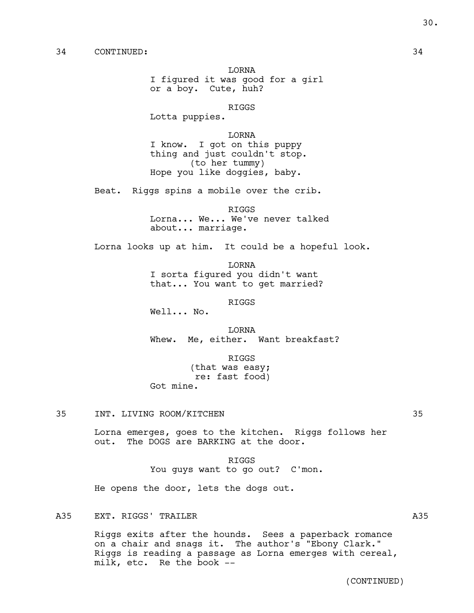LORNA I figured it was good for a girl or a boy. Cute, huh?

RIGGS

Lotta puppies.

LORNA I know. I got on this puppy thing and just couldn't stop. (to her tummy) Hope you like doggies, baby.

Beat. Riggs spins a mobile over the crib.

RIGGS

Lorna... We... We've never talked about... marriage.

Lorna looks up at him. It could be a hopeful look.

LORNA I sorta figured you didn't want that... You want to get married?

RIGGS

Well... No.

LORNA Whew. Me, either. Want breakfast?

> RIGGS (that was easy;

 re: fast food) Got mine.

Lorna emerges, goes to the kitchen. Riggs follows her out. The DOGS are BARKING at the door.

> RIGGS You guys want to go out? C'mon.

He opens the door, lets the dogs out.

A35 EXT. RIGGS' TRAILER A35 A35

Riggs exits after the hounds. Sees a paperback romance on a chair and snags it. The author's "Ebony Clark." Riggs is reading a passage as Lorna emerges with cereal, milk, etc. Re the book --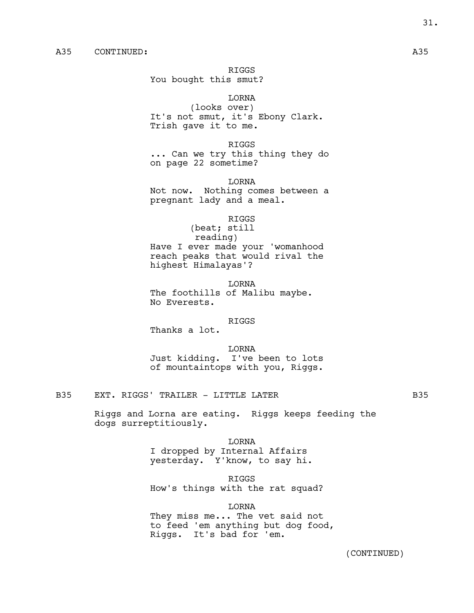You bought this smut?

LORNA (looks over) It's not smut, it's Ebony Clark. Trish gave it to me.

RIGGS ... Can we try this thing they do on page 22 sometime?

LORNA Not now. Nothing comes between a pregnant lady and a meal.

RIGGS

(beat; still reading) Have I ever made your 'womanhood reach peaks that would rival the highest Himalayas'?

LORNA The foothills of Malibu maybe. No Everests.

#### RIGGS

Thanks a lot.

LORNA Just kidding. I've been to lots of mountaintops with you, Riggs.

B35 EXT. RIGGS' TRAILER - LITTLE LATER **EXT.** B35

Riggs and Lorna are eating. Riggs keeps feeding the dogs surreptitiously.

LORNA

I dropped by Internal Affairs yesterday. Y'know, to say hi.

RIGGS

How's things with the rat squad?

LORNA They miss me... The vet said not to feed 'em anything but dog food, Riggs. It's bad for 'em.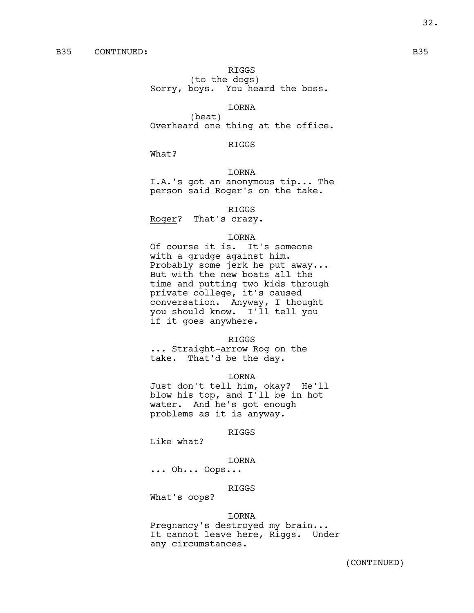(to the dogs) Sorry, boys. You heard the boss.

#### LORNA

(beat) Overheard one thing at the office.

### RIGGS

What?

### LORNA

I.A.'s got an anonymous tip... The person said Roger's on the take.

RIGGS

Roger? That's crazy.

#### LORNA

Of course it is. It's someone with a grudge against him. Probably some jerk he put away... But with the new boats all the time and putting two kids through private college, it's caused conversation. Anyway, I thought you should know. I'll tell you if it goes anywhere.

RIGGS

... Straight-arrow Rog on the take. That'd be the day.

LORNA

Just don't tell him, okay? He'll blow his top, and I'll be in hot water. And he's got enough problems as it is anyway.

RIGGS

Like what?

### LORNA

... Oh... Oops...

RIGGS

What's oops?

#### LORNA

Pregnancy's destroyed my brain... It cannot leave here, Riggs. Under any circumstances.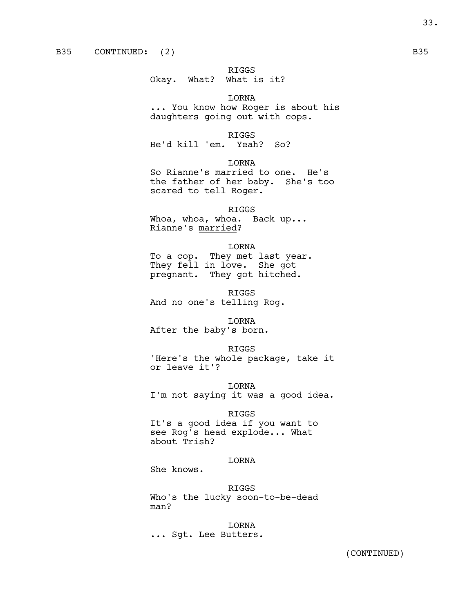#### Okay. What? What is it?

LORNA ... You know how Roger is about his daughters going out with cops.

### RIGGS

He'd kill 'em. Yeah? So?

LORNA

So Rianne's married to one. He's the father of her baby. She's too scared to tell Roger.

RIGGS Whoa, whoa, whoa. Back up...

Rianne's married?

LORNA To a cop. They met last year. They fell in love. She got pregnant. They got hitched.

RIGGS And no one's telling Rog.

LORNA After the baby's born.

RIGGS 'Here's the whole package, take it or leave it'?

LORNA I'm not saying it was a good idea.

#### RIGGS

It's a good idea if you want to see Rog's head explode... What about Trish?

### LORNA

She knows.

RIGGS Who's the lucky soon-to-be-dead man?

LORNA ... Sgt. Lee Butters.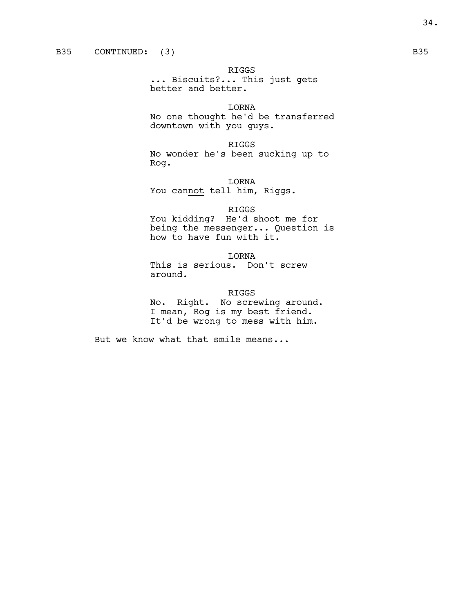... Biscuits?... This just gets better and better.

LORNA No one thought he'd be transferred downtown with you guys.

RIGGS No wonder he's been sucking up to Rog.

LORNA You cannot tell him, Riggs.

#### RIGGS

You kidding? He'd shoot me for being the messenger... Question is how to have fun with it.

LORNA

This is serious. Don't screw around.

RIGGS

No. Right. No screwing around. I mean, Rog is my best friend. It'd be wrong to mess with him.

But we know what that smile means...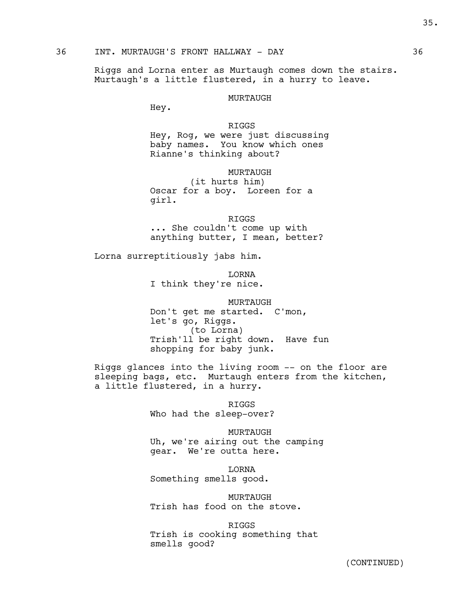### 36 INT. MURTAUGH'S FRONT HALLWAY - DAY 36

Riggs and Lorna enter as Murtaugh comes down the stairs. Murtaugh's a little flustered, in a hurry to leave.

#### MURTAUGH

Hey.

RIGGS Hey, Rog, we were just discussing baby names. You know which ones Rianne's thinking about?

MURTAUGH

(it hurts him) Oscar for a boy. Loreen for a girl.

RIGGS ... She couldn't come up with anything butter, I mean, better?

Lorna surreptitiously jabs him.

LORNA

I think they're nice.

MURTAUGH Don't get me started. C'mon, let's go, Riggs. (to Lorna) Trish'll be right down. Have fun shopping for baby junk.

Riggs glances into the living room -- on the floor are sleeping bags, etc. Murtaugh enters from the kitchen, a little flustered, in a hurry.

> RIGGS Who had the sleep-over?

MURTAUGH Uh, we're airing out the camping gear. We're outta here.

LORNA Something smells good.

MURTAUGH Trish has food on the stove.

RIGGS Trish is cooking something that smells good?

35.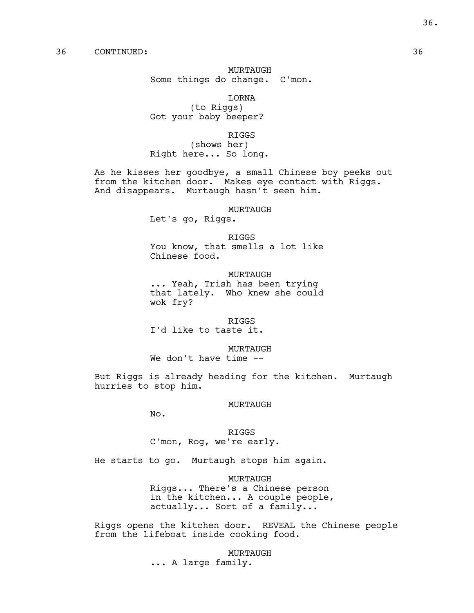# MURTAUGH Some things do change. C'mon.

LORNA (to Riggs) Got your baby beeper?

#### RIGGS

(shows her) Right here... So long.

As he kisses her goodbye, a small Chinese boy peeks out from the kitchen door. Makes eye contact with Riggs. And disappears. Murtaugh hasn't seen him.

MURTAUGH

Let's go, Riggs.

#### RIGGS

You know, that smells a lot like Chinese food.

MURTAUGH ... Yeah, Trish has been trying that lately. Who knew she could wok fry?

RIGGS

I'd like to taste it.

MURTAUGH

We don't have time --

But Riggs is already heading for the kitchen. Murtaugh hurries to stop him.

#### MURTAUGH

No.

RIGGS C'mon, Rog, we're early.

He starts to go. Murtaugh stops him again.

MURTAUGH Riggs... There's a Chinese person in the kitchen... A couple people, actually... Sort of a family...

Riggs opens the kitchen door. REVEAL the Chinese people from the lifeboat inside cooking food.

> MURTAUGH ... A large family.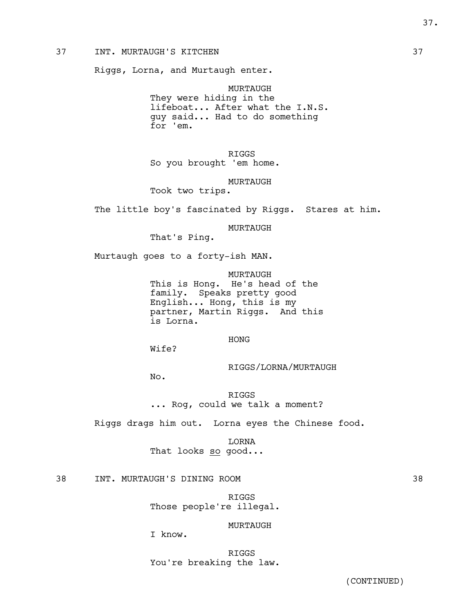## 37 INT. MURTAUGH'S KITCHEN 37

Riggs, Lorna, and Murtaugh enter.

MURTAUGH They were hiding in the lifeboat... After what the I.N.S. guy said... Had to do something for 'em.

RIGGS So you brought 'em home.

MURTAUGH

Took two trips.

The little boy's fascinated by Riggs. Stares at him.

MURTAUGH

That's Ping.

Murtaugh goes to a forty-ish MAN.

MURTAUGH This is Hong. He's head of the family. Speaks pretty good English... Hong, this is my partner, Martin Riggs. And this is Lorna.

HONG

Wife?

RIGGS/LORNA/MURTAUGH

No.

RIGGS ... Rog, could we talk a moment?

Riggs drags him out. Lorna eyes the Chinese food.

LORNA That looks so good...

38 INT. MURTAUGH'S DINING ROOM 38

RIGGS Those people're illegal.

# MURTAUGH

I know.

RIGGS You're breaking the law.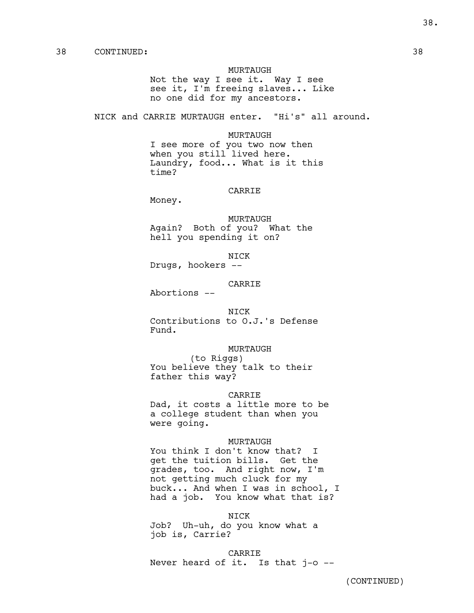#### MURTAUGH

Not the way I see it. Way I see see it, I'm freeing slaves... Like no one did for my ancestors.

NICK and CARRIE MURTAUGH enter. "Hi's" all around.

#### MURTAUGH

I see more of you two now then when you still lived here. Laundry, food... What is it this time?

# CARRIE

Money.

MURTAUGH Again? Both of you? What the hell you spending it on?

NICK

Drugs, hookers --

# CARRIE

Abortions --

#### NICK

Contributions to O.J.'s Defense Fund.

### MURTAUGH

(to Riggs) You believe they talk to their father this way?

#### CARRIE

Dad, it costs a little more to be a college student than when you were going.

#### MURTAUGH

You think I don't know that? I get the tuition bills. Get the grades, too. And right now, I'm not getting much cluck for my buck... And when I was in school, I had a job. You know what that is?

#### NICK

Job? Uh-uh, do you know what a job is, Carrie?

CARRIE Never heard of it. Is that j-o --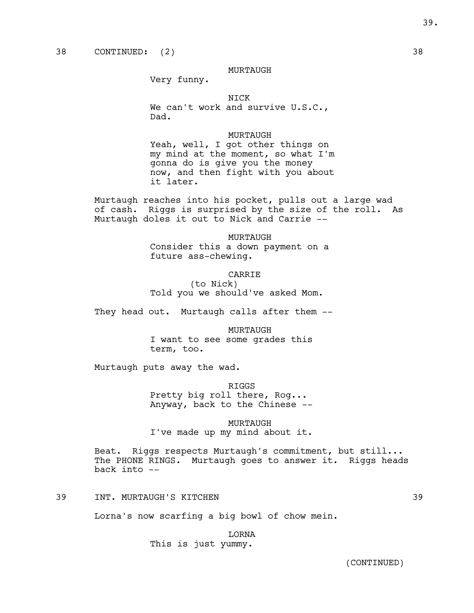## MURTAUGH

Very funny.

NICK

We can't work and survive U.S.C., Dad.

### MURTAUGH

Yeah, well, I got other things on my mind at the moment, so what I'm gonna do is give you the money now, and then fight with you about it later.

Murtaugh reaches into his pocket, pulls out a large wad of cash. Riggs is surprised by the size of the roll. As Murtaugh doles it out to Nick and Carrie --

#### MURTAUGH

Consider this a down payment on a future ass-chewing.

#### CARRIE

(to Nick) Told you we should've asked Mom.

They head out. Murtaugh calls after them --

MURTAUGH I want to see some grades this term, too.

Murtaugh puts away the wad.

RIGGS Pretty big roll there, Rog... Anyway, back to the Chinese --

# MURTAUGH I've made up my mind about it.

Beat. Riggs respects Murtaugh's commitment, but still... The PHONE RINGS. Murtaugh goes to answer it. Riggs heads back into --

39 INT. MURTAUGH'S KITCHEN 39

Lorna's now scarfing a big bowl of chow mein.

LORNA This is just yummy.

39.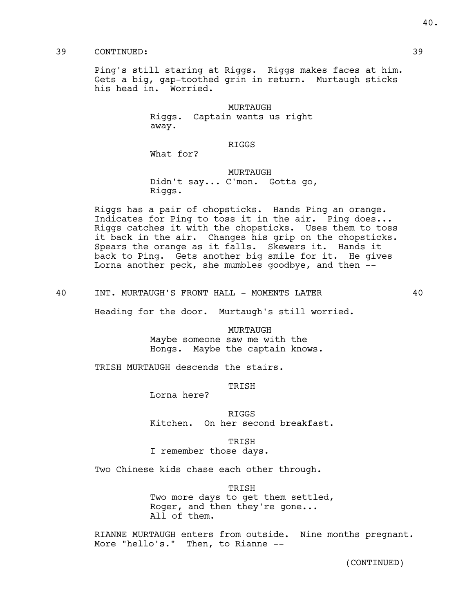# 39 CONTINUED: 39

Ping's still staring at Riggs. Riggs makes faces at him. Gets a big, gap-toothed grin in return. Murtaugh sticks his head in. Worried.

> MURTAUGH Riggs. Captain wants us right away.

> > RIGGS

What for?

### MURTAUGH

Didn't say... C'mon. Gotta go, Riggs.

Riggs has a pair of chopsticks. Hands Ping an orange. Indicates for Ping to toss it in the air. Ping does... Riggs catches it with the chopsticks. Uses them to toss it back in the air. Changes his grip on the chopsticks. Spears the orange as it falls. Skewers it. Hands it back to Ping. Gets another big smile for it. He gives Lorna another peck, she mumbles goodbye, and then --

40 INT. MURTAUGH'S FRONT HALL - MOMENTS LATER  $40$ 

Heading for the door. Murtaugh's still worried.

MURTAUGH Maybe someone saw me with the Hongs. Maybe the captain knows.

TRISH MURTAUGH descends the stairs.

TRISH

Lorna here?

RIGGS Kitchen. On her second breakfast.

TRISH

I remember those days.

Two Chinese kids chase each other through.

TRISH Two more days to get them settled, Roger, and then they're gone... All of them.

RIANNE MURTAUGH enters from outside. Nine months pregnant. More "hello's." Then, to Rianne --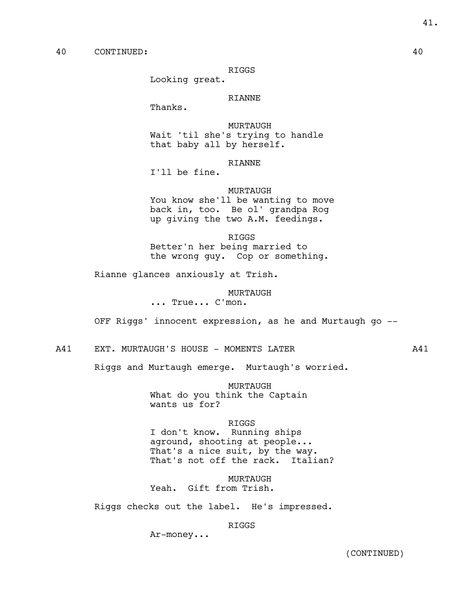RIGGS

Looking great.

# RIANNE

Thanks.

MURTAUGH Wait 'til she's trying to handle that baby all by herself.

## RIANNE

I'll be fine.

# MURTAUGH

You know she'll be wanting to move back in, too. Be ol' grandpa Rog up giving the two A.M. feedings.

#### RIGGS

Better'n her being married to the wrong guy. Cop or something.

Rianne glances anxiously at Trish.

MURTAUGH

... True... C'mon.

OFF Riggs' innocent expression, as he and Murtaugh go --

A41 EXT. MURTAUGH'S HOUSE - MOMENTS LATER  $A41$ 

Riggs and Murtaugh emerge. Murtaugh's worried.

MURTAUGH What do you think the Captain wants us for?

# RIGGS

I don't know. Running ships aground, shooting at people... That's a nice suit, by the way. That's not off the rack. Italian?

MURTAUGH Yeah. Gift from Trish.

Riggs checks out the label. He's impressed.

## RIGGS

Ar-money...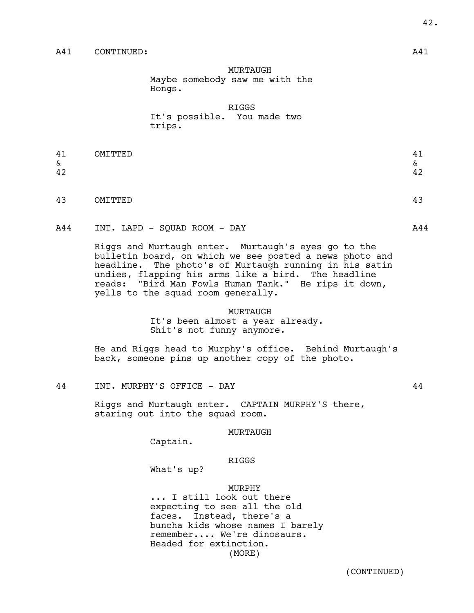MURTAUGH Maybe somebody saw me with the Hongs.

RIGGS It's possible. You made two trips.

| 41 | OMITTED | . .<br>--    |
|----|---------|--------------|
| δ. |         | $\propto$    |
| 42 |         | $\sim$<br>44 |
|    |         |              |

43 OMITTED 43

A44 INT. LAPD - SQUAD ROOM - DAY **A44** 

Riggs and Murtaugh enter. Murtaugh's eyes go to the bulletin board, on which we see posted a news photo and headline. The photo's of Murtaugh running in his satin undies, flapping his arms like a bird. The headline reads: "Bird Man Fowls Human Tank." He rips it down, yells to the squad room generally.

> MURTAUGH It's been almost a year already. Shit's not funny anymore.

He and Riggs head to Murphy's office. Behind Murtaugh's back, someone pins up another copy of the photo.

44 INT. MURPHY'S OFFICE - DAY 44

Riggs and Murtaugh enter. CAPTAIN MURPHY'S there, staring out into the squad room.

#### MURTAUGH

Captain.

## RIGGS

What's up?

#### MURPHY

... I still look out there expecting to see all the old faces. Instead, there's a buncha kids whose names I barely remember.... We're dinosaurs. Headed for extinction. (MORE)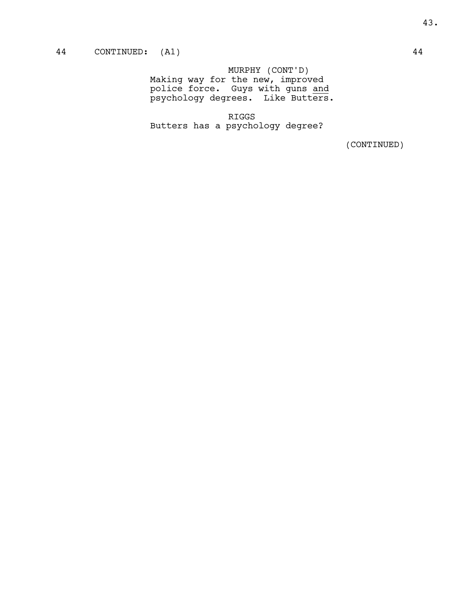MURPHY (CONT'D) Making way for the new, improved police force. Guys with guns and psychology degrees. Like Butters.

RIGGS Butters has a psychology degree?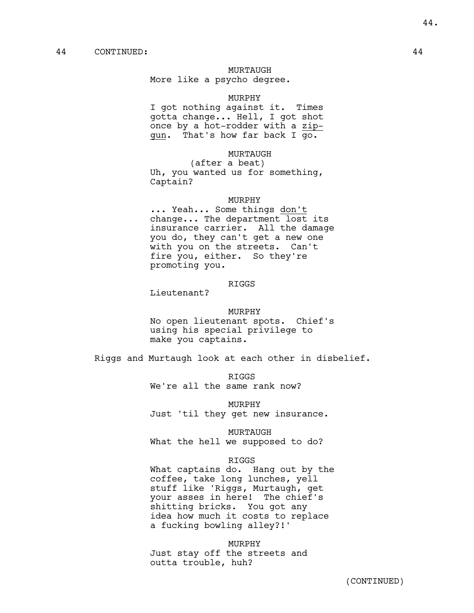### MURTAUGH

More like a psycho degree.

## MURPHY

I got nothing against it. Times gotta change... Hell, I got shot once by a hot-rodder with a zipgun. That's how far back I go.

## MURTAUGH

(after a beat) Uh, you wanted us for something, Captain?

#### MURPHY

... Yeah... Some things don't change... The department lost its insurance carrier. All the damage you do, they can't get a new one with you on the streets. Can't fire you, either. So they're promoting you.

## RIGGS

Lieutenant?

#### MURPHY

No open lieutenant spots. Chief's using his special privilege to make you captains.

Riggs and Murtaugh look at each other in disbelief.

RIGGS We're all the same rank now?

MURPHY Just 'til they get new insurance.

MURTAUGH

What the hell we supposed to do?

#### RIGGS

What captains do. Hang out by the coffee, take long lunches, yell stuff like 'Riggs, Murtaugh, get your asses in here! The chief's shitting bricks. You got any idea how much it costs to replace a fucking bowling alley?!'

MURPHY Just stay off the streets and outta trouble, huh?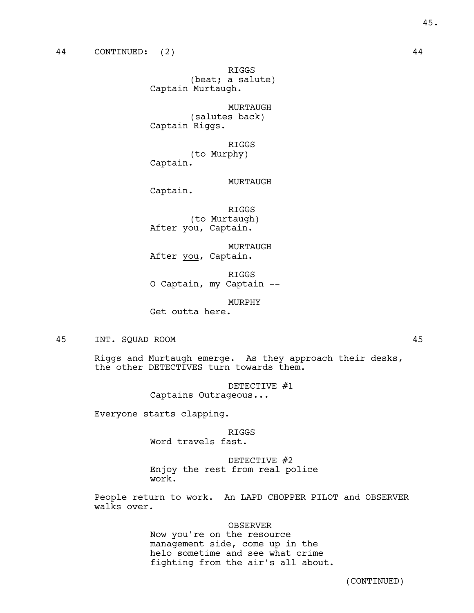RIGGS (beat; a salute) Captain Murtaugh.

MURTAUGH (salutes back) Captain Riggs.

RIGGS (to Murphy) Captain.

MURTAUGH

Captain.

RIGGS (to Murtaugh) After you, Captain.

MURTAUGH After you, Captain.

RIGGS O Captain, my Captain --

MURPHY

Get outta here.

45 INT. SQUAD ROOM 45

Riggs and Murtaugh emerge. As they approach their desks, the other DETECTIVES turn towards them.

> DETECTIVE #1 Captains Outrageous...

Everyone starts clapping.

RIGGS

Word travels fast.

DETECTIVE #2 Enjoy the rest from real police work.

People return to work. An LAPD CHOPPER PILOT and OBSERVER walks over.

OBSERVER

Now you're on the resource management side, come up in the helo sometime and see what crime fighting from the air's all about.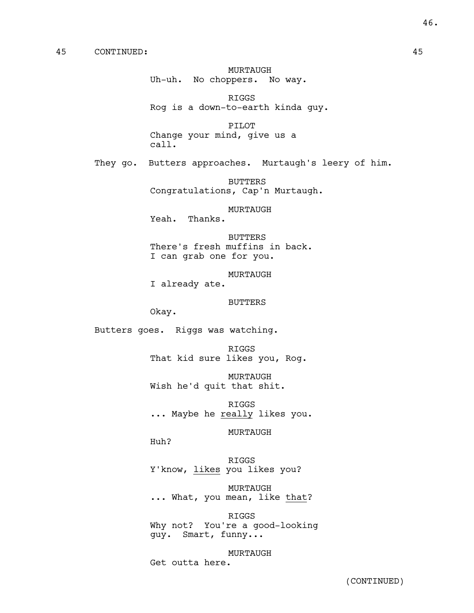MURTAUGH Uh-uh. No choppers. No way.

RIGGS Rog is a down-to-earth kinda guy.

PILOT Change your mind, give us a call.

They go. Butters approaches. Murtaugh's leery of him.

BUTTERS Congratulations, Cap'n Murtaugh.

MURTAUGH

Yeah. Thanks.

BUTTERS There's fresh muffins in back. I can grab one for you.

MURTAUGH I already ate.

BUTTERS

Okay.

Butters goes. Riggs was watching.

RIGGS That kid sure likes you, Rog.

MURTAUGH Wish he'd quit that shit.

RIGGS ... Maybe he really likes you.

MURTAUGH

Huh?

RIGGS Y'know, likes you likes you?

MURTAUGH ... What, you mean, like that?

RIGGS Why not? You're a good-looking guy. Smart, funny...

MURTAUGH Get outta here.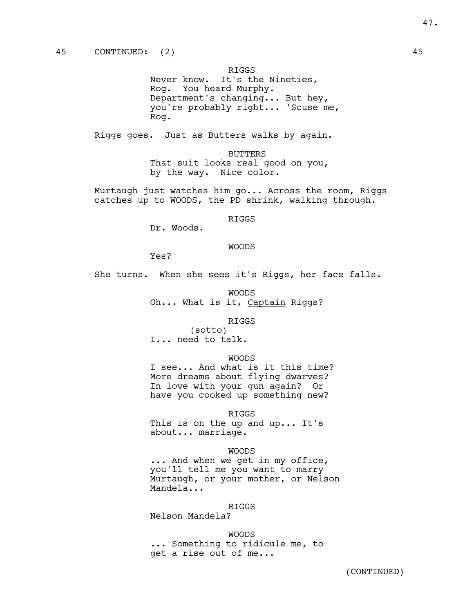RIGGS

Never know. It's the Nineties, Rog. You heard Murphy. Department's changing... But hey, you're probably right... 'Scuse me, Rog.

Riggs goes. Just as Butters walks by again.

BUTTERS That suit looks real good on you, by the way. Nice color.

Murtaugh just watches him go... Across the room, Riggs catches up to WOODS, the PD shrink, walking through.

## RIGGS

Dr. Woods.

#### WOODS

Yes?

She turns. When she sees it's Riggs, her face falls.

WOODS Oh... What is it, Captain Riggs?

### RIGGS

(sotto) I... need to talk.

### WOODS

I see... And what is it this time? More dreams about flying dwarves? In love with your gun again? Or have you cooked up something new?

#### RIGGS

This is on the up and up... It's about... marriage.

#### WOODS

... And when we get in my office, you'll tell me you want to marry Murtaugh, or your mother, or Nelson Mandela...

# RIGGS

Nelson Mandela?

WOODS ... Something to ridicule me, to get a rise out of me...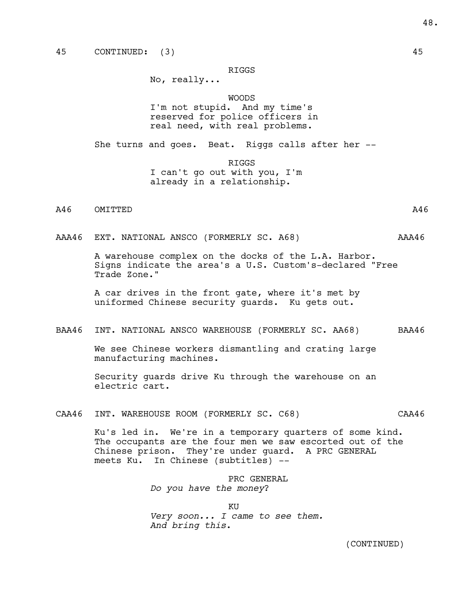## RIGGS

No, really...

WOODS I'm not stupid. And my time's reserved for police officers in real need, with real problems.

She turns and goes. Beat. Riggs calls after her --

RIGGS I can't go out with you, I'm already in a relationship.

A46 OMITTED A46

AAA46 EXT. NATIONAL ANSCO (FORMERLY SC. A68) AAA46

A warehouse complex on the docks of the L.A. Harbor. Signs indicate the area's a U.S. Custom's-declared "Free Trade Zone."

A car drives in the front gate, where it's met by uniformed Chinese security guards. Ku gets out.

### BAA46 INT. NATIONAL ANSCO WAREHOUSE (FORMERLY SC. AA68) BAA46

We see Chinese workers dismantling and crating large manufacturing machines.

Security guards drive Ku through the warehouse on an electric cart.

CAA46 INT. WAREHOUSE ROOM (FORMERLY SC. C68) CAA46

Ku's led in. We're in a temporary quarters of some kind. The occupants are the four men we saw escorted out of the Chinese prison. They're under guard. A PRC GENERAL meets Ku. In Chinese (subtitles) --

> PRC GENERAL *Do you have the money*?

KU *Very soon... I came to see them. And bring this*.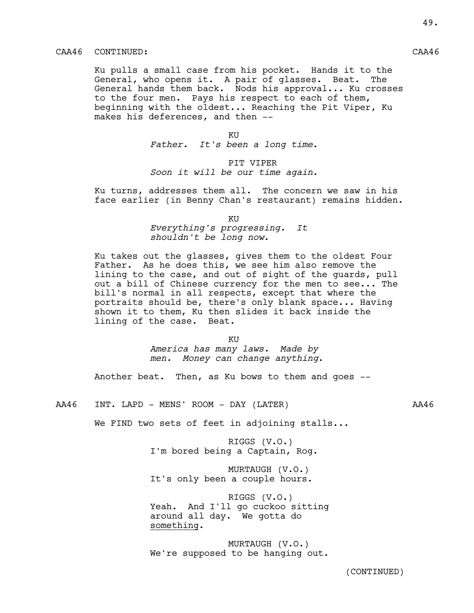# CAA46 CONTINUED: CAA46

Ku pulls a small case from his pocket. Hands it to the General, who opens it. A pair of glasses. Beat. The General hands them back. Nods his approval... Ku crosses to the four men. Pays his respect to each of them, beginning with the oldest... Reaching the Pit Viper, Ku makes his deferences, and then --

KU

*Father. It's been a long time*.

# PIT VIPER

*Soon it will be our time again*.

Ku turns, addresses them all. The concern we saw in his face earlier (in Benny Chan's restaurant) remains hidden.

KU

*Everything's progressing. It shouldn't be long now*.

Ku takes out the glasses, gives them to the oldest Four Father. As he does this, we see him also remove the lining to the case, and out of sight of the guards, pull out a bill of Chinese currency for the men to see... The bill's normal in all respects, except that where the portraits should be, there's only blank space... Having shown it to them, Ku then slides it back inside the lining of the case. Beat.

> KU *America has many laws. Made by men. Money can change anything*.

Another beat. Then, as Ku bows to them and goes --

AA46 INT. LAPD - MENS' ROOM - DAY (LATER) AA46

We FIND two sets of feet in adjoining stalls...

RIGGS (V.O.) I'm bored being a Captain, Rog.

MURTAUGH (V.O.) It's only been a couple hours.

RIGGS (V.O.) Yeah. And I'll go cuckoo sitting around all day. We gotta do something.

MURTAUGH (V.O.) We're supposed to be hanging out. 49.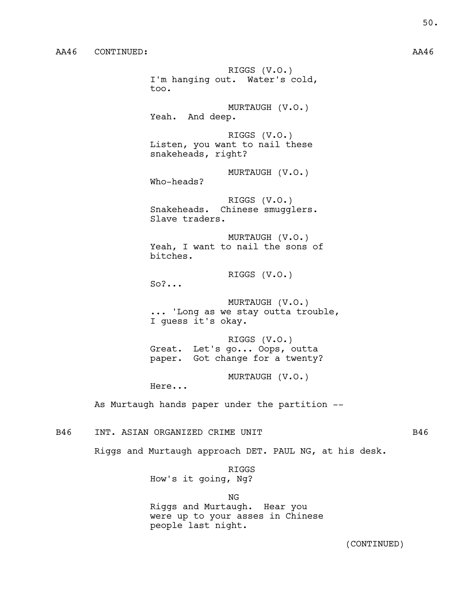RIGGS (V.O.) I'm hanging out. Water's cold, too. MURTAUGH (V.O.) Yeah. And deep. RIGGS (V.O.) Listen, you want to nail these snakeheads, right? MURTAUGH (V.O.) Who-heads? RIGGS (V.O.) Snakeheads. Chinese smugglers. Slave traders. MURTAUGH (V.O.) Yeah, I want to nail the sons of bitches. RIGGS (V.O.)  $S_0$   $\ldots$ MURTAUGH (V.O.) ... 'Long as we stay outta trouble, I guess it's okay. RIGGS (V.O.) Great. Let's go... Oops, outta paper. Got change for a twenty? MURTAUGH (V.O.) Here... As Murtaugh hands paper under the partition --

B46 INT. ASIAN ORGANIZED CRIME UNIT SALL STATES B46

Riggs and Murtaugh approach DET. PAUL NG, at his desk.

RIGGS How's it going, Ng?

NG Riggs and Murtaugh. Hear you were up to your asses in Chinese people last night.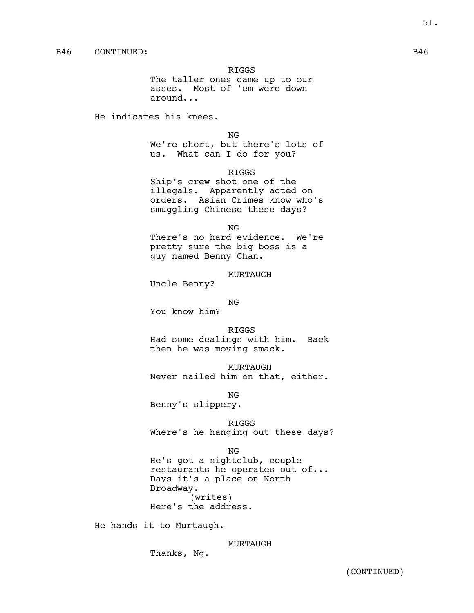RIGGS

The taller ones came up to our asses. Most of 'em were down around...

He indicates his knees.

NG

We're short, but there's lots of us. What can I do for you?

RIGGS

Ship's crew shot one of the illegals. Apparently acted on orders. Asian Crimes know who's smuggling Chinese these days?

NG

There's no hard evidence. We're pretty sure the big boss is a guy named Benny Chan.

MURTAUGH

Uncle Benny?

NG

You know him?

RIGGS Had some dealings with him. Back then he was moving smack.

MURTAUGH Never nailed him on that, either.

NG Benny's slippery.

RIGGS Where's he hanging out these days?

NG He's got a nightclub, couple restaurants he operates out of... Days it's a place on North Broadway. (writes) Here's the address.

He hands it to Murtaugh.

MURTAUGH

Thanks, Ng.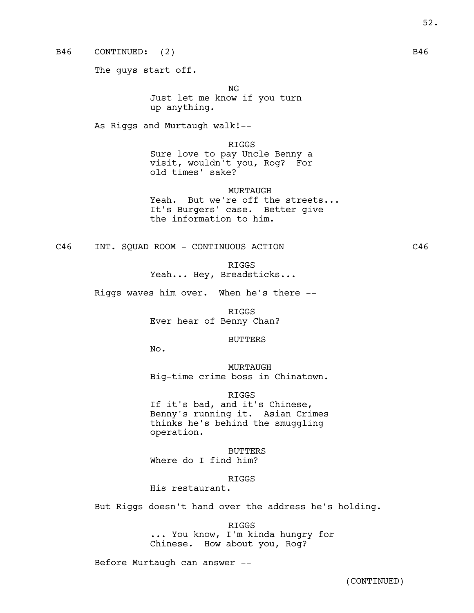B46 CONTINUED: (2) B46

The guys start off.

NG

Just let me know if you turn up anything.

As Riggs and Murtaugh walk!--

RIGGS Sure love to pay Uncle Benny a visit, wouldn't you, Rog? For old times' sake?

MURTAUGH Yeah. But we're off the streets... It's Burgers' case. Better give the information to him.

C46 INT. SQUAD ROOM - CONTINUOUS ACTION CA6

RIGGS

Yeah... Hey, Breadsticks...

Riggs waves him over. When he's there --

RIGGS Ever hear of Benny Chan?

BUTTERS

No.

MURTAUGH Big-time crime boss in Chinatown.

RIGGS

If it's bad, and it's Chinese, Benny's running it. Asian Crimes thinks he's behind the smuggling operation.

BUTTERS Where do I find him?

RIGGS

His restaurant.

But Riggs doesn't hand over the address he's holding.

RIGGS ... You know, I'm kinda hungry for Chinese. How about you, Rog?

Before Murtaugh can answer --

52.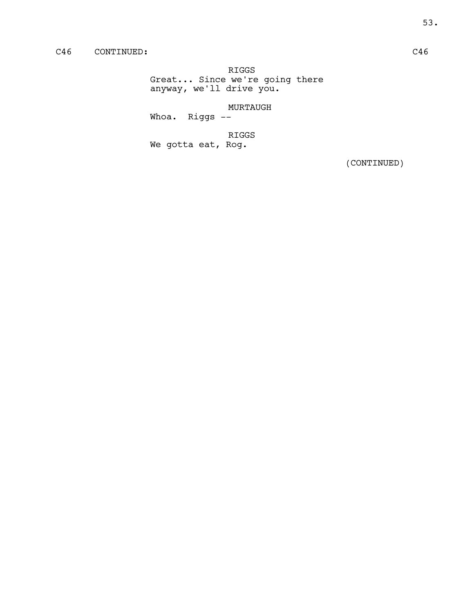RIGGS Great... Since we're going there anyway, we'll drive you.

MURTAUGH

Whoa. Riggs --

RIGGS

We gotta eat, Rog.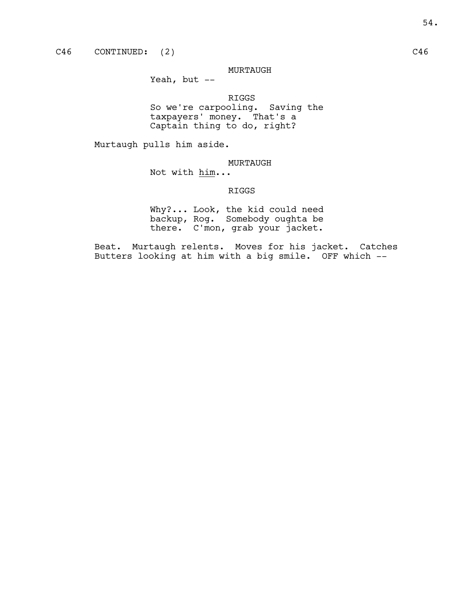# MURTAUGH

Yeah, but --

RIGGS So we're carpooling. Saving the taxpayers' money. That's a Captain thing to do, right?

Murtaugh pulls him aside.

MURTAUGH

Not with him...

# RIGGS

Why?... Look, the kid could need backup, Rog. Somebody oughta be there. C'mon, grab your jacket.

Beat. Murtaugh relents. Moves for his jacket. Catches Butters looking at him with a big smile. OFF which --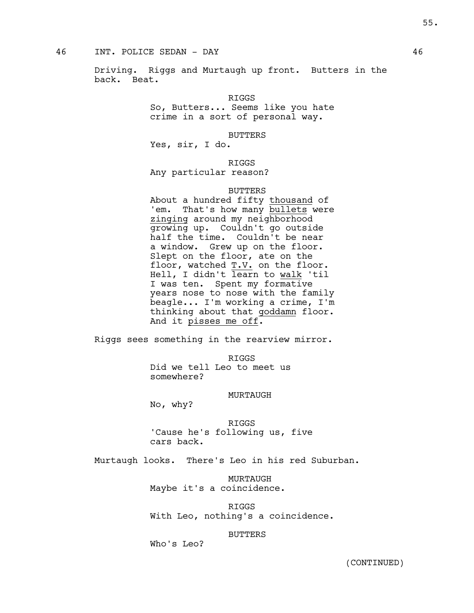# 46 INT. POLICE SEDAN - DAY 46

Driving. Riggs and Murtaugh up front. Butters in the back. Beat.

RIGGS

So, Butters... Seems like you hate crime in a sort of personal way.

BUTTERS

Yes, sir, I do.

RIGGS

Any particular reason?

## BUTTERS

About a hundred fifty thousand of 'em. That's how many bullets were zinging around my neighborhood growing up. Couldn't go outside half the time. Couldn't be near a window. Grew up on the floor. Slept on the floor, ate on the floor, watched  $T.V.$  on the floor. Hell, I didn't learn to walk 'til I was ten. Spent my formative years nose to nose with the family beagle... I'm working a crime, I'm thinking about that goddamn floor. And it pisses me off.

Riggs sees something in the rearview mirror.

RIGGS

Did we tell Leo to meet us somewhere?

## MURTAUGH

No, why?

RIGGS 'Cause he's following us, five cars back.

Murtaugh looks. There's Leo in his red Suburban.

MURTAUGH Maybe it's a coincidence.

RIGGS With Leo, nothing's a coincidence.

## BUTTERS

Who's Leo?

55.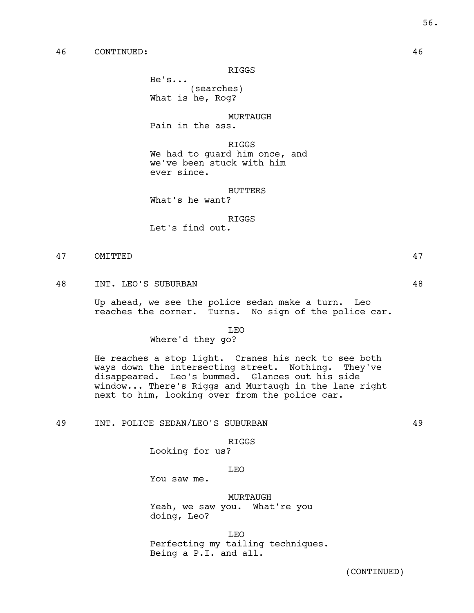# 46 CONTINUED: 46

RIGGS

He's... (searches)

What is he, Rog?

MURTAUGH Pain in the ass.

RIGGS We had to guard him once, and we've been stuck with him ever since.

BUTTERS What's he want?

RIGGS

Let's find out.

# 47 OMITTED 47

48 INT. LEO'S SUBURBAN 48

Up ahead, we see the police sedan make a turn. Leo reaches the corner. Turns. No sign of the police car.

LEO

### Where'd they go?

He reaches a stop light. Cranes his neck to see both ways down the intersecting street. Nothing. They've disappeared. Leo's bummed. Glances out his side window... There's Riggs and Murtaugh in the lane right next to him, looking over from the police car.

49 INT. POLICE SEDAN/LEO'S SUBURBAN 49

#### RIGGS

Looking for us?

#### LEO

You saw me.

## MURTAUGH

Yeah, we saw you. What're you doing, Leo?

LEO

Perfecting my tailing techniques. Being a P.I. and all.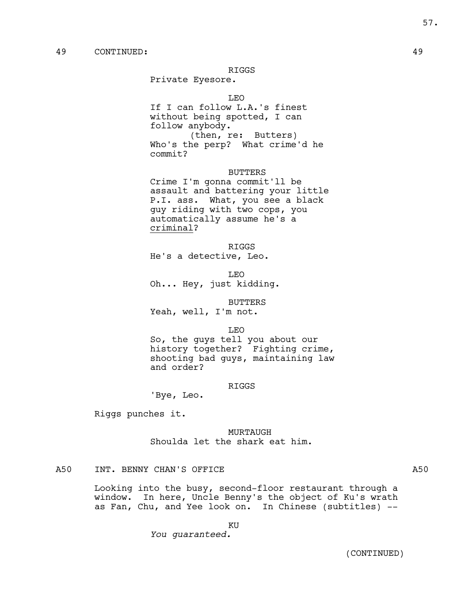#### RIGGS

Private Eyesore.

LEO

If I can follow L.A.'s finest without being spotted, I can follow anybody. (then, re: Butters) Who's the perp? What crime'd he commit?

BUTTERS

Crime I'm gonna commit'll be assault and battering your little P.I. ass. What, you see a black guy riding with two cops, you automatically assume he's a criminal?

RIGGS

He's a detective, Leo.

LEO

Oh... Hey, just kidding.

BUTTERS

Yeah, well, I'm not.

LEO

So, the guys tell you about our history together? Fighting crime, shooting bad guys, maintaining law and order?

#### RIGGS

'Bye, Leo.

Riggs punches it.

MURTAUGH Shoulda let the shark eat him.

# A50 INT. BENNY CHAN'S OFFICE A50

Looking into the busy, second-floor restaurant through a window. In here, Uncle Benny's the object of Ku's wrath as Fan, Chu, and Yee look on. In Chinese (subtitles) --

KU

*You guaranteed.*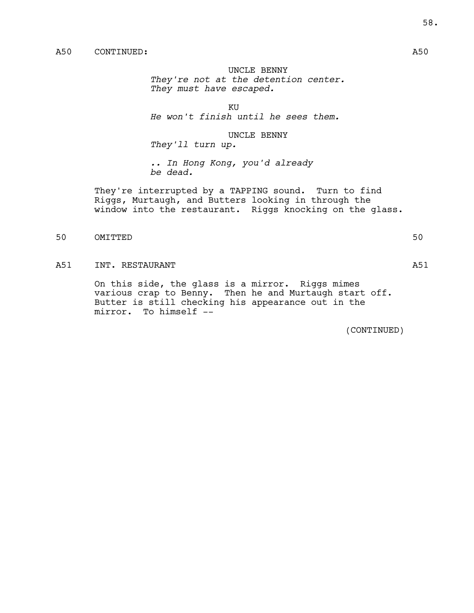UNCLE BENNY *They're not at the detention center. They must have escaped.*

KU

*He won't finish until he sees them.*

UNCLE BENNY

*They'll turn up.*

*.. In Hong Kong, you'd already be dead.*

They're interrupted by a TAPPING sound. Turn to find Riggs, Murtaugh, and Butters looking in through the window into the restaurant. Riggs knocking on the glass.

50 OMITTED 50

# A51 INT. RESTAURANT A51

On this side, the glass is a mirror. Riggs mimes various crap to Benny. Then he and Murtaugh start off. Butter is still checking his appearance out in the mirror. To himself --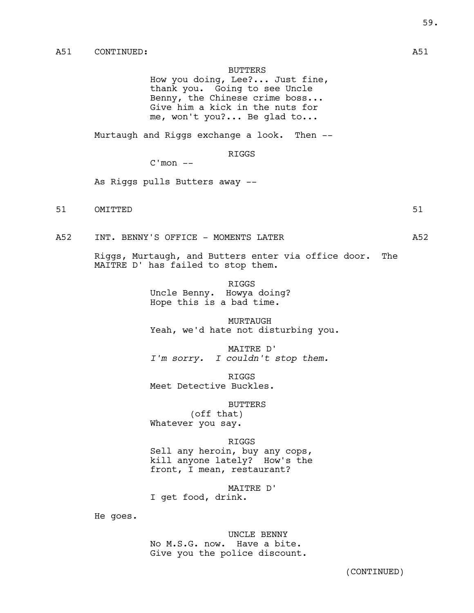## BUTTERS

How you doing, Lee?... Just fine, thank you. Going to see Uncle Benny, the Chinese crime boss... Give him a kick in the nuts for me, won't you?... Be glad to...

Murtaugh and Riggs exchange a look. Then --

# RIGGS

 $C'mon --$ 

As Riggs pulls Butters away --

51 OMITTED 51

A52 INT. BENNY'S OFFICE - MOMENTS LATER  $A52$  A52

Riggs, Murtaugh, and Butters enter via office door. The MAITRE D' has failed to stop them.

> RIGGS Uncle Benny. Howya doing? Hope this is a bad time.

MURTAUGH Yeah, we'd hate not disturbing you.

MAITRE D' *I'm sorry. I couldn't stop them.*

RIGGS Meet Detective Buckles.

BUTTERS

(off that) Whatever you say.

#### RIGGS

Sell any heroin, buy any cops, kill anyone lately? How's the front, I mean, restaurant?

MAITRE D' I get food, drink.

He goes.

UNCLE BENNY No M.S.G. now. Have a bite. Give you the police discount.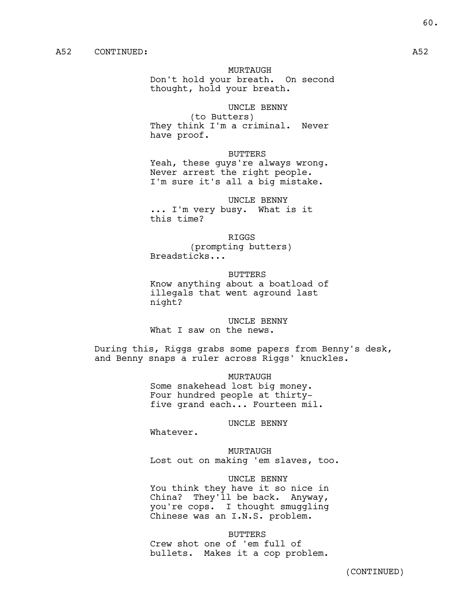MURTAUGH

Don't hold your breath. On second thought, hold your breath.

# UNCLE BENNY

(to Butters) They think I'm a criminal. Never have proof.

# BUTTERS

Yeah, these guys're always wrong. Never arrest the right people. I'm sure it's all a big mistake.

## UNCLE BENNY

... I'm very busy. What is it this time?

#### RIGGS

(prompting butters) Breadsticks...

#### BUTTERS

Know anything about a boatload of illegals that went aground last night?

UNCLE BENNY What I saw on the news.

During this, Riggs grabs some papers from Benny's desk, and Benny snaps a ruler across Riggs' knuckles.

> MURTAUGH Some snakehead lost big money. Four hundred people at thirtyfive grand each... Fourteen mil.

## UNCLE BENNY

Whatever.

MURTAUGH Lost out on making 'em slaves, too.

UNCLE BENNY You think they have it so nice in China? They'll be back. Anyway, you're cops. I thought smuggling Chinese was an I.N.S. problem.

BUTTERS

Crew shot one of 'em full of bullets. Makes it a cop problem.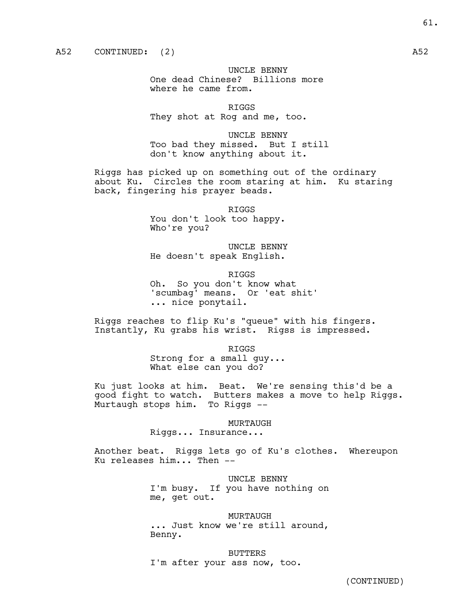UNCLE BENNY One dead Chinese? Billions more where he came from.

RIGGS They shot at Rog and me, too.

UNCLE BENNY Too bad they missed. But I still don't know anything about it.

Riggs has picked up on something out of the ordinary about Ku. Circles the room staring at him. Ku staring back, fingering his prayer beads.

> RIGGS You don't look too happy. Who're you?

UNCLE BENNY He doesn't speak English.

RIGGS Oh. So you don't know what 'scumbag' means. Or 'eat shit' ... nice ponytail.

Riggs reaches to flip Ku's "queue" with his fingers. Instantly, Ku grabs his wrist. Rigss is impressed.

> RIGGS Strong for a small guy... What else can you do?

Ku just looks at him. Beat. We're sensing this'd be a good fight to watch. Butters makes a move to help Riggs. Murtaugh stops him. To Riggs --

#### MURTAUGH

Riggs... Insurance...

Another beat. Riggs lets go of Ku's clothes. Whereupon Ku releases him... Then --

UNCLE BENNY

I'm busy. If you have nothing on me, get out.

MURTAUGH

... Just know we're still around, Benny.

BUTTERS I'm after your ass now, too.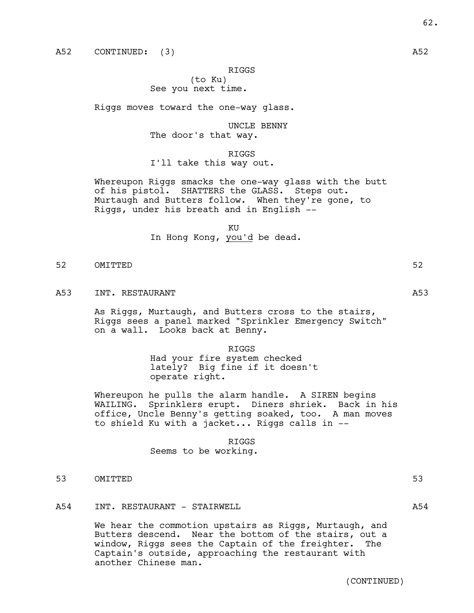A52 CONTINUED: (3) A52

RIGGS

(to Ku)

# See you next time.

Riggs moves toward the one-way glass.

UNCLE BENNY The door's that way.

RIGGS I'll take this way out.

Whereupon Riggs smacks the one-way glass with the butt of his pistol. SHATTERS the GLASS. Steps out. Murtaugh and Butters follow. When they're gone, to Riggs, under his breath and in English --

> KU In Hong Kong, you'd be dead.

- 52 OMITTED 52
- A53 INT. RESTAURANT And the set of the set of the set of the set of the set of the set of the set of the set of the set of the set of the set of the set of the set of the set of the set of the set of the set of the set of

As Riggs, Murtaugh, and Butters cross to the stairs, Riggs sees a panel marked "Sprinkler Emergency Switch" on a wall. Looks back at Benny.

> RIGGS Had your fire system checked lately? Big fine if it doesn't operate right.

Whereupon he pulls the alarm handle. A SIREN begins<br>WAILING. Sprinklers erupt. Diners shriek. Back in Sprinklers erupt. Diners shriek. Back in his office, Uncle Benny's getting soaked, too. A man moves to shield Ku with a jacket... Riggs calls in --

#### RIGGS

Seems to be working.

53 OMITTED 53

## A54 INT. RESTAURANT – STAIRWELL **A54** A54

We hear the commotion upstairs as Riggs, Murtaugh, and Butters descend. Near the bottom of the stairs, out a window, Riggs sees the Captain of the freighter. The Captain's outside, approaching the restaurant with another Chinese man.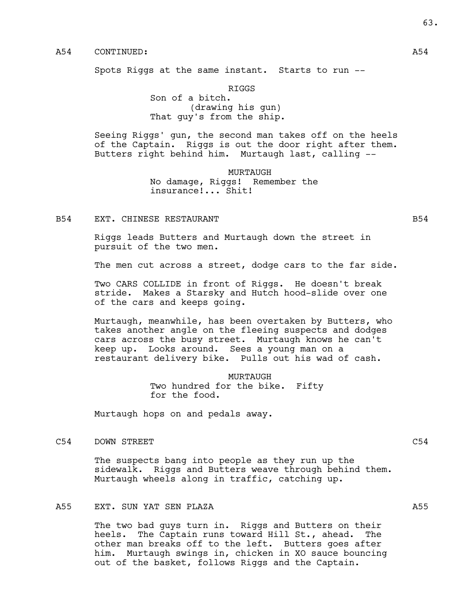# A54 CONTINUED: A54

Spots Riggs at the same instant. Starts to run --

RIGGS

Son of a bitch. (drawing his gun) That guy's from the ship.

Seeing Riggs' gun, the second man takes off on the heels of the Captain. Riggs is out the door right after them. Butters right behind him. Murtaugh last, calling --

> MURTAUGH No damage, Riggs! Remember the insurance!... Shit!

B54 EXT. CHINESE RESTAURANT B54 B54

Riggs leads Butters and Murtaugh down the street in pursuit of the two men.

The men cut across a street, dodge cars to the far side.

Two CARS COLLIDE in front of Riggs. He doesn't break stride. Makes a Starsky and Hutch hood-slide over one of the cars and keeps going.

Murtaugh, meanwhile, has been overtaken by Butters, who takes another angle on the fleeing suspects and dodges cars across the busy street. Murtaugh knows he can't keep up. Looks around. Sees a young man on a restaurant delivery bike. Pulls out his wad of cash.

> MURTAUGH Two hundred for the bike. Fifty for the food.

Murtaugh hops on and pedals away.

C54 DOWN STREET CS4 C54

The suspects bang into people as they run up the sidewalk. Riggs and Butters weave through behind them. Murtaugh wheels along in traffic, catching up.

## A55 EXT. SUN YAT SEN PLAZA A55

The two bad guys turn in. Riggs and Butters on their heels. The Captain runs toward Hill St., ahead. The other man breaks off to the left. Butters goes after him. Murtaugh swings in, chicken in XO sauce bouncing out of the basket, follows Riggs and the Captain.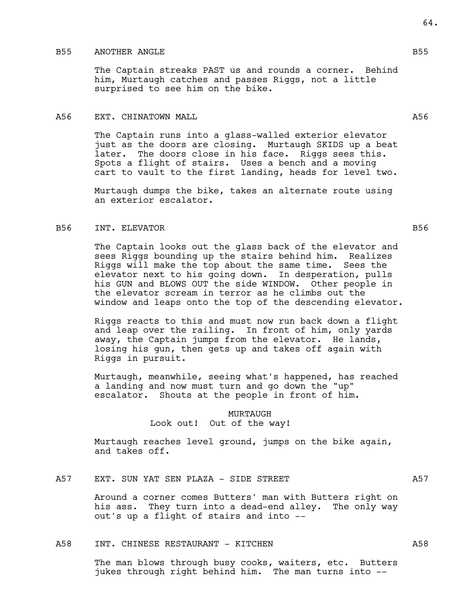# B55 ANOTHER ANGLE B55

The Captain streaks PAST us and rounds a corner. Behind him, Murtaugh catches and passes Riggs, not a little surprised to see him on the bike.

### A56 EXT. CHINATOWN MALL **A56** EXT. CHINATOWN MALL

The Captain runs into a glass-walled exterior elevator just as the doors are closing. Murtaugh SKIDS up a beat later. The doors close in his face. Riggs sees this. Spots a flight of stairs. Uses a bench and a moving cart to vault to the first landing, heads for level two.

Murtaugh dumps the bike, takes an alternate route using an exterior escalator.

### B56 INT. ELEVATOR B56

The Captain looks out the glass back of the elevator and sees Riggs bounding up the stairs behind him. Realizes Riggs will make the top about the same time. Sees the elevator next to his going down. In desperation, pulls his GUN and BLOWS OUT the side WINDOW. Other people in the elevator scream in terror as he climbs out the window and leaps onto the top of the descending elevator.

Riggs reacts to this and must now run back down a flight and leap over the railing. In front of him, only yards away, the Captain jumps from the elevator. He lands, losing his gun, then gets up and takes off again with Riggs in pursuit.

Murtaugh, meanwhile, seeing what's happened, has reached a landing and now must turn and go down the "up" escalator. Shouts at the people in front of him.

## MURTAUGH

Look out! Out of the way!

Murtaugh reaches level ground, jumps on the bike again, and takes off.

A57 EXT. SUN YAT SEN PLAZA - SIDE STREET A57

Around a corner comes Butters' man with Butters right on his ass. They turn into a dead-end alley. The only way out's up a flight of stairs and into --

## A58 INT. CHINESE RESTAURANT - KITCHEN A58

The man blows through busy cooks, waiters, etc. Butters jukes through right behind him. The man turns into --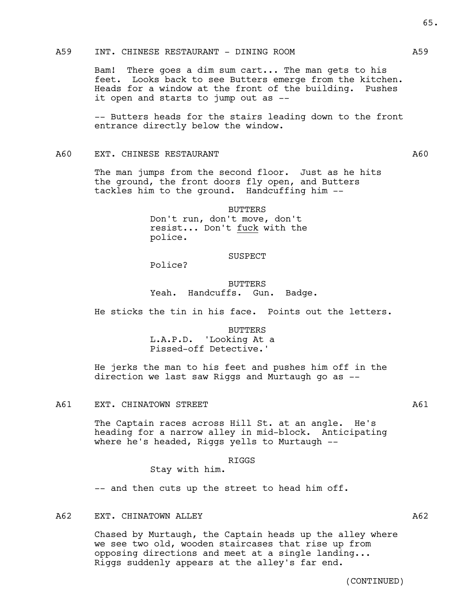# A59 INT. CHINESE RESTAURANT - DINING ROOM A59

Bam! There goes a dim sum cart... The man gets to his feet. Looks back to see Butters emerge from the kitchen. Heads for a window at the front of the building. Pushes it open and starts to jump out as --

-- Butters heads for the stairs leading down to the front entrance directly below the window.

## A60 EXT. CHINESE RESTAURANT **A60** A60

The man jumps from the second floor. Just as he hits the ground, the front doors fly open, and Butters tackles him to the ground. Handcuffing him --

> BUTTERS Don't run, don't move, don't resist... Don't fuck with the

## SUSPECT

Police?

police.

BUTTERS Yeah. Handcuffs. Gun. Badge.

He sticks the tin in his face. Points out the letters.

BUTTERS L.A.P.D. 'Looking At a Pissed-off Detective.'

He jerks the man to his feet and pushes him off in the direction we last saw Riggs and Murtaugh go as --

#### A61 EXT. CHINATOWN STREET A61

The Captain races across Hill St. at an angle. He's heading for a narrow alley in mid-block. Anticipating where he's headed, Riggs yells to Murtaugh --

## RIGGS

Stay with him.

-- and then cuts up the street to head him off.

## A62 EXT. CHINATOWN ALLEY **Agents** A62

Chased by Murtaugh, the Captain heads up the alley where we see two old, wooden staircases that rise up from opposing directions and meet at a single landing... Riggs suddenly appears at the alley's far end.

(CONTINUED)

65.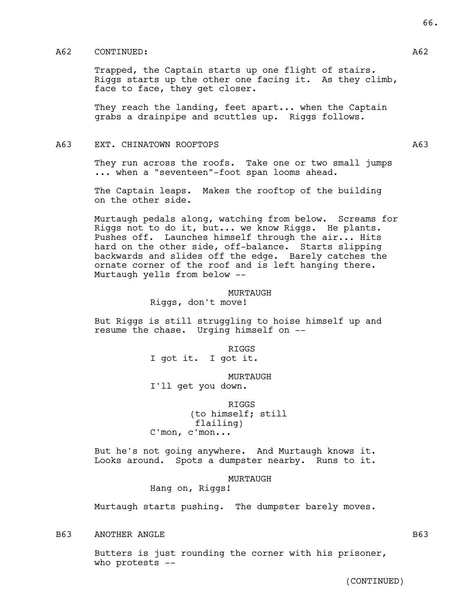## A62 CONTINUED: A62

Trapped, the Captain starts up one flight of stairs. Riggs starts up the other one facing it. As they climb, face to face, they get closer.

They reach the landing, feet apart... when the Captain grabs a drainpipe and scuttles up. Riggs follows.

## A63 EXT. CHINATOWN ROOFTOPS A63

They run across the roofs. Take one or two small jumps ... when a "seventeen"-foot span looms ahead.

The Captain leaps. Makes the rooftop of the building on the other side.

Murtaugh pedals along, watching from below. Screams for Riggs not to do it, but... we know Riggs. He plants. Pushes off. Launches himself through the air... Hits hard on the other side, off-balance. Starts slipping backwards and slides off the edge. Barely catches the ornate corner of the roof and is left hanging there. Murtaugh yells from below --

#### MURTAUGH

Riggs, don't move!

But Riggs is still struggling to hoise himself up and resume the chase. Urging himself on --

RIGGS

I got it. I got it.

MURTAUGH

I'll get you down.

RIGGS (to himself; still flailing) C'mon, c'mon...

But he's not going anywhere. And Murtaugh knows it. Looks around. Spots a dumpster nearby. Runs to it.

#### MURTAUGH

Hang on, Riggs!

Murtaugh starts pushing. The dumpster barely moves.

B63 ANOTHER ANGLE B63 B63

Butters is just rounding the corner with his prisoner, who protests --

66.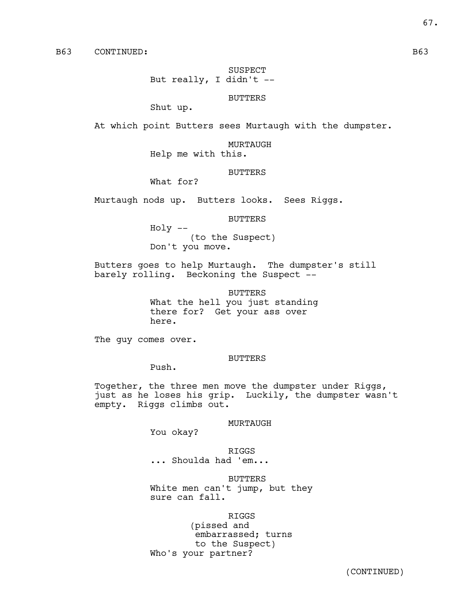SUSPECT But really, I didn't  $-$ 

BUTTERS

Shut up.

At which point Butters sees Murtaugh with the dumpster.

MURTAUGH

Help me with this.

### BUTTERS

What for?

Murtaugh nods up. Butters looks. Sees Riggs.

#### BUTTERS

Holy -- (to the Suspect) Don't you move.

Butters goes to help Murtaugh. The dumpster's still barely rolling. Beckoning the Suspect --

BUTTERS

What the hell you just standing there for? Get your ass over here.

The guy comes over.

#### BUTTERS

Push.

Together, the three men move the dumpster under Riggs, just as he loses his grip. Luckily, the dumpster wasn't empty. Riggs climbs out.

# MURTAUGH

You okay?

RIGGS ... Shoulda had 'em...

BUTTERS

White men can't jump, but they sure can fall.

RIGGS

(pissed and embarrassed; turns to the Suspect) Who's your partner?

67.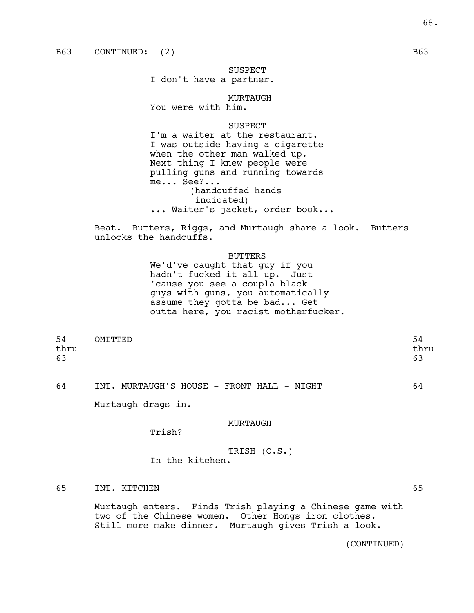SUSPECT I don't have a partner.

MURTAUGH You were with him.

SUSPECT

I'm a waiter at the restaurant. I was outside having a cigarette when the other man walked up. Next thing I knew people were pulling guns and running towards me... See?... (handcuffed hands indicated) ... Waiter's jacket, order book...

Beat. Butters, Riggs, and Murtaugh share a look. Butters unlocks the handcuffs.

#### BUTTERS

We'd've caught that guy if you hadn't fucked it all up. Just 'cause you see a coupla black guys with guns, you automatically assume they gotta be bad... Get outta here, you racist motherfucker.

| 54   | OMITTED | -94  |
|------|---------|------|
| thru |         | thru |
| 63   |         | 63   |
|      |         |      |

64 INT. MURTAUGH'S HOUSE - FRONT HALL - NIGHT 64

Murtaugh drags in.

## MURTAUGH

Trish?

- TRISH (O.S.) In the kitchen.
- 65 INT. KITCHEN 65

Murtaugh enters. Finds Trish playing a Chinese game with two of the Chinese women. Other Hongs iron clothes. Still more make dinner. Murtaugh gives Trish a look.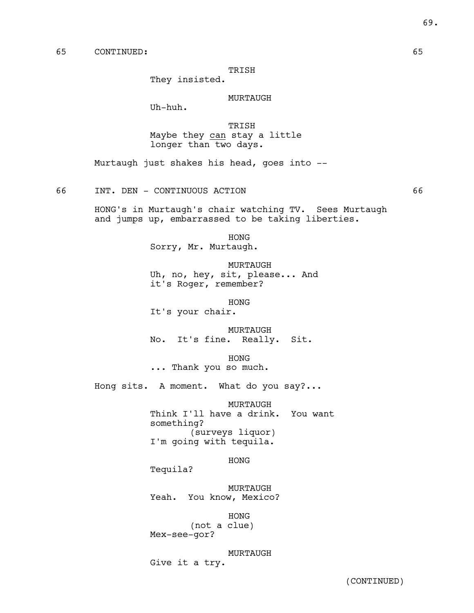# TRISH

They insisted.

### MURTAUGH

Uh-huh.

TRISH Maybe they can stay a little longer than two days.

Murtaugh just shakes his head, goes into --

66 INT. DEN - CONTINUOUS ACTION 66

HONG's in Murtaugh's chair watching TV. Sees Murtaugh and jumps up, embarrassed to be taking liberties.

HONG

Sorry, Mr. Murtaugh.

MURTAUGH

Uh, no, hey, sit, please... And it's Roger, remember?

HONG It's your chair.

MURTAUGH

No. It's fine. Really. Sit.

HONG ... Thank you so much.

Hong sits. A moment. What do you say?...

MURTAUGH Think I'll have a drink. You want something? (surveys liquor) I'm going with tequila.

HONG

Tequila?

MURTAUGH Yeah. You know, Mexico?

HONG (not a clue) Mex-see-gor?

MURTAUGH Give it a try.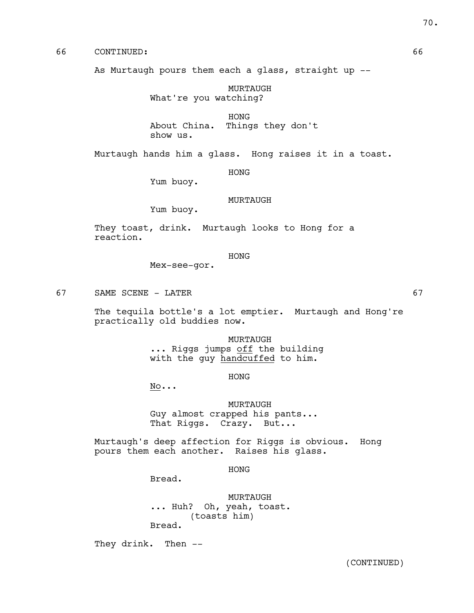# 66 CONTINUED: 66

As Murtaugh pours them each a glass, straight up --

MURTAUGH What're you watching?

HONG About China. Things they don't show us.

Murtaugh hands him a glass. Hong raises it in a toast.

### HONG

Yum buoy.

## MURTAUGH

Yum buoy.

They toast, drink. Murtaugh looks to Hong for a reaction.

## HONG

Mex-see-gor.

67 SAME SCENE - LATER 67

The tequila bottle's a lot emptier. Murtaugh and Hong're practically old buddies now.

> MURTAUGH ... Riggs jumps off the building with the guy handcuffed to him.

> > HONG

 $\underline{\text{No}}\dots$ 

MURTAUGH Guy almost crapped his pants... That Riggs. Crazy. But...

Murtaugh's deep affection for Riggs is obvious. Hong pours them each another. Raises his glass.

HONG

Bread.

MURTAUGH ... Huh? Oh, yeah, toast. (toasts him) Bread.

They drink. Then --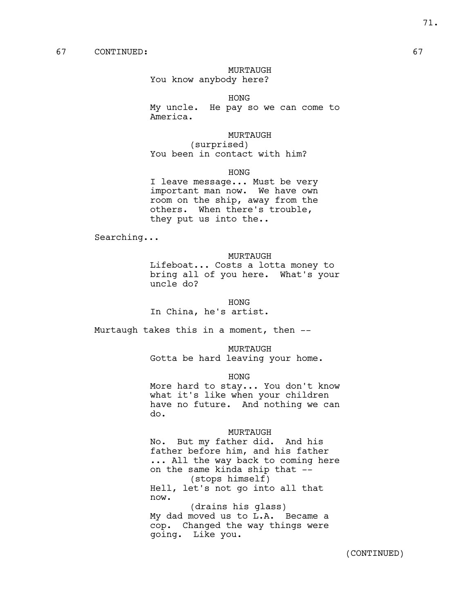MURTAUGH

You know anybody here?

HONG

My uncle. He pay so we can come to America.

### MURTAUGH

(surprised) You been in contact with him?

HONG

I leave message... Must be very important man now. We have own room on the ship, away from the others. When there's trouble, they put us into the..

Searching...

#### MURTAUGH

Lifeboat... Costs a lotta money to bring all of you here. What's your uncle do?

HONG

In China, he's artist.

Murtaugh takes this in a moment, then --

MURTAUGH Gotta be hard leaving your home.

HONG

More hard to stay... You don't know what it's like when your children have no future. And nothing we can do.

#### MURTAUGH

No. But my father did. And his father before him, and his father ... All the way back to coming here on the same kinda ship that -- (stops himself) Hell, let's not go into all that now. (drains his glass)

My dad moved us to L.A. Became a cop. Changed the way things were going. Like you.

71.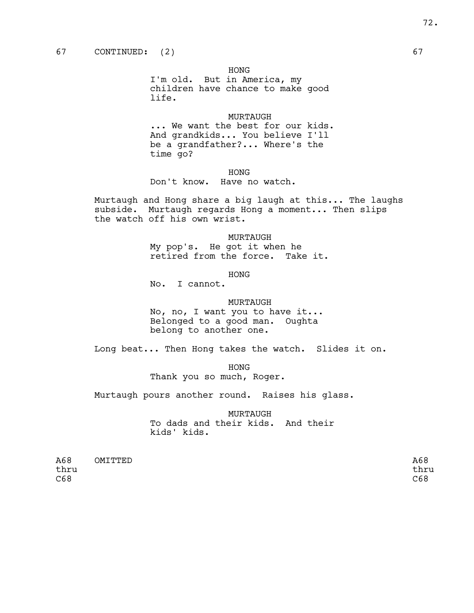HONG

I'm old. But in America, my children have chance to make good life.

## MURTAUGH

... We want the best for our kids. And grandkids... You believe I'll be a grandfather?... Where's the time go?

## HONG

Don't know. Have no watch.

Murtaugh and Hong share a big laugh at this... The laughs subside. Murtaugh regards Hong a moment... Then slips the watch off his own wrist.

### MURTAUGH

My pop's. He got it when he retired from the force. Take it.

## HONG

No. I cannot.

## MURTAUGH

No, no, I want you to have it... Belonged to a good man. Oughta belong to another one.

Long beat... Then Hong takes the watch. Slides it on.

HONG

Thank you so much, Roger.

Murtaugh pours another round. Raises his glass.

MURTAUGH To dads and their kids. And their kids' kids.

| A68  | OMITTED | A68  |
|------|---------|------|
| thru |         | thru |
| C68  |         | C68  |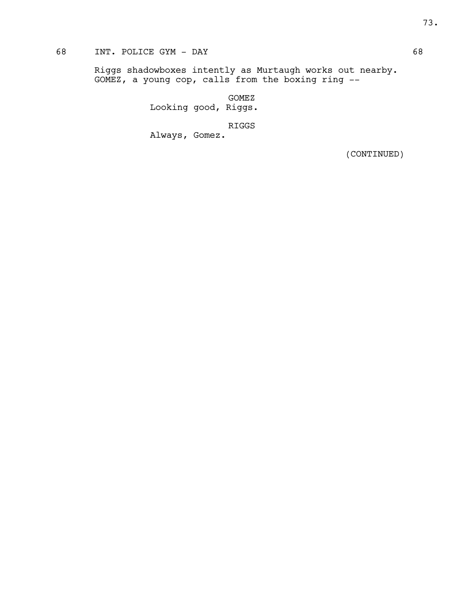# 68 INT. POLICE GYM - DAY 68

Riggs shadowboxes intently as Murtaugh works out nearby. GOMEZ, a young cop, calls from the boxing ring --

> GOMEZ Looking good, Riggs.

> > RIGGS

Always, Gomez.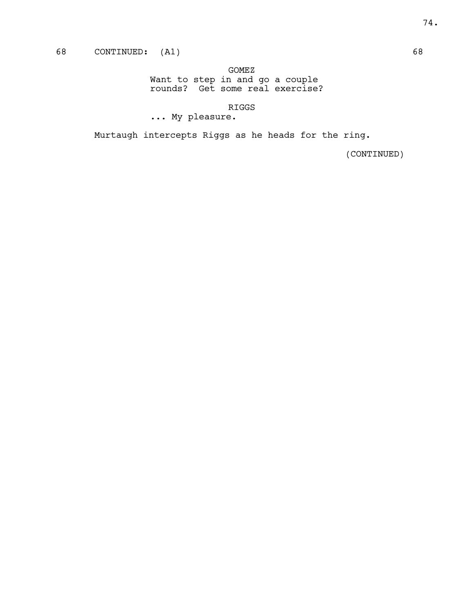GOMEZ

Want to step in and go a couple rounds? Get some real exercise?

RIGGS

... My pleasure.

Murtaugh intercepts Riggs as he heads for the ring.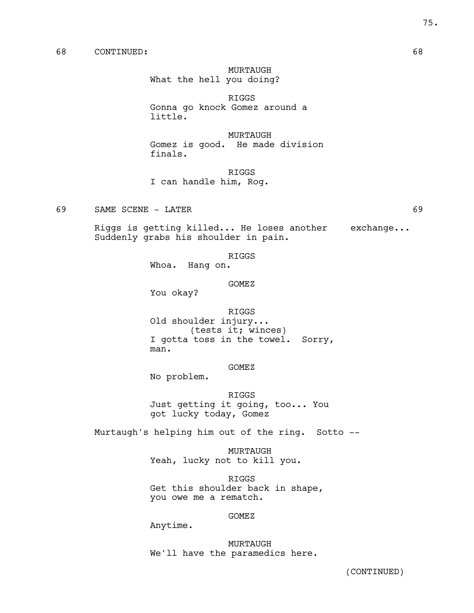MURTAUGH

What the hell you doing?

RIGGS Gonna go knock Gomez around a little.

MURTAUGH Gomez is good. He made division finals.

RIGGS

I can handle him, Rog.

69 SAME SCENE - LATER 69

Riggs is getting killed... He loses another exchange... Suddenly grabs his shoulder in pain.

RIGGS

Whoa. Hang on.

GOMEZ

You okay?

RIGGS

Old shoulder injury... (tests it; winces) I gotta toss in the towel. Sorry, man.

GOMEZ

No problem.

RIGGS Just getting it going, too... You got lucky today, Gomez

Murtaugh's helping him out of the ring. Sotto --

MURTAUGH Yeah, lucky not to kill you.

RIGGS Get this shoulder back in shape, you owe me a rematch.

GOMEZ

Anytime.

MURTAUGH We'll have the paramedics here.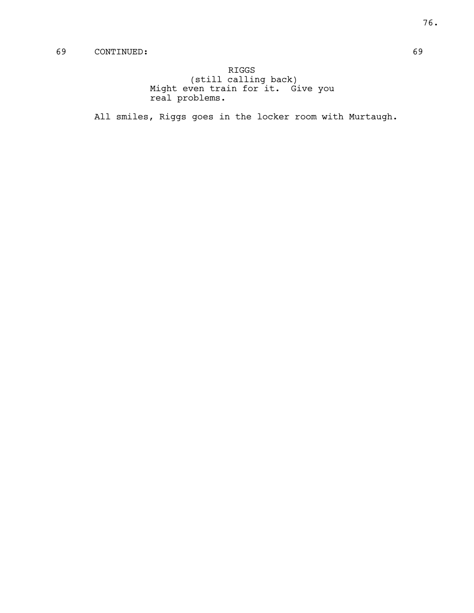RIGGS (still calling back) Might even train for it. Give you real problems.

All smiles, Riggs goes in the locker room with Murtaugh.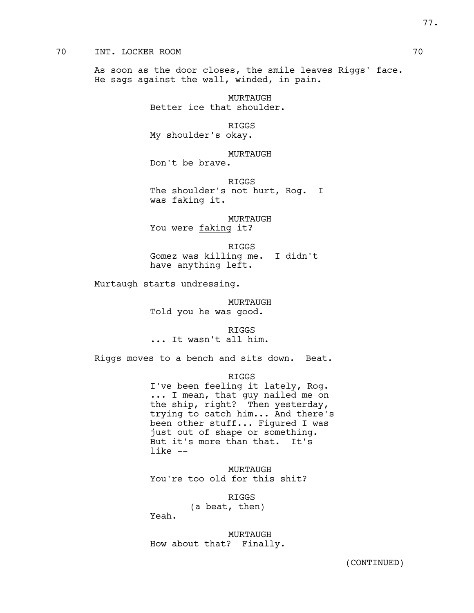# 70 INT. LOCKER ROOM 70

As soon as the door closes, the smile leaves Riggs' face. He sags against the wall, winded, in pain.

> MURTAUGH Better ice that shoulder.

RIGGS My shoulder's okay.

MURTAUGH Don't be brave.

RIGGS The shoulder's not hurt, Rog. I was faking it.

MURTAUGH You were faking it?

RIGGS Gomez was killing me. I didn't have anything left.

Murtaugh starts undressing.

MURTAUGH Told you he was good.

RIGGS ... It wasn't all him.

Riggs moves to a bench and sits down. Beat.

## RIGGS

I've been feeling it lately, Rog. ... I mean, that guy nailed me on the ship, right? Then yesterday, trying to catch him... And there's been other stuff... Figured I was just out of shape or something. But it's more than that. It's like --

MURTAUGH You're too old for this shit?

> RIGGS (a beat, then)

Yeah.

MURTAUGH How about that? Finally.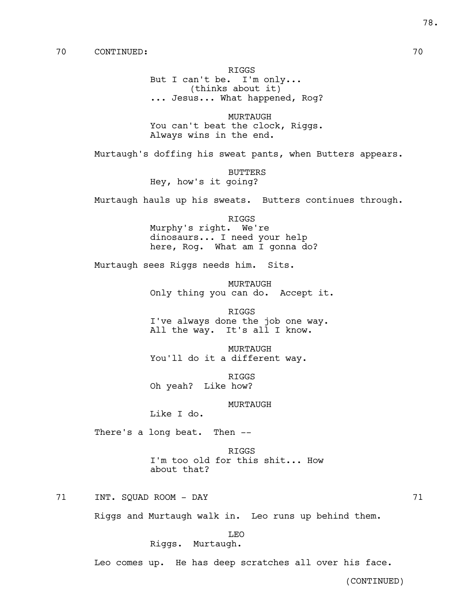RIGGS But I can't be. I'm only... (thinks about it) ... Jesus... What happened, Rog?

MURTAUGH You can't beat the clock, Riggs. Always wins in the end.

Murtaugh's doffing his sweat pants, when Butters appears.

BUTTERS Hey, how's it going?

Murtaugh hauls up his sweats. Butters continues through.

RIGGS Murphy's right. We're dinosaurs... I need your help here, Rog. What am I gonna do?

Murtaugh sees Riggs needs him. Sits.

MURTAUGH Only thing you can do. Accept it.

RIGGS I've always done the job one way. All the way. It's all I know.

MURTAUGH You'll do it a different way.

RIGGS Oh yeah? Like how?

MURTAUGH

Like I do.

There's a long beat. Then --

RIGGS I'm too old for this shit... How about that?

71 INT. SQUAD ROOM - DAY 71

Riggs and Murtaugh walk in. Leo runs up behind them.

LEO

Riggs. Murtaugh.

Leo comes up. He has deep scratches all over his face.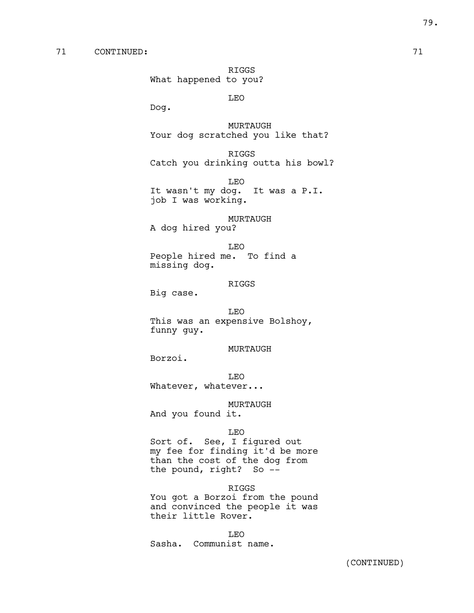RIGGS What happened to you?

LEO

Dog.

MURTAUGH Your dog scratched you like that?

RIGGS Catch you drinking outta his bowl?

LEO It wasn't my dog. It was a P.I. job I was working.

MURTAUGH A dog hired you?

LEO People hired me. To find a missing dog.

### RIGGS

Big case.

### LEO

This was an expensive Bolshoy, funny guy.

MURTAUGH

Borzoi.

LEO Whatever, whatever...

MURTAUGH

And you found it.

### LEO

Sort of. See, I figured out my fee for finding it'd be more than the cost of the dog from the pound, right? So --

### RIGGS

You got a Borzoi from the pound and convinced the people it was their little Rover.

LEO Sasha. Communist name.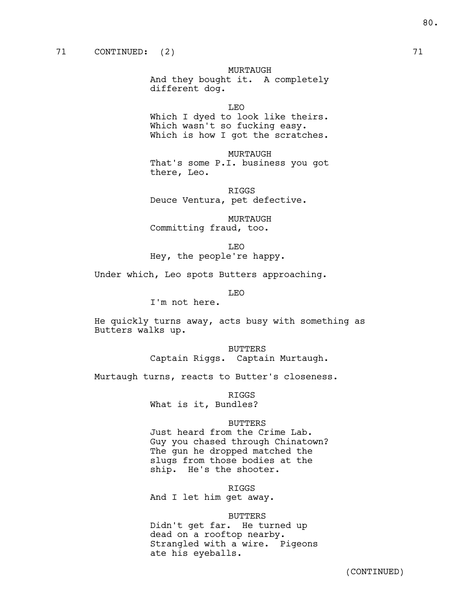MURTAUGH

And they bought it. A completely different dog.

LEO

Which I dyed to look like theirs. Which wasn't so fucking easy. Which is how I got the scratches.

MURTAUGH That's some P.I. business you got there, Leo.

RIGGS Deuce Ventura, pet defective.

MURTAUGH Committing fraud, too.

LEO

Hey, the people're happy.

Under which, Leo spots Butters approaching.

LEO

I'm not here.

He quickly turns away, acts busy with something as Butters walks up.

> BUTTERS Captain Riggs. Captain Murtaugh.

Murtaugh turns, reacts to Butter's closeness.

RIGGS

What is it, Bundles?

## BUTTERS

Just heard from the Crime Lab. Guy you chased through Chinatown? The gun he dropped matched the slugs from those bodies at the ship. He's the shooter.

RIGGS

And I let him get away.

### BUTTERS

Didn't get far. He turned up dead on a rooftop nearby. Strangled with a wire. Pigeons ate his eyeballs.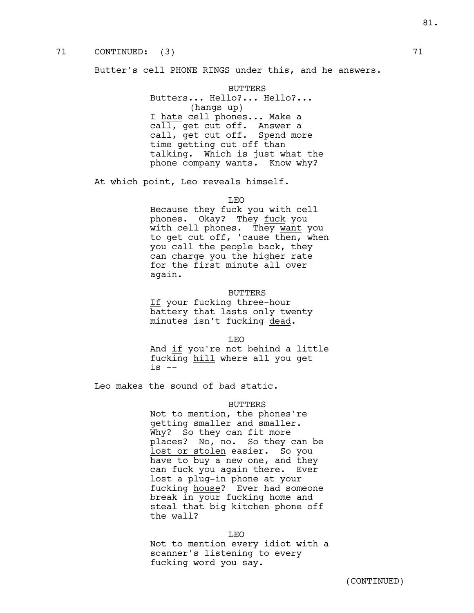# 71 CONTINUED: (3) 71

Butter's cell PHONE RINGS under this, and he answers.

BUTTERS Butters... Hello?... Hello?... (hangs up) I hate cell phones... Make a call, get cut off. Answer a call, get cut off. Spend more time getting cut off than talking. Which is just what the phone company wants. Know why?

At which point, Leo reveals himself.

LEO

Because they fuck you with cell phones. Okay? They fuck you with cell phones. They want you to get cut off, 'cause then, when you call the people back, they can charge you the higher rate for the first minute all over again.

### BUTTERS

If your fucking three-hour battery that lasts only twenty minutes isn't fucking dead.

LEO

And if you're not behind a little fucking hill where all you get  $is$   $-$ 

Leo makes the sound of bad static.

### BUTTERS

Not to mention, the phones're getting smaller and smaller. Why? So they can fit more places? No, no. So they can be lost or stolen easier. So you have to buy a new one, and they can fuck you again there. Ever lost a plug-in phone at your fucking house? Ever had someone break in your fucking home and steal that big kitchen phone off the wall?

LEO

Not to mention every idiot with a scanner's listening to every fucking word you say.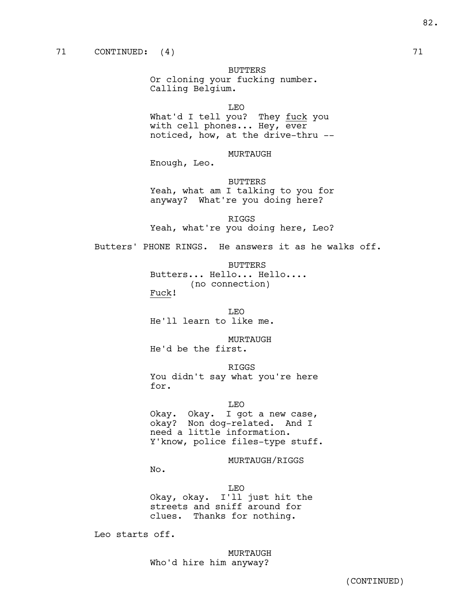BUTTERS

Or cloning your fucking number. Calling Belgium.

LEO

What'd I tell you? They fuck you with cell phones... Hey, ever noticed, how, at the drive-thru --

MURTAUGH

Enough, Leo.

BUTTERS Yeah, what am I talking to you for anyway? What're you doing here?

RIGGS Yeah, what're you doing here, Leo?

Butters' PHONE RINGS. He answers it as he walks off.

BUTTERS

Butters... Hello... Hello.... (no connection)

Fuck!

LEO He'll learn to like me.

MURTAUGH

He'd be the first.

RIGGS

You didn't say what you're here for.

LEO

Okay. Okay. I got a new case, okay? Non dog-related. And I need a little information. Y'know, police files-type stuff.

MURTAUGH/RIGGS

No.

LEO Okay, okay. I'll just hit the streets and sniff around for clues. Thanks for nothing.

Leo starts off.

MURTAUGH Who'd hire him anyway?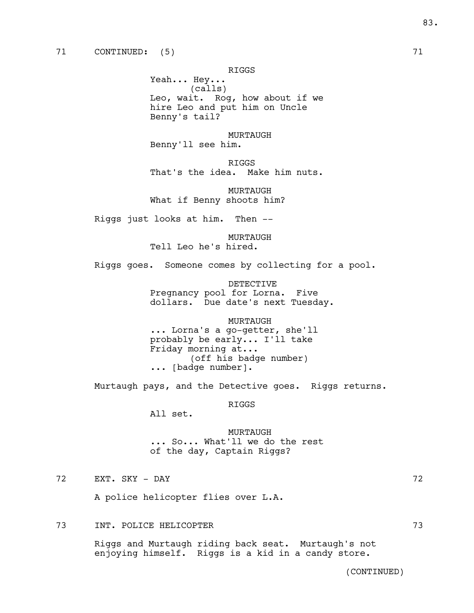RIGGS

Yeah... Hey... (calls) Leo, wait. Rog, how about if we hire Leo and put him on Uncle Benny's tail?

MURTAUGH Benny'll see him.

RIGGS That's the idea. Make him nuts.

MURTAUGH What if Benny shoots him?

Riggs just looks at him. Then --

MURTAUGH

Tell Leo he's hired.

Riggs goes. Someone comes by collecting for a pool.

DETECTIVE Pregnancy pool for Lorna. Five dollars. Due date's next Tuesday.

MURTAUGH ... Lorna's a go-getter, she'll probably be early... I'll take Friday morning at... (off his badge number) ... [badge number].

Murtaugh pays, and the Detective goes. Riggs returns.

RIGGS

All set.

MURTAUGH ... So... What'll we do the rest of the day, Captain Riggs?

# 72 EXT. SKY - DAY 72

A police helicopter flies over L.A.

# 73 INT. POLICE HELICOPTER 73

Riggs and Murtaugh riding back seat. Murtaugh's not enjoying himself. Riggs is a kid in a candy store.

83.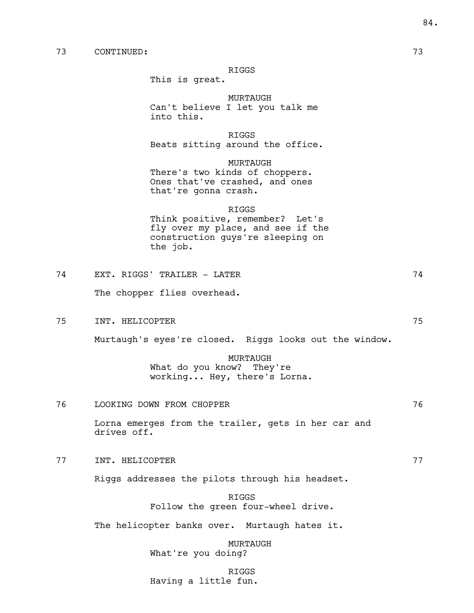# 73 CONTINUED: 73

### RIGGS

This is great.

MURTAUGH Can't believe I let you talk me into this.

RIGGS Beats sitting around the office.

MURTAUGH There's two kinds of choppers. Ones that've crashed, and ones that're gonna crash.

### RIGGS

Think positive, remember? Let's fly over my place, and see if the construction guys're sleeping on the job.

| 74 | EXT. RIGGS' TRAILER - LATER | 74 |
|----|-----------------------------|----|
|    | The chopper flies overhead. |    |

75 INT. HELICOPTER 75

Murtaugh's eyes're closed. Riggs looks out the window.

# MURTAUGH What do you know? They're working... Hey, there's Lorna.

76 LOOKING DOWN FROM CHOPPER 76

Lorna emerges from the trailer, gets in her car and drives off.

77 INT. HELICOPTER 77

Riggs addresses the pilots through his headset.

RIGGS Follow the green four-wheel drive.

The helicopter banks over. Murtaugh hates it.

MURTAUGH What're you doing?

RIGGS

Having a little fun.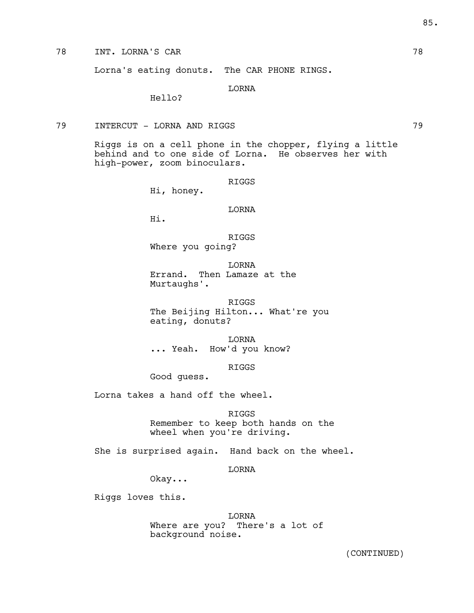Lorna's eating donuts. The CAR PHONE RINGS.

LORNA

Hello?

# 79 INTERCUT - LORNA AND RIGGS 79

Riggs is on a cell phone in the chopper, flying a little behind and to one side of Lorna. He observes her with high-power, zoom binoculars.

RIGGS

Hi, honey.

LORNA

Hi.

RIGGS Where you going?

LORNA Errand. Then Lamaze at the Murtaughs'.

RIGGS The Beijing Hilton... What're you eating, donuts?

LORNA ... Yeah. How'd you know?

RIGGS

Good guess.

Lorna takes a hand off the wheel.

RIGGS

Remember to keep both hands on the wheel when you're driving.

She is surprised again. Hand back on the wheel.

LORNA

Okay...

Riggs loves this.

LORNA Where are you? There's a lot of background noise.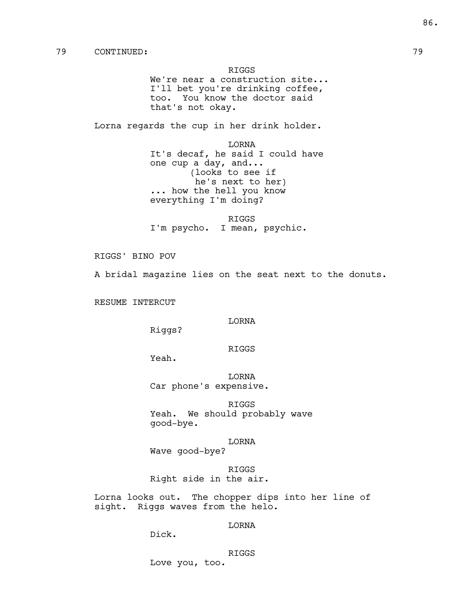RIGGS

We're near a construction site... I'll bet you're drinking coffee, too. You know the doctor said that's not okay.

Lorna regards the cup in her drink holder.

LORNA It's decaf, he said I could have one cup a day, and... (looks to see if he's next to her) ... how the hell you know everything I'm doing?

RIGGS I'm psycho. I mean, psychic.

RIGGS' BINO POV

A bridal magazine lies on the seat next to the donuts.

RESUME INTERCUT

# LORNA

Riggs?

# RIGGS

Yeah.

LORNA Car phone's expensive.

RIGGS Yeah. We should probably wave good-bye.

LORNA

Wave good-bye?

RIGGS Right side in the air.

Lorna looks out. The chopper dips into her line of sight. Riggs waves from the helo.

# LORNA

Dick.

RIGGS Love you, too.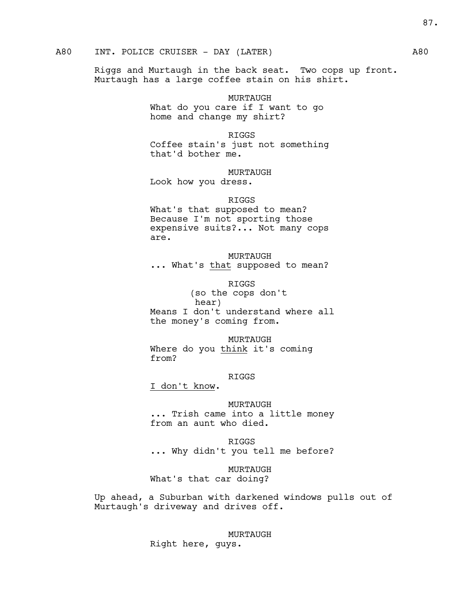# A80 INT. POLICE CRUISER - DAY (LATER) A80

Riggs and Murtaugh in the back seat. Two cops up front. Murtaugh has a large coffee stain on his shirt.

> MURTAUGH What do you care if I want to go home and change my shirt?

### RIGGS

Coffee stain's just not something that'd bother me.

MURTAUGH

Look how you dress.

RIGGS

What's that supposed to mean? Because I'm not sporting those expensive suits?... Not many cops are.

# MURTAUGH

... What's that supposed to mean?

RIGGS

(so the cops don't hear) Means I don't understand where all the money's coming from.

### MURTAUGH

Where do you think it's coming from?

## RIGGS

I don't know.

### MURTAUGH

... Trish came into a little money from an aunt who died.

RIGGS ... Why didn't you tell me before?

MURTAUGH What's that car doing?

Up ahead, a Suburban with darkened windows pulls out of Murtaugh's driveway and drives off.

> MURTAUGH Right here, guys.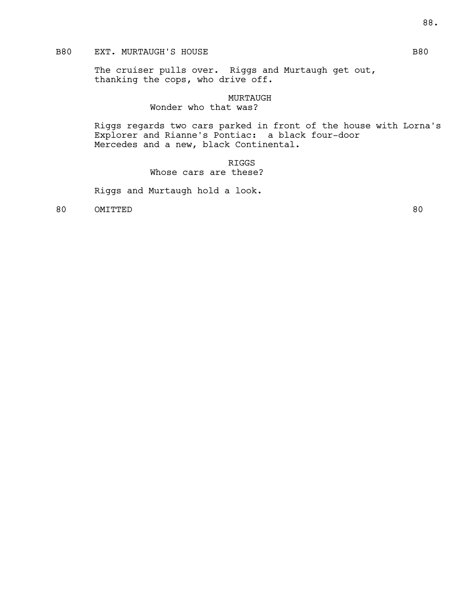# B80 EXT. MURTAUGH'S HOUSE B80

The cruiser pulls over. Riggs and Murtaugh get out, thanking the cops, who drive off.

# MURTAUGH

# Wonder who that was?

Riggs regards two cars parked in front of the house with Lorna's Explorer and Rianne's Pontiac: a black four-door Mercedes and a new, black Continental.

> RIGGS Whose cars are these?

Riggs and Murtaugh hold a look.

80 OMITTED 80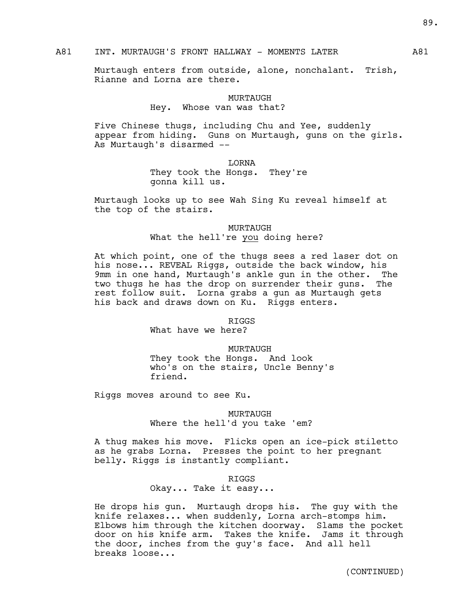# A81 INT. MURTAUGH'S FRONT HALLWAY - MOMENTS LATER A81

Murtaugh enters from outside, alone, nonchalant. Trish, Rianne and Lorna are there.

# MURTAUGH Hey. Whose van was that?

Five Chinese thugs, including Chu and Yee, suddenly appear from hiding. Guns on Murtaugh, guns on the girls. As Murtaugh's disarmed --

LORNA

They took the Hongs. They're gonna kill us.

Murtaugh looks up to see Wah Sing Ku reveal himself at the top of the stairs.

> MURTAUGH What the hell're you doing here?

At which point, one of the thugs sees a red laser dot on his nose... REVEAL Riggs, outside the back window, his 9mm in one hand, Murtaugh's ankle gun in the other. The two thugs he has the drop on surrender their guns. The rest follow suit. Lorna grabs a gun as Murtaugh gets his back and draws down on Ku. Riggs enters.

RIGGS

What have we here?

MURTAUGH They took the Hongs. And look who's on the stairs, Uncle Benny's friend.

Riggs moves around to see Ku.

MURTAUGH Where the hell'd you take 'em?

A thug makes his move. Flicks open an ice-pick stiletto as he grabs Lorna. Presses the point to her pregnant belly. Riggs is instantly compliant.

RIGGS

Okay... Take it easy...

He drops his gun. Murtaugh drops his. The guy with the knife relaxes... when suddenly, Lorna arch-stomps him. Elbows him through the kitchen doorway. Slams the pocket door on his knife arm. Takes the knife. Jams it through the door, inches from the guy's face. And all hell breaks loose...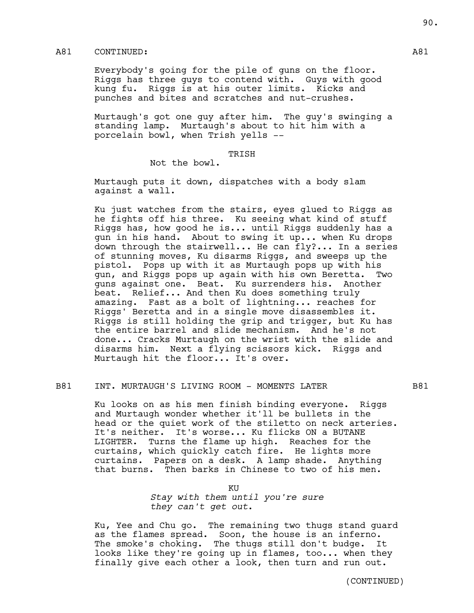# A81 CONTINUED: A81

Everybody's going for the pile of guns on the floor. Riggs has three guys to contend with. Guys with good kung fu. Riggs is at his outer limits. Kicks and punches and bites and scratches and nut-crushes.

Murtaugh's got one guy after him. The guy's swinging a standing lamp. Murtaugh's about to hit him with a porcelain bowl, when Trish yells --

## TRISH

Not the bowl.

Murtaugh puts it down, dispatches with a body slam against a wall.

Ku just watches from the stairs, eyes glued to Riggs as he fights off his three. Ku seeing what kind of stuff Riggs has, how good he is... until Riggs suddenly has a gun in his hand. About to swing it up... when Ku drops down through the stairwell... He can fly?... In a series of stunning moves, Ku disarms Riggs, and sweeps up the pistol. Pops up with it as Murtaugh pops up with his gun, and Riggs pops up again with his own Beretta. Two guns against one. Beat. Ku surrenders his. Another beat. Relief... And then Ku does something truly amazing. Fast as a bolt of lightning... reaches for Riggs' Beretta and in a single move disassembles it. Riggs is still holding the grip and trigger, but Ku has the entire barrel and slide mechanism. And he's not done... Cracks Murtaugh on the wrist with the slide and disarms him. Next a flying scissors kick. Riggs and Murtaugh hit the floor... It's over.

### B81 INT. MURTAUGH'S LIVING ROOM - MOMENTS LATER B81

Ku looks on as his men finish binding everyone. Riggs and Murtaugh wonder whether it'll be bullets in the head or the quiet work of the stiletto on neck arteries. It's neither. It's worse... Ku flicks ON a BUTANE LIGHTER. Turns the flame up high. Reaches for the curtains, which quickly catch fire. He lights more curtains. Papers on a desk. A lamp shade. Anything that burns. Then barks in Chinese to two of his men.

> KU *Stay with them until you're sure they can't get out*.

Ku, Yee and Chu go. The remaining two thugs stand guard as the flames spread. Soon, the house is an inferno. The smoke's choking. The thugs still don't budge. It looks like they're going up in flames, too... when they finally give each other a look, then turn and run out.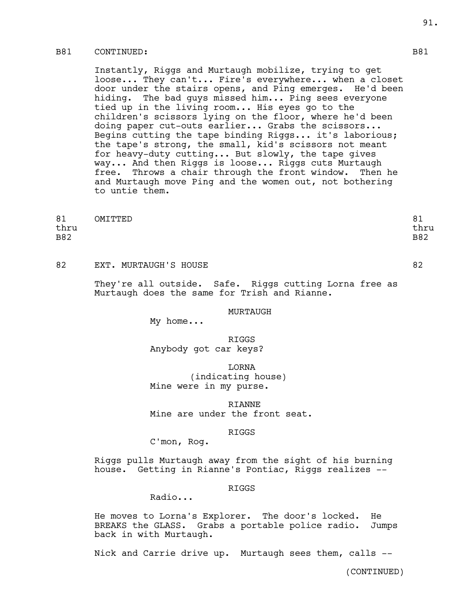# B81 CONTINUED: B81

Instantly, Riggs and Murtaugh mobilize, trying to get loose... They can't... Fire's everywhere... when a closet door under the stairs opens, and Ping emerges. He'd been hiding. The bad guys missed him... Ping sees everyone tied up in the living room... His eyes go to the children's scissors lying on the floor, where he'd been doing paper cut-outs earlier... Grabs the scissors... Begins cutting the tape binding Riggs... it's laborious; the tape's strong, the small, kid's scissors not meant for heavy-duty cutting... But slowly, the tape gives way... And then Riggs is loose... Riggs cuts Murtaugh free. Throws a chair through the front window. Then he and Murtaugh move Ping and the women out, not bothering to untie them.

| 81         | OMITTED | o٦<br>○⊥   |
|------------|---------|------------|
| thru       |         | thru       |
| <b>B82</b> |         | <b>B82</b> |

82 EXT. MURTAUGH'S HOUSE 82

They're all outside. Safe. Riggs cutting Lorna free as Murtaugh does the same for Trish and Rianne.

### MURTAUGH

My home...

# RIGGS Anybody got car keys?

LORNA

(indicating house) Mine were in my purse.

RIANNE Mine are under the front seat.

### RIGGS

C'mon, Rog.

Riggs pulls Murtaugh away from the sight of his burning house. Getting in Rianne's Pontiac, Riggs realizes --

### RIGGS

Radio...

He moves to Lorna's Explorer. The door's locked. He BREAKS the GLASS. Grabs a portable police radio. Jumps back in with Murtaugh.

Nick and Carrie drive up. Murtaugh sees them, calls --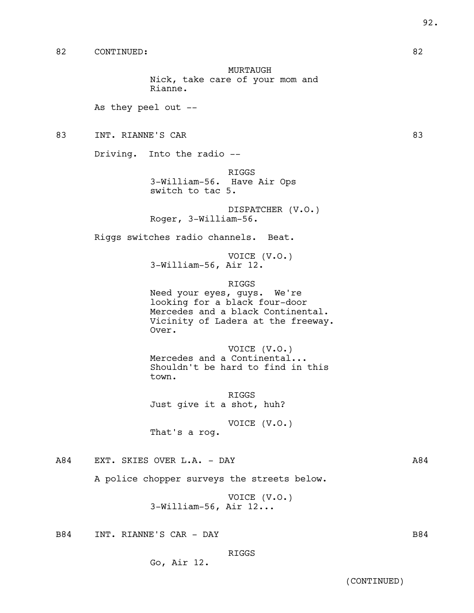MURTAUGH Nick, take care of your mom and Rianne.

As they peel out --

83 INT. RIANNE'S CAR 83

Driving. Into the radio --

RIGGS 3-William-56. Have Air Ops switch to tac 5.

DISPATCHER (V.O.) Roger, 3-William-56.

Riggs switches radio channels. Beat.

VOICE (V.O.) 3-William-56, Air 12.

RIGGS

Need your eyes, guys. We're looking for a black four-door Mercedes and a black Continental. Vicinity of Ladera at the freeway. Over.

VOICE (V.O.) Mercedes and a Continental... Shouldn't be hard to find in this town.

RIGGS Just give it a shot, huh?

VOICE (V.O.) That's a rog.

A84 EXT. SKIES OVER L.A. - DAY A84

A police chopper surveys the streets below.

VOICE (V.O.) 3-William-56, Air 12...

B84 INT. RIANNE'S CAR - DAY B84

RIGGS

Go, Air 12.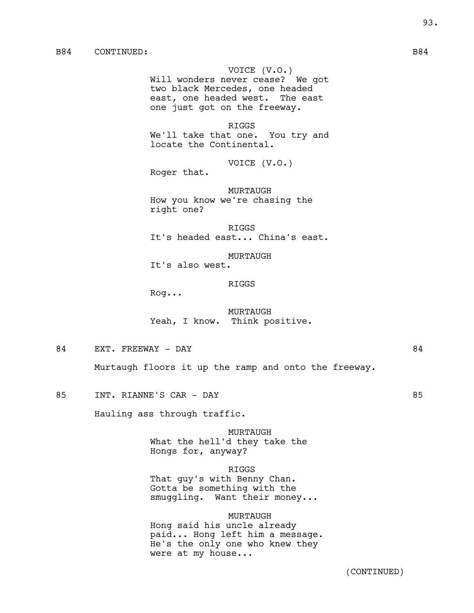VOICE (V.O.) Will wonders never cease? We got two black Mercedes, one headed east, one headed west. The east one just got on the freeway.

RIGGS We'll take that one. You try and locate the Continental.

VOICE (V.O.)

Roger that.

MURTAUGH How you know we're chasing the right one?

RIGGS It's headed east... China's east.

MURTAUGH It's also west.

### RIGGS

Rog...

MURTAUGH Yeah, I know. Think positive.

84 EXT. FREEWAY - DAY 84

Murtaugh floors it up the ramp and onto the freeway.

85 INT. RIANNE'S CAR - DAY 85

Hauling ass through traffic.

MURTAUGH What the hell'd they take the Hongs for, anyway?

RIGGS

That guy's with Benny Chan. Gotta be something with the smuggling. Want their money...

### MURTAUGH

Hong said his uncle already paid... Hong left him a message. He's the only one who knew they were at my house...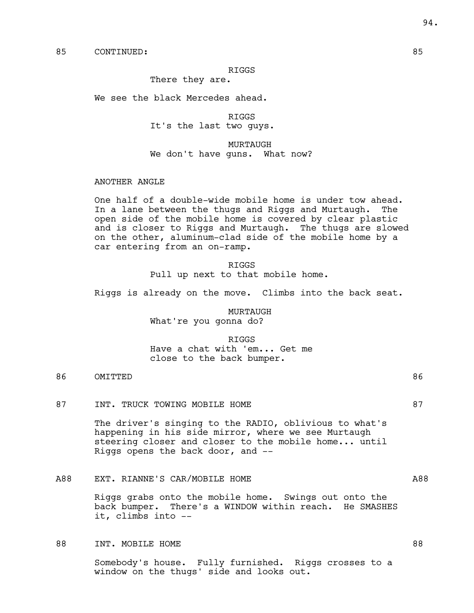### RIGGS

There they are.

We see the black Mercedes ahead.

RIGGS It's the last two guys.

MURTAUGH We don't have guns. What now?

### ANOTHER ANGLE

One half of a double-wide mobile home is under tow ahead. In a lane between the thugs and Riggs and Murtaugh. The open side of the mobile home is covered by clear plastic and is closer to Riggs and Murtaugh. The thugs are slowed on the other, aluminum-clad side of the mobile home by a car entering from an on-ramp.

> RIGGS Pull up next to that mobile home.

Riggs is already on the move. Climbs into the back seat.

MURTAUGH What're you gonna do?

### RIGGS

Have a chat with 'em... Get me close to the back bumper.

# 86 OMITTED 86

87 INT. TRUCK TOWING MOBILE HOME 87

The driver's singing to the RADIO, oblivious to what's happening in his side mirror, where we see Murtaugh steering closer and closer to the mobile home... until Riggs opens the back door, and --

A88 EXT. RIANNE'S CAR/MOBILE HOME A88

Riggs grabs onto the mobile home. Swings out onto the back bumper. There's a WINDOW within reach. He SMASHES it, climbs into --

### 88 INT. MOBILE HOME 88

Somebody's house. Fully furnished. Riggs crosses to a window on the thugs' side and looks out.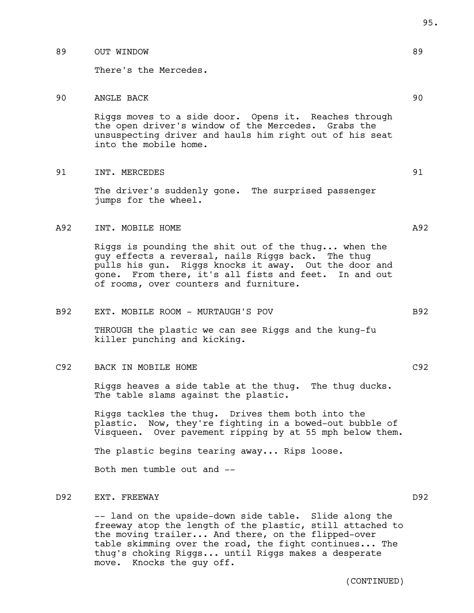## 89 OUT WINDOW 89

There's the Mercedes.

# 90 ANGLE BACK 90

Riggs moves to a side door. Opens it. Reaches through the open driver's window of the Mercedes. Grabs the unsuspecting driver and hauls him right out of his seat into the mobile home.

## 91 INT. MERCEDES 91

The driver's suddenly gone. The surprised passenger jumps for the wheel.

## A92 INT. MOBILE HOME A92

Riggs is pounding the shit out of the thug... when the guy effects a reversal, nails Riggs back. The thug pulls his gun. Riggs knocks it away. Out the door and gone. From there, it's all fists and feet. In and out of rooms, over counters and furniture.

### B92 EXT. MOBILE ROOM - MURTAUGH'S POV B92

THROUGH the plastic we can see Riggs and the kung-fu killer punching and kicking.

# C92 BACK IN MOBILE HOME C92

Riggs heaves a side table at the thug. The thug ducks. The table slams against the plastic.

Riggs tackles the thug. Drives them both into the plastic. Now, they're fighting in a bowed-out bubble of Visqueen. Over pavement ripping by at 55 mph below them.

The plastic begins tearing away... Rips loose.

Both men tumble out and --

# D92 EXT. FREEWAY D92

-- land on the upside-down side table. Slide along the freeway atop the length of the plastic, still attached to the moving trailer... And there, on the flipped-over table skimming over the road, the fight continues... The thug's choking Riggs... until Riggs makes a desperate move. Knocks the guy off.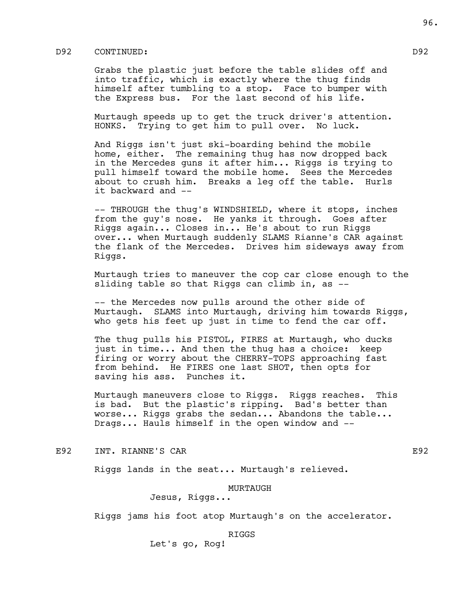# D92 CONTINUED: D92

Grabs the plastic just before the table slides off and into traffic, which is exactly where the thug finds himself after tumbling to a stop. Face to bumper with the Express bus. For the last second of his life.

Murtaugh speeds up to get the truck driver's attention. HONKS. Trying to get him to pull over. No luck.

And Riggs isn't just ski-boarding behind the mobile home, either. The remaining thug has now dropped back in the Mercedes guns it after him... Riggs is trying to pull himself toward the mobile home. Sees the Mercedes about to crush him. Breaks a leg off the table. Hurls it backward and --

-- THROUGH the thug's WINDSHIELD, where it stops, inches from the guy's nose. He yanks it through. Goes after Riggs again... Closes in... He's about to run Riggs over... when Murtaugh suddenly SLAMS Rianne's CAR against the flank of the Mercedes. Drives him sideways away from Riggs.

Murtaugh tries to maneuver the cop car close enough to the sliding table so that Riggs can climb in, as --

-- the Mercedes now pulls around the other side of Murtaugh. SLAMS into Murtaugh, driving him towards Riggs, who gets his feet up just in time to fend the car off.

The thug pulls his PISTOL, FIRES at Murtaugh, who ducks just in time... And then the thug has a choice: keep firing or worry about the CHERRY-TOPS approaching fast from behind. He FIRES one last SHOT, then opts for saving his ass. Punches it.

Murtaugh maneuvers close to Riggs. Riggs reaches. This is bad. But the plastic's ripping. Bad's better than worse... Riggs grabs the sedan... Abandons the table... Drags... Hauls himself in the open window and --

E92 INT. RIANNE'S CAR E92

Riggs lands in the seat... Murtaugh's relieved.

## MURTAUGH

Jesus, Riggs...

Riggs jams his foot atop Murtaugh's on the accelerator.

RIGGS

Let's go, Rog!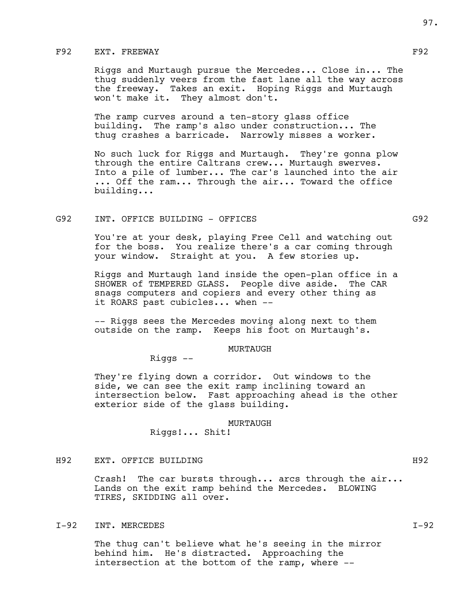# F92 EXT. FREEWAY FOR THE SERVICE SERVICE SERVICE SERVICE SERVICE SERVICE SERVICE SERVICE SERVICE SERVICE SERVICE

Riggs and Murtaugh pursue the Mercedes... Close in... The thug suddenly veers from the fast lane all the way across the freeway. Takes an exit. Hoping Riggs and Murtaugh won't make it. They almost don't.

The ramp curves around a ten-story glass office building. The ramp's also under construction... The thug crashes a barricade. Narrowly misses a worker.

No such luck for Riggs and Murtaugh. They're gonna plow through the entire Caltrans crew... Murtaugh swerves. Into a pile of lumber... The car's launched into the air ... Off the ram... Through the air... Toward the office building...

## G92 INT. OFFICE BUILDING - OFFICES G92

You're at your desk, playing Free Cell and watching out for the boss. You realize there's a car coming through your window. Straight at you. A few stories up.

Riggs and Murtaugh land inside the open-plan office in a SHOWER of TEMPERED GLASS. People dive aside. The CAR snags computers and copiers and every other thing as it ROARS past cubicles... when --

-- Riggs sees the Mercedes moving along next to them outside on the ramp. Keeps his foot on Murtaugh's.

### MURTAUGH

Riggs --

They're flying down a corridor. Out windows to the side, we can see the exit ramp inclining toward an intersection below. Fast approaching ahead is the other exterior side of the glass building.

### MURTAUGH

Riggs!... Shit!

# H92 EXT. OFFICE BUILDING H92

Crash! The car bursts through... arcs through the air... Lands on the exit ramp behind the Mercedes. BLOWING TIRES, SKIDDING all over.

# I-92 INT. MERCEDES **I-92**

The thug can't believe what he's seeing in the mirror behind him. He's distracted. Approaching the intersection at the bottom of the ramp, where --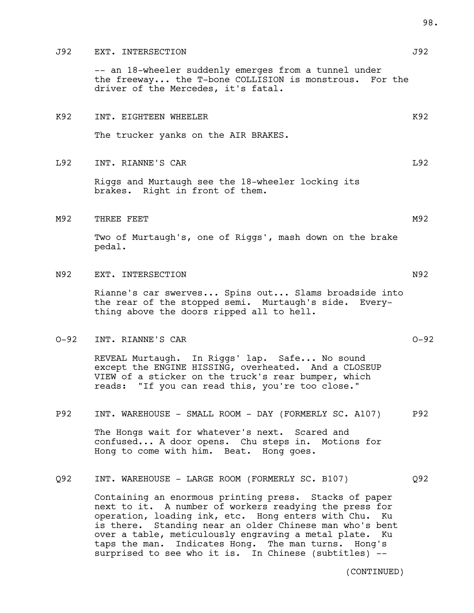## J92 EXT. INTERSECTION J92

-- an 18-wheeler suddenly emerges from a tunnel under the freeway... the T-bone COLLISION is monstrous. For the driver of the Mercedes, it's fatal.

# K92 INT. EIGHTEEN WHEELER KONGRESS AND THE MANUSCRIPT OF THE ROOM CONGRESS AND THE ROOM CONGRESS AND MANUSCRIPT OF THE ROOM CONGRESS AND MANUSCRIPT OF THE ROOM OF THE ROOM CONGRESS AND MANUSCRIPT OF THE ROOM OF THE ROOM OF

The trucker yanks on the AIR BRAKES.

## L92 INT. RIANNE'S CAR L92

Riggs and Murtaugh see the 18-wheeler locking its brakes. Right in front of them.

### M92 THREE FEET MANUSCRIPT WAS CONSUMING TO A 2 YO F. THE RESIDENT WAS CONSUMING TO A 2 YO F. THE RESIDENCE OF A 2 YO F. THE RESIDENCE OF A 2 YO F. THE RESIDENCE OF A 2 YO F. THE RESIDENCE OF A 2 YO F. THE RESIDENCE OF A 2

Two of Murtaugh's, one of Riggs', mash down on the brake pedal.

# N92 EXT. INTERSECTION N92

Rianne's car swerves... Spins out... Slams broadside into the rear of the stopped semi. Murtaugh's side. Everything above the doors ripped all to hell.

### O-92 INT. RIANNE'S CAR O-92

REVEAL Murtaugh. In Riggs' lap. Safe... No sound except the ENGINE HISSING, overheated. And a CLOSEUP VIEW of a sticker on the truck's rear bumper, which reads: "If you can read this, you're too close."

# P92 INT. WAREHOUSE - SMALL ROOM - DAY (FORMERLY SC. A107) P92

The Hongs wait for whatever's next. Scared and confused... A door opens. Chu steps in. Motions for Hong to come with him. Beat. Hong goes.

## Q92 INT. WAREHOUSE - LARGE ROOM (FORMERLY SC. B107) Q92

Containing an enormous printing press. Stacks of paper next to it. A number of workers readying the press for operation, loading ink, etc. Hong enters with Chu. Ku is there. Standing near an older Chinese man who's bent over a table, meticulously engraving a metal plate. Ku taps the man. Indicates Hong. The man turns. Hong's surprised to see who it is. In Chinese (subtitles) --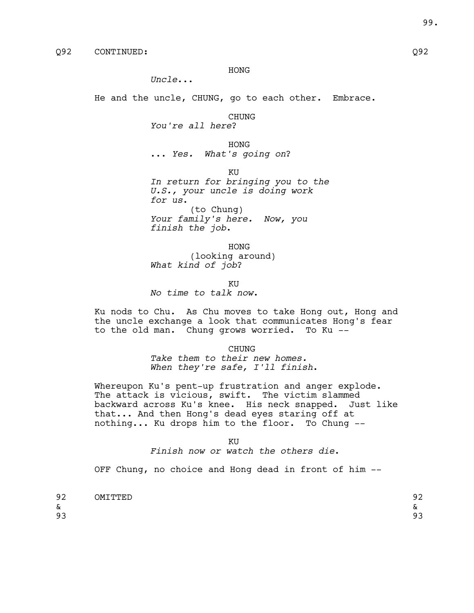HONG

*Uncle*...

He and the uncle, CHUNG, go to each other. Embrace.

CHUNG

*You're all here*?

HONG ... *Yes. What's going on*?

KU

*In return for bringing you to the U.S., your uncle is doing work for us*. (to Chung) *Your family's here. Now, you finish the job*.

HONG (looking around) *What kind of job*?

KU *No time to talk now*.

Ku nods to Chu. As Chu moves to take Hong out, Hong and the uncle exchange a look that communicates Hong's fear to the old man. Chung grows worried. To Ku --

> CHUNG *Take them to their new homes. When they're safe, I'll finish*.

Whereupon Ku's pent-up frustration and anger explode. The attack is vicious, swift. The victim slammed backward across Ku's knee. His neck snapped. Just like that... And then Hong's dead eyes staring off at nothing... Ku drops him to the floor. To Chung --

KU

*Finish now or watch the others die*.

OFF Chung, no choice and Hong dead in front of him --

| 92 | <b>OMTTTTED</b> | n c<br>ے ، |
|----|-----------------|------------|
| &  |                 | ົ<br>-     |
| 93 |                 | റാ<br>ر ر  |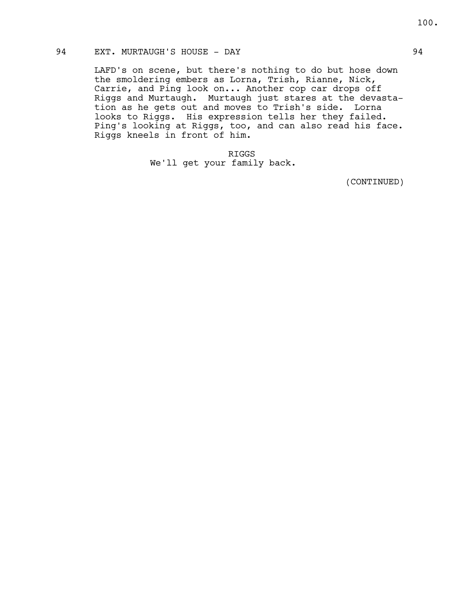# 94 EXT. MURTAUGH'S HOUSE - DAY 64

LAFD's on scene, but there's nothing to do but hose down the smoldering embers as Lorna, Trish, Rianne, Nick, Carrie, and Ping look on... Another cop car drops off Riggs and Murtaugh. Murtaugh just stares at the devastation as he gets out and moves to Trish's side. Lorna looks to Riggs. His expression tells her they failed. Ping's looking at Riggs, too, and can also read his face. Riggs kneels in front of him.

> RIGGS We'll get your family back.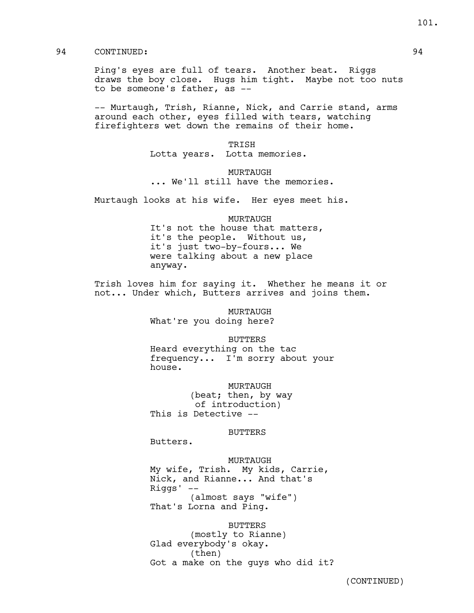# 94 CONTINUED: 94

Ping's eyes are full of tears. Another beat. Riggs draws the boy close. Hugs him tight. Maybe not too nuts to be someone's father, as --

-- Murtaugh, Trish, Rianne, Nick, and Carrie stand, arms around each other, eyes filled with tears, watching firefighters wet down the remains of their home.

> TRISH Lotta years. Lotta memories.

MURTAUGH ... We'll still have the memories.

Murtaugh looks at his wife. Her eyes meet his.

MURTAUGH

It's not the house that matters, it's the people. Without us, it's just two-by-fours... We were talking about a new place anyway.

Trish loves him for saying it. Whether he means it or not... Under which, Butters arrives and joins them.

> MURTAUGH What're you doing here?

> > BUTTERS

Heard everything on the tac frequency... I'm sorry about your house.

MURTAUGH

(beat; then, by way of introduction) This is Detective --

### BUTTERS

Butters.

## MURTAUGH

My wife, Trish. My kids, Carrie, Nick, and Rianne... And that's Riggs' -- (almost says "wife") That's Lorna and Ping.

BUTTERS (mostly to Rianne) Glad everybody's okay. (then) Got a make on the guys who did it? 101.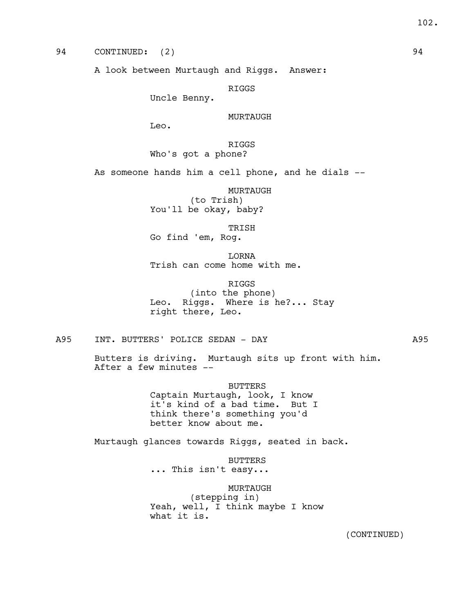94 CONTINUED: (2) 94

A look between Murtaugh and Riggs. Answer:

RIGGS

Uncle Benny.

MURTAUGH

Leo.

RIGGS Who's got a phone?

As someone hands him a cell phone, and he dials --

MURTAUGH (to Trish) You'll be okay, baby?

TRISH Go find 'em, Rog.

LORNA Trish can come home with me.

RIGGS (into the phone) Leo. Riggs. Where is he?... Stay right there, Leo.

A95 INT. BUTTERS' POLICE SEDAN - DAY A95

Butters is driving. Murtaugh sits up front with him. After a few minutes --

BUTTERS

Captain Murtaugh, look, I know it's kind of a bad time. But I think there's something you'd better know about me.

Murtaugh glances towards Riggs, seated in back.

BUTTERS ... This isn't easy...

MURTAUGH (stepping in) Yeah, well, I think maybe I know what it is.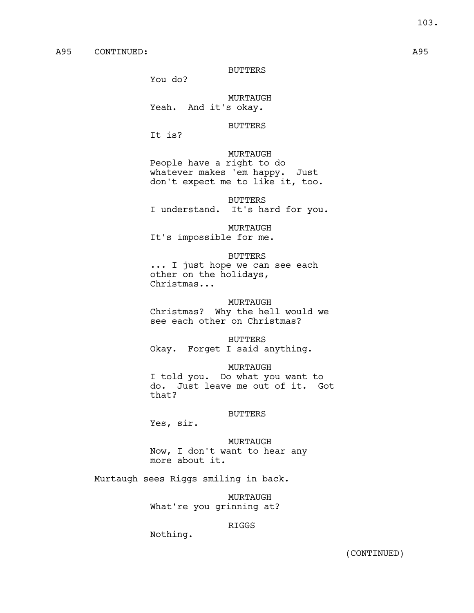BUTTERS

You do?

MURTAUGH Yeah. And it's okay.

# BUTTERS

It is?

# MURTAUGH

People have a right to do whatever makes 'em happy. Just don't expect me to like it, too.

BUTTERS I understand. It's hard for you.

MURTAUGH It's impossible for me.

### BUTTERS

... I just hope we can see each other on the holidays, Christmas...

### MURTAUGH

Christmas? Why the hell would we see each other on Christmas?

### BUTTERS

Okay. Forget I said anything.

### MURTAUGH

I told you. Do what you want to do. Just leave me out of it. Got that?

### BUTTERS

Yes, sir.

MURTAUGH Now, I don't want to hear any more about it.

Murtaugh sees Riggs smiling in back.

MURTAUGH What're you grinning at?

## RIGGS

Nothing.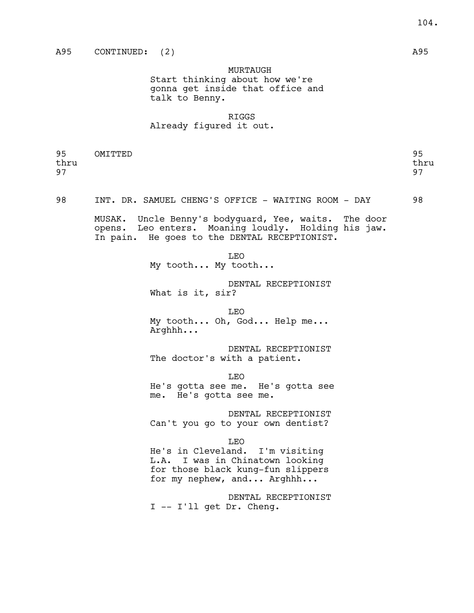MURTAUGH Start thinking about how we're gonna get inside that office and talk to Benny.

# RIGGS Already figured it out.

| 95   | OMITTED | 95   |
|------|---------|------|
| thru |         | thru |
| 97   |         | 97   |
|      |         |      |

98 INT. DR. SAMUEL CHENG'S OFFICE - WAITING ROOM - DAY 98

MUSAK. Uncle Benny's bodyguard, Yee, waits. The door opens. Leo enters. Moaning loudly. Holding his jaw. In pain. He goes to the DENTAL RECEPTIONIST.

> LEO My tooth... My tooth...

DENTAL RECEPTIONIST What is it, sir?

LEO

My tooth... Oh, God... Help me... Arghhh...

DENTAL RECEPTIONIST The doctor's with a patient.

LEO

He's gotta see me. He's gotta see me. He's gotta see me.

DENTAL RECEPTIONIST Can't you go to your own dentist?

LEO

He's in Cleveland. I'm visiting L.A. I was in Chinatown looking for those black kung-fun slippers for my nephew, and... Arghhh...

DENTAL RECEPTIONIST I -- I'll get Dr. Cheng.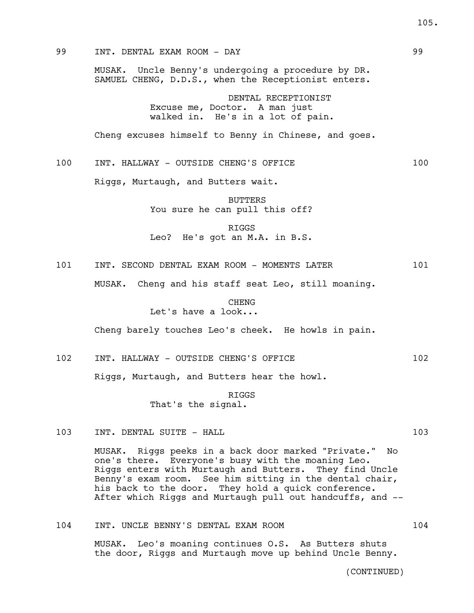# 99 INT. DENTAL EXAM ROOM - DAY 99

MUSAK. Uncle Benny's undergoing a procedure by DR. SAMUEL CHENG, D.D.S., when the Receptionist enters.

> DENTAL RECEPTIONIST Excuse me, Doctor. A man just walked in. He's in a lot of pain.

Cheng excuses himself to Benny in Chinese, and goes.

100 INT. HALLWAY - OUTSIDE CHENG'S OFFICE 100

Riggs, Murtaugh, and Butters wait.

BUTTERS You sure he can pull this off?

RIGGS Leo? He's got an M.A. in B.S.

101 INT. SECOND DENTAL EXAM ROOM - MOMENTS LATER 101

MUSAK. Cheng and his staff seat Leo, still moaning.

# CHENG Let's have a look...

Cheng barely touches Leo's cheek. He howls in pain.

102 INT. HALLWAY - OUTSIDE CHENG'S OFFICE 102

Riggs, Murtaugh, and Butters hear the howl.

RIGGS That's the signal.

103 INT. DENTAL SUITE - HALL 103 103

MUSAK. Riggs peeks in a back door marked "Private." No one's there. Everyone's busy with the moaning Leo. Riggs enters with Murtaugh and Butters. They find Uncle Benny's exam room. See him sitting in the dental chair, his back to the door. They hold a quick conference. After which Riggs and Murtaugh pull out handcuffs, and --

104 INT. UNCLE BENNY'S DENTAL EXAM ROOM 104

MUSAK. Leo's moaning continues O.S. As Butters shuts the door, Riggs and Murtaugh move up behind Uncle Benny.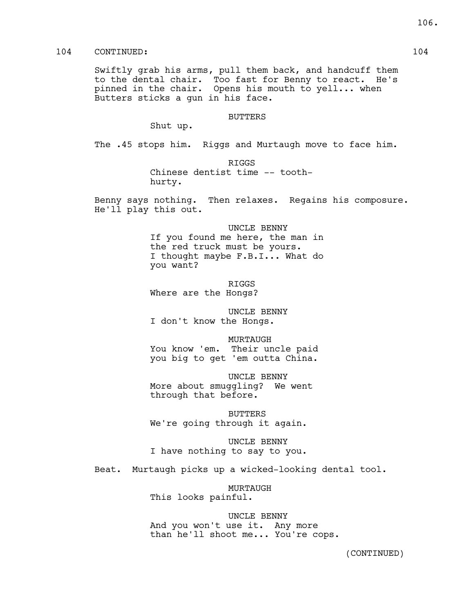# 104 CONTINUED: 104

Swiftly grab his arms, pull them back, and handcuff them to the dental chair. Too fast for Benny to react. He's pinned in the chair. Opens his mouth to yell... when Butters sticks a gun in his face.

### BUTTERS

Shut up.

The .45 stops him. Riggs and Murtaugh move to face him.

RIGGS

Chinese dentist time -- toothhurty.

Benny says nothing. Then relaxes. Regains his composure. He'll play this out.

> UNCLE BENNY If you found me here, the man in the red truck must be yours. I thought maybe F.B.I... What do you want?

RIGGS Where are the Hongs?

UNCLE BENNY I don't know the Hongs.

MURTAUGH You know 'em. Their uncle paid you big to get 'em outta China.

UNCLE BENNY More about smuggling? We went through that before.

BUTTERS We're going through it again.

UNCLE BENNY I have nothing to say to you.

Beat. Murtaugh picks up a wicked-looking dental tool.

MURTAUGH This looks painful.

UNCLE BENNY And you won't use it. Any more than he'll shoot me... You're cops.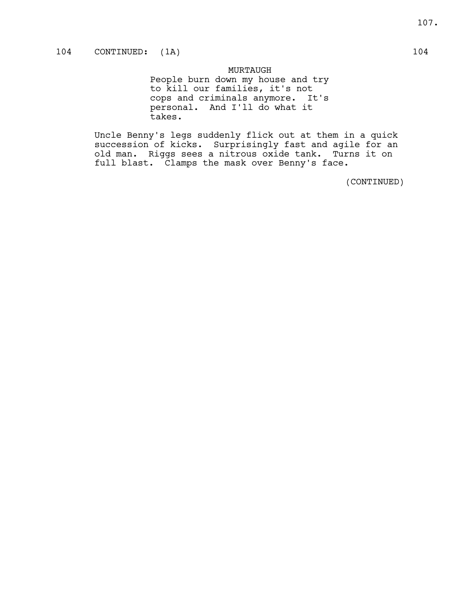MURTAUGH People burn down my house and try to kill our families, it's not cops and criminals anymore. It's personal. And I'll do what it takes.

Uncle Benny's legs suddenly flick out at them in a quick succession of kicks. Surprisingly fast and agile for an old man. Riggs sees a nitrous oxide tank. Turns it on full blast. Clamps the mask over Benny's face.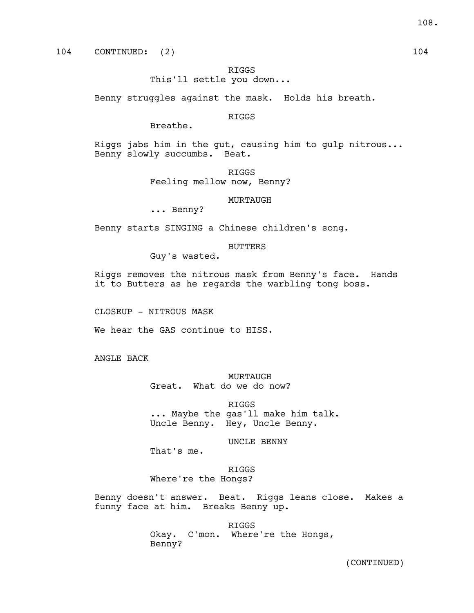# RIGGS

This'll settle you down...

Benny struggles against the mask. Holds his breath.

# RIGGS

Breathe.

Riggs jabs him in the gut, causing him to gulp nitrous... Benny slowly succumbs. Beat.

> RIGGS Feeling mellow now, Benny?

#### MURTAUGH

... Benny?

Benny starts SINGING a Chinese children's song.

# BUTTERS

Guy's wasted.

Riggs removes the nitrous mask from Benny's face. Hands it to Butters as he regards the warbling tong boss.

CLOSEUP - NITROUS MASK

We hear the GAS continue to HISS.

ANGLE BACK

MURTAUGH Great. What do we do now?

RIGGS ... Maybe the gas'll make him talk. Uncle Benny. Hey, Uncle Benny.

UNCLE BENNY

That's me.

RIGGS Where're the Hongs?

Benny doesn't answer. Beat. Riggs leans close. Makes a funny face at him. Breaks Benny up.

> RIGGS Okay. C'mon. Where're the Hongs, Benny?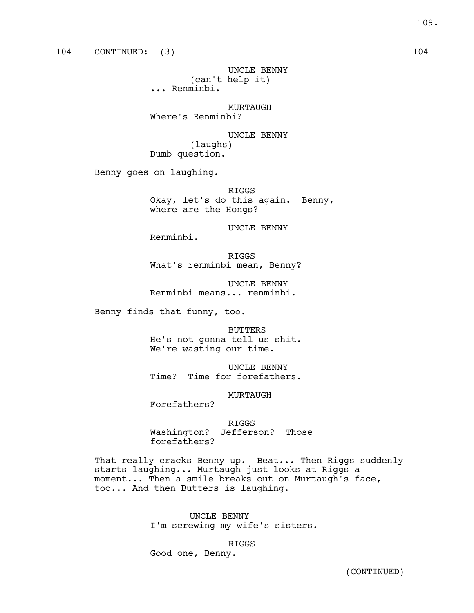UNCLE BENNY (can't help it) ... Renminbi.

MURTAUGH Where's Renminbi?

UNCLE BENNY (laughs) Dumb question.

Benny goes on laughing.

RIGGS Okay, let's do this again. Benny, where are the Hongs?

UNCLE BENNY

Renminbi.

RIGGS What's renminbi mean, Benny?

UNCLE BENNY Renminbi means... renminbi.

Benny finds that funny, too.

BUTTERS He's not gonna tell us shit. We're wasting our time.

UNCLE BENNY Time? Time for forefathers.

MURTAUGH

Forefathers?

RIGGS Washington? Jefferson? Those forefathers?

That really cracks Benny up. Beat... Then Riggs suddenly starts laughing... Murtaugh just looks at Riggs a moment... Then a smile breaks out on Murtaugh's face, too... And then Butters is laughing.

> UNCLE BENNY I'm screwing my wife's sisters.

> > RIGGS

Good one, Benny.

109.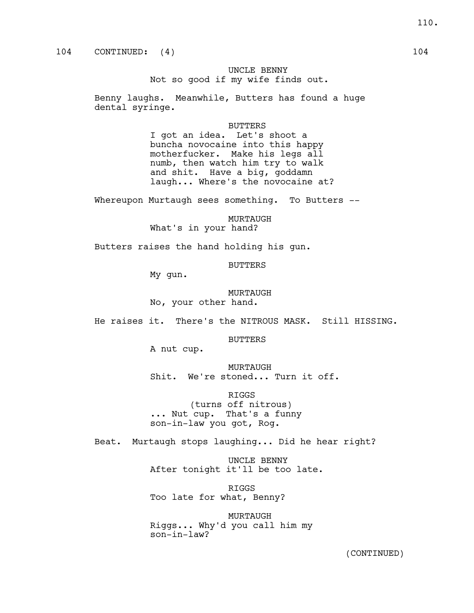# UNCLE BENNY Not so good if my wife finds out.

Benny laughs. Meanwhile, Butters has found a huge dental syringe.

BUTTERS

I got an idea. Let's shoot a buncha novocaine into this happy motherfucker. Make his legs all numb, then watch him try to walk and shit. Have a big, goddamn laugh... Where's the novocaine at?

Whereupon Murtaugh sees something. To Butters --

MURTAUGH What's in your hand?

Butters raises the hand holding his gun.

BUTTERS

My gun.

MURTAUGH No, your other hand.

He raises it. There's the NITROUS MASK. Still HISSING.

BUTTERS

A nut cup.

MURTAUGH Shit. We're stoned... Turn it off.

RIGGS (turns off nitrous) ... Nut cup. That's a funny son-in-law you got, Rog.

Beat. Murtaugh stops laughing... Did he hear right?

UNCLE BENNY After tonight it'll be too late.

RIGGS Too late for what, Benny?

MURTAUGH Riggs... Why'd you call him my son-in-law?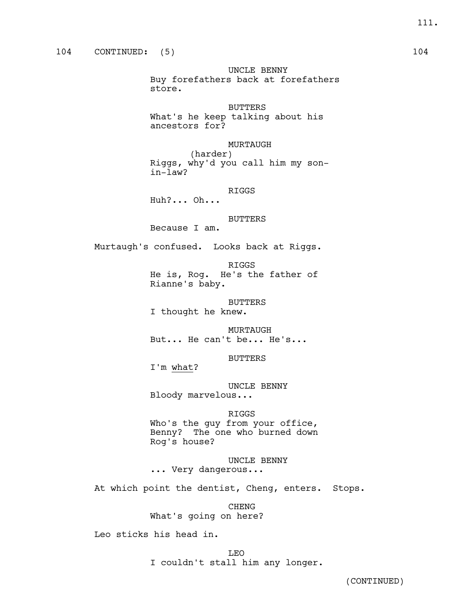UNCLE BENNY Buy forefathers back at forefathers store.

BUTTERS What's he keep talking about his ancestors for?

MURTAUGH (harder) Riggs, why'd you call him my sonin-law?

RIGGS Huh?... Oh...

BUTTERS

Because I am.

Murtaugh's confused. Looks back at Riggs.

RIGGS

He is, Rog. He's the father of Rianne's baby.

BUTTERS I thought he knew.

MURTAUGH But... He can't be... He's...

BUTTERS

I'm what?

UNCLE BENNY Bloody marvelous...

# RIGGS

Who's the guy from your office, Benny? The one who burned down Rog's house?

UNCLE BENNY ... Very dangerous...

At which point the dentist, Cheng, enters. Stops.

CHENG What's going on here?

Leo sticks his head in.

LEO I couldn't stall him any longer.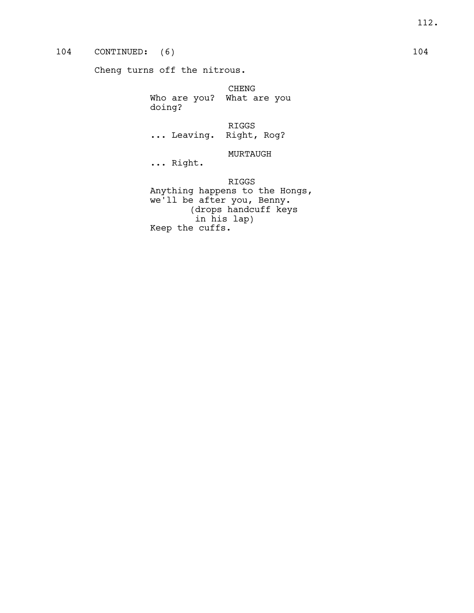# 104 CONTINUED: (6) 104

Cheng turns off the nitrous.

CHENG Who are you? What are you doing?

RIGGS ... Leaving. Right, Rog?

MURTAUGH

... Right.

RIGGS Anything happens to the Hongs, we'll be after you, Benny. (drops handcuff keys in his lap) Keep the cuffs.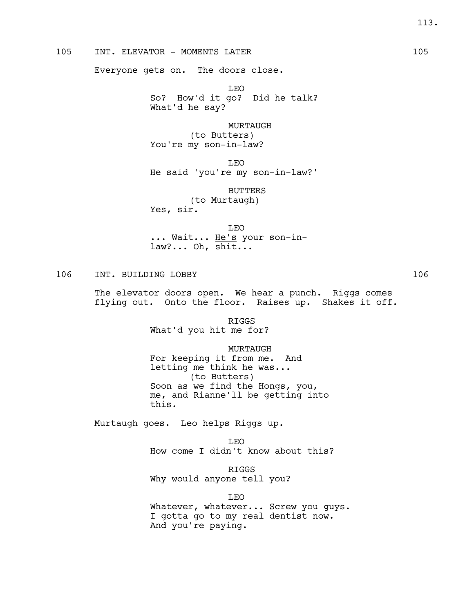# 105 INT. ELEVATOR - MOMENTS LATER 105

Everyone gets on. The doors close.

LEO So? How'd it go? Did he talk? What'd he say?

MURTAUGH (to Butters) You're my son-in-law?

LEO He said 'you're my son-in-law?'

BUTTERS (to Murtaugh) Yes, sir.

LEO ... Wait... He's your son-inlaw?... Oh, shit...

# 106 INT. BUILDING LOBBY 106

The elevator doors open. We hear a punch. Riggs comes flying out. Onto the floor. Raises up. Shakes it off.

> RIGGS What'd you hit me for?

MURTAUGH For keeping it from me. And letting me think he was... (to Butters) Soon as we find the Hongs, you, me, and Rianne'll be getting into this.

Murtaugh goes. Leo helps Riggs up.

LEO How come I didn't know about this?

RIGGS Why would anyone tell you?

LEO Whatever, whatever... Screw you guys. I gotta go to my real dentist now. And you're paying.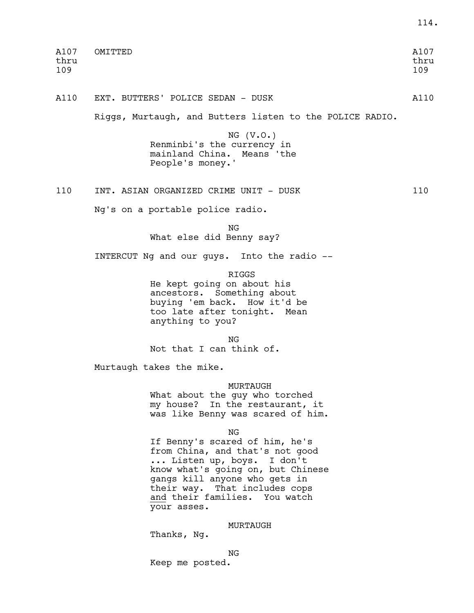| A107        | OMITTED | A107        |
|-------------|---------|-------------|
| thru<br>109 |         | thru<br>109 |
|             |         |             |

114.

A110 EXT. BUTTERS' POLICE SEDAN - DUSK A110

Riggs, Murtaugh, and Butters listen to the POLICE RADIO.

NG (V.O.) Renminbi's the currency in mainland China. Means 'the People's money.'

110 INT. ASIAN ORGANIZED CRIME UNIT - DUSK 110

Ng's on a portable police radio.

NG What else did Benny say?

INTERCUT Ng and our guys. Into the radio --

RIGGS

He kept going on about his ancestors. Something about buying 'em back. How it'd be too late after tonight. Mean anything to you?

NG

Not that I can think of.

Murtaugh takes the mike.

MURTAUGH

What about the guy who torched my house? In the restaurant, it was like Benny was scared of him.

NG

If Benny's scared of him, he's from China, and that's not good ... Listen up, boys. I don't know what's going on, but Chinese gangs kill anyone who gets in their way. That includes cops and their families. You watch your asses.

# MURTAUGH

Thanks, Ng.

NG

Keep me posted.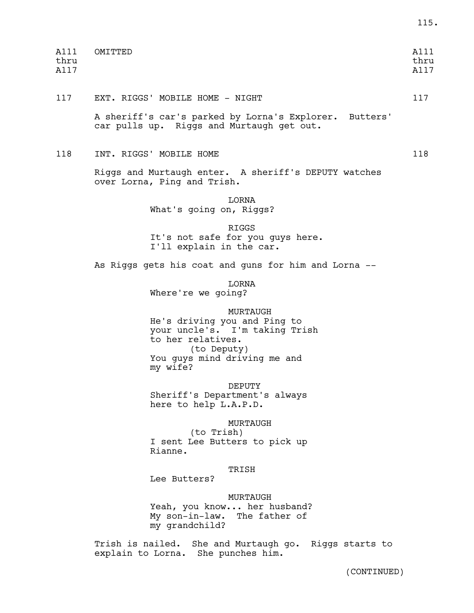| A111<br>thru<br>A117 | OMITTED                                                                                                                                                    | A111<br>thru<br>A117 |
|----------------------|------------------------------------------------------------------------------------------------------------------------------------------------------------|----------------------|
| 117                  | EXT. RIGGS' MOBILE HOME - NIGHT                                                                                                                            | 117                  |
|                      | A sheriff's car's parked by Lorna's Explorer. Butters'<br>car pulls up. Riggs and Murtaugh get out.                                                        |                      |
| 118                  | INT. RIGGS' MOBILE HOME                                                                                                                                    | 118                  |
|                      | Riggs and Murtaugh enter. A sheriff's DEPUTY watches<br>over Lorna, Ping and Trish.                                                                        |                      |
|                      | LORNA<br>What's going on, Riggs?                                                                                                                           |                      |
|                      | <b>RIGGS</b><br>It's not safe for you guys here.<br>I'll explain in the car.                                                                               |                      |
|                      | As Riggs gets his coat and guns for him and Lorna --                                                                                                       |                      |
|                      | LORNA<br>Where're we going?                                                                                                                                |                      |
|                      | MURTAUGH<br>He's driving you and Ping to<br>your uncle's. I'm taking Trish<br>to her relatives.<br>(to Deputy)<br>You guys mind driving me and<br>my wife? |                      |
|                      | DEPUTY<br>Sheriff's Department's always<br>here to help L.A.P.D.                                                                                           |                      |
|                      | MURTAUGH<br>(to Trish)<br>I sent Lee Butters to pick up<br>Rianne.                                                                                         |                      |
|                      | TRISH<br>Lee Butters?                                                                                                                                      |                      |
|                      | MURTAUGH<br>Yeah, you know her husband?<br>My son-in-law. The father of<br>my grandchild?                                                                  |                      |
|                      | Trish is nailed. She and Murtaugh go. Riggs starts to<br>explain to Lorna. She punches him.                                                                |                      |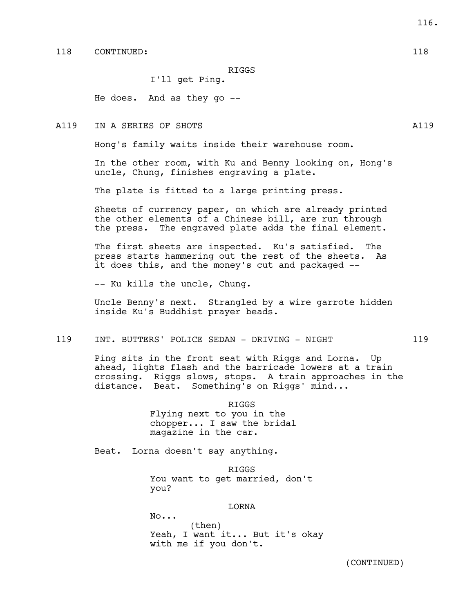RIGGS

I'll get Ping.

He does. And as they go --

A119 IN A SERIES OF SHOTS AND A SERIES OF SHOTS AND ALL ASSESSMENT AND ALL ASSESSMENT AND ALL ASSESSMENT AND A

Hong's family waits inside their warehouse room.

In the other room, with Ku and Benny looking on, Hong's uncle, Chung, finishes engraving a plate.

The plate is fitted to a large printing press.

Sheets of currency paper, on which are already printed the other elements of a Chinese bill, are run through the press. The engraved plate adds the final element.

The first sheets are inspected. Ku's satisfied. The press starts hammering out the rest of the sheets. As it does this, and the money's cut and packaged --

-- Ku kills the uncle, Chung.

Uncle Benny's next. Strangled by a wire garrote hidden inside Ku's Buddhist prayer beads.

119 INT. BUTTERS' POLICE SEDAN - DRIVING - NIGHT 119

Ping sits in the front seat with Riggs and Lorna. Up ahead, lights flash and the barricade lowers at a train crossing. Riggs slows, stops. A train approaches in the distance. Beat. Something's on Riggs' mind...

> RIGGS Flying next to you in the chopper... I saw the bridal magazine in the car.

Beat. Lorna doesn't say anything.

RIGGS You want to get married, don't you?

# LORNA

No... (then) Yeah, I want it... But it's okay with me if you don't.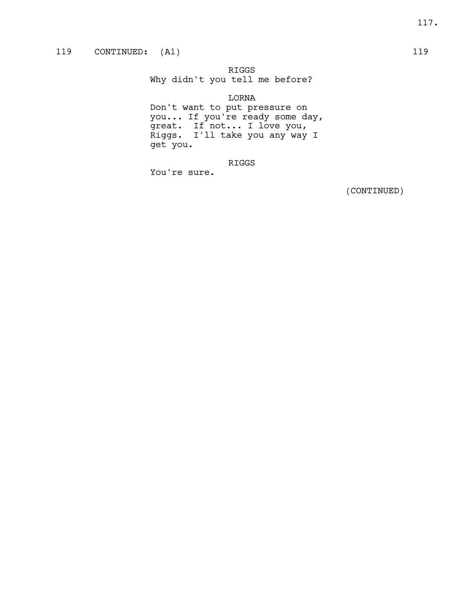RIGGS

Why didn't you tell me before?

LORNA Don't want to put pressure on you... If you're ready some day, great. If not... I love you, Riggs. I'll take you any way I get you.

RIGGS

You're sure.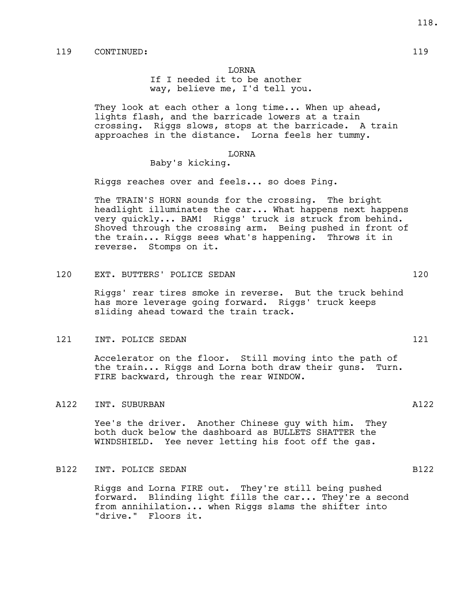# LORNA

If I needed it to be another way, believe me, I'd tell you.

They look at each other a long time... When up ahead, lights flash, and the barricade lowers at a train crossing. Riggs slows, stops at the barricade. A train approaches in the distance. Lorna feels her tummy.

#### LORNA

# Baby's kicking.

Riggs reaches over and feels... so does Ping.

The TRAIN'S HORN sounds for the crossing. The bright headlight illuminates the car... What happens next happens very quickly... BAM! Riggs' truck is struck from behind. Shoved through the crossing arm. Being pushed in front of the train... Riggs sees what's happening. Throws it in reverse. Stomps on it.

# 120 EXT. BUTTERS' POLICE SEDAN 120

Riggs' rear tires smoke in reverse. But the truck behind has more leverage going forward. Riggs' truck keeps sliding ahead toward the train track.

#### 121 INT. POLICE SEDAN 121

Accelerator on the floor. Still moving into the path of the train... Riggs and Lorna both draw their guns. Turn. FIRE backward, through the rear WINDOW.

#### A122 INT. SUBURBAN A122

Yee's the driver. Another Chinese guy with him. They both duck below the dashboard as BULLETS SHATTER the WINDSHIELD. Yee never letting his foot off the gas.

# B122 INT. POLICE SEDAN B122

Riggs and Lorna FIRE out. They're still being pushed forward. Blinding light fills the car... They're a second from annihilation... when Riggs slams the shifter into "drive." Floors it.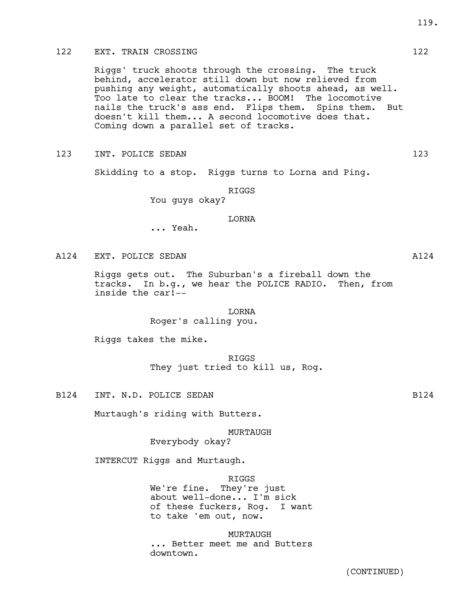# 122 EXT. TRAIN CROSSING 122

Riggs' truck shoots through the crossing. The truck behind, accelerator still down but now relieved from pushing any weight, automatically shoots ahead, as well. Too late to clear the tracks... BOOM! The locomotive nails the truck's ass end. Flips them. Spins them. But doesn't kill them... A second locomotive does that. Coming down a parallel set of tracks.

123 INT. POLICE SEDAN 123 123

Skidding to a stop. Riggs turns to Lorna and Ping.

RIGGS

You guys okay?

# LORNA

... Yeah.

A124 EXT. POLICE SEDAN A124

Riggs gets out. The Suburban's a fireball down the tracks. In b.g., we hear the POLICE RADIO. Then, from inside the car!--

# LORNA Roger's calling you.

Riggs takes the mike.

RIGGS They just tried to kill us, Rog.

B124 INT. N.D. POLICE SEDAN B124

Murtaugh's riding with Butters.

MURTAUGH Everybody okay?

INTERCUT Riggs and Murtaugh.

RIGGS

We're fine. They're just about well-done... I'm sick of these fuckers, Rog. I want to take 'em out, now.

MURTAUGH ... Better meet me and Butters downtown.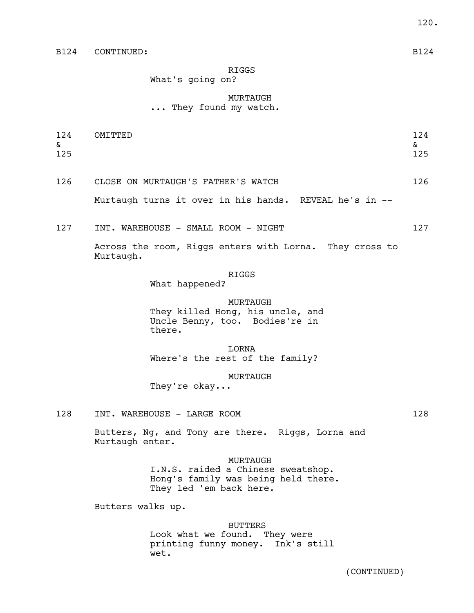# RIGGS

What's going on?

# MURTAUGH ... They found my watch.

124 OMITTED 124  $\alpha$ 125 125 126 CLOSE ON MURTAUGH'S FATHER'S WATCH 126

Murtaugh turns it over in his hands. REVEAL he's in --

127 INT. WAREHOUSE - SMALL ROOM - NIGHT 127 127

Across the room, Riggs enters with Lorna. They cross to Murtaugh.

#### RIGGS

What happened?

MURTAUGH They killed Hong, his uncle, and Uncle Benny, too. Bodies're in there.

LORNA Where's the rest of the family?

MURTAUGH

They're okay...

128 INT. WAREHOUSE - LARGE ROOM 128 128

Butters, Ng, and Tony are there. Riggs, Lorna and

Murtaugh enter.

# MURTAUGH

I.N.S. raided a Chinese sweatshop. Hong's family was being held there. They led 'em back here.

Butters walks up.

#### BUTTERS

Look what we found. They were printing funny money. Ink's still wet.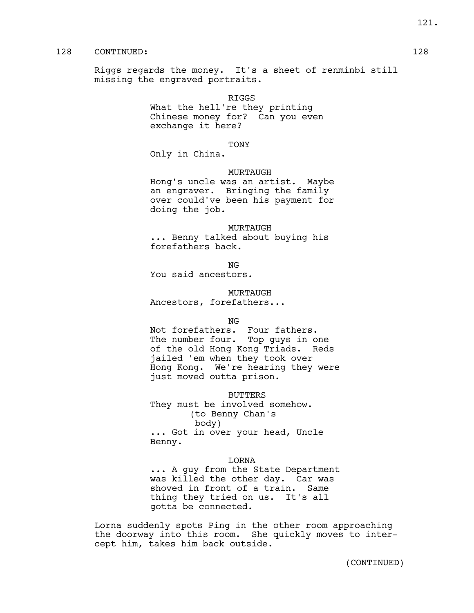# 128 CONTINUED: 128

Riggs regards the money. It's a sheet of renminbi still missing the engraved portraits.

> RIGGS What the hell're they printing Chinese money for? Can you even exchange it here?

#### TONY

Only in China.

#### MURTAUGH

Hong's uncle was an artist. Maybe an engraver. Bringing the family over could've been his payment for doing the job.

MURTAUGH ... Benny talked about buying his forefathers back.

NG

You said ancestors.

#### MURTAUGH

Ancestors, forefathers...

NG

Not forefathers. Four fathers. The number four. Top guys in one of the old Hong Kong Triads. Reds jailed 'em when they took over Hong Kong. We're hearing they were just moved outta prison.

BUTTERS They must be involved somehow. (to Benny Chan's body) ... Got in over your head, Uncle Benny.

#### LORNA

... A guy from the State Department was killed the other day. Car was shoved in front of a train. Same thing they tried on us. It's all gotta be connected.

Lorna suddenly spots Ping in the other room approaching the doorway into this room. She quickly moves to intercept him, takes him back outside.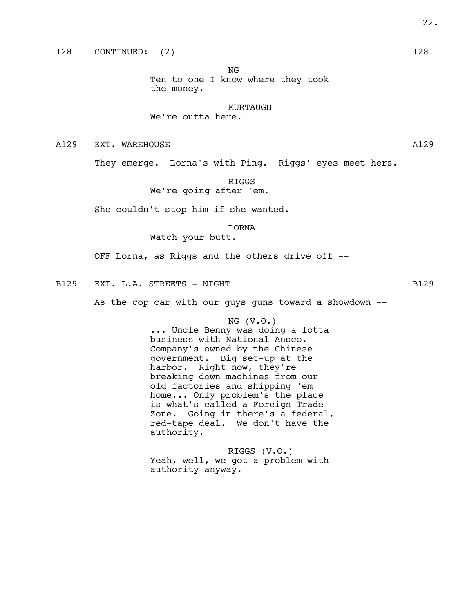NG Ten to one I know where they took

the money.

# MURTAUGH

# We're outta here.

A129 EXT. WAREHOUSE **Allows** And Allowski and Allowski and Allowski and Allowski and Allowski and Allowski and A

They emerge. Lorna's with Ping. Riggs' eyes meet hers.

RIGGS

We're going after 'em.

She couldn't stop him if she wanted.

LORNA Watch your butt.

OFF Lorna, as Riggs and the others drive off --

B129 EXT. L.A. STREETS - NIGHT B129

As the cop car with our guys guns toward a showdown --

NG (V.O.)

... Uncle Benny was doing a lotta business with National Ansco. Company's owned by the Chinese government. Big set-up at the harbor. Right now, they're breaking down machines from our old factories and shipping 'em home... Only problem's the place is what's called a Foreign Trade Zone. Going in there's a federal, red-tape deal. We don't have the authority.

RIGGS (V.O.) Yeah, well, we got a problem with authority anyway.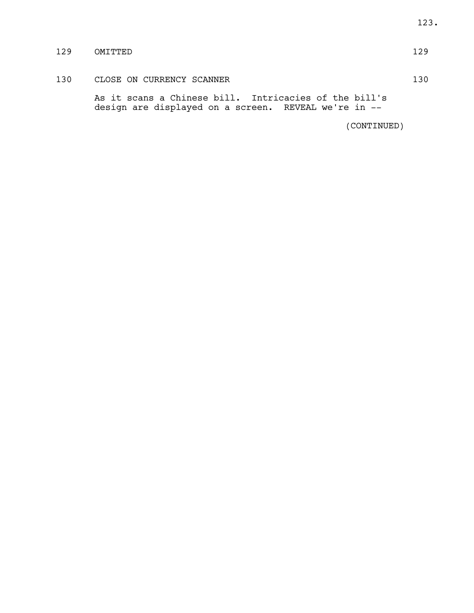# 129 OMITTED 129

130 CLOSE ON CURRENCY SCANNER 130

As it scans a Chinese bill. Intricacies of the bill's design are displayed on a screen. REVEAL we're in --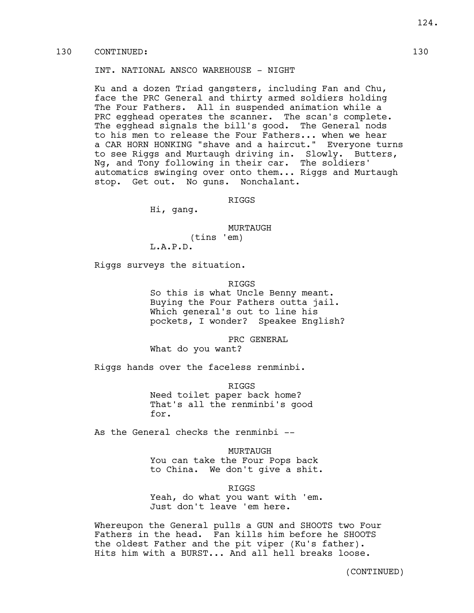# 130 CONTINUED: 130

# INT. NATIONAL ANSCO WAREHOUSE - NIGHT

Ku and a dozen Triad gangsters, including Fan and Chu, face the PRC General and thirty armed soldiers holding The Four Fathers. All in suspended animation while a PRC egghead operates the scanner. The scan's complete. The egghead signals the bill's good. The General nods to his men to release the Four Fathers... when we hear a CAR HORN HONKING "shave and a haircut." Everyone turns to see Riggs and Murtaugh driving in. Slowly. Butters, Ng, and Tony following in their car. The soldiers' automatics swinging over onto them... Riggs and Murtaugh stop. Get out. No guns. Nonchalant.

RIGGS

Hi, gang.

MURTAUGH (tins 'em) L.A.P.D.

Riggs surveys the situation.

## RIGGS

So this is what Uncle Benny meant. Buying the Four Fathers outta jail. Which general's out to line his pockets, I wonder? Speakee English?

PRC GENERAL

What do you want?

Riggs hands over the faceless renminbi.

RIGGS

Need toilet paper back home? That's all the renminbi's good for.

As the General checks the renminbi --

MURTAUGH You can take the Four Pops back to China. We don't give a shit.

RIGGS Yeah, do what you want with 'em. Just don't leave 'em here.

Whereupon the General pulls a GUN and SHOOTS two Four Fathers in the head. Fan kills him before he SHOOTS the oldest Father and the pit viper (Ku's father). Hits him with a BURST... And all hell breaks loose.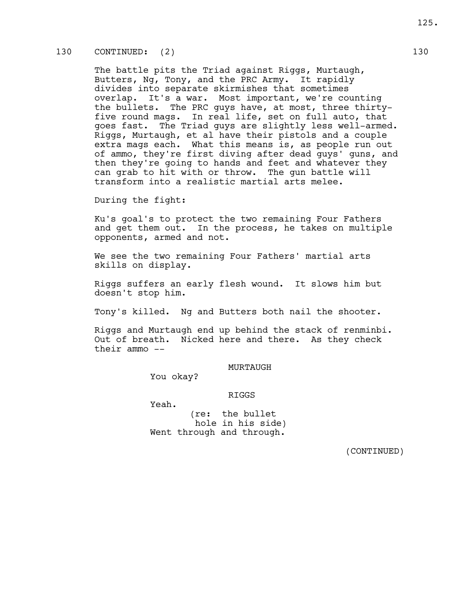# 130 CONTINUED: (2) 130

The battle pits the Triad against Riggs, Murtaugh, Butters, Ng, Tony, and the PRC Army. It rapidly divides into separate skirmishes that sometimes overlap. It's a war. Most important, we're counting the bullets. The PRC guys have, at most, three thirtyfive round mags. In real life, set on full auto, that goes fast. The Triad guys are slightly less well-armed. Riggs, Murtaugh, et al have their pistols and a couple extra mags each. What this means is, as people run out of ammo, they're first diving after dead guys' guns, and then they're going to hands and feet and whatever they can grab to hit with or throw. The gun battle will transform into a realistic martial arts melee.

During the fight:

Ku's goal's to protect the two remaining Four Fathers and get them out. In the process, he takes on multiple opponents, armed and not.

We see the two remaining Four Fathers' martial arts skills on display.

Riggs suffers an early flesh wound. It slows him but doesn't stop him.

Tony's killed. Ng and Butters both nail the shooter.

Riggs and Murtaugh end up behind the stack of renminbi. Out of breath. Nicked here and there. As they check their ammo --

#### MURTAUGH

You okay?

# RIGGS

Yeah.

(re: the bullet hole in his side) Went through and through.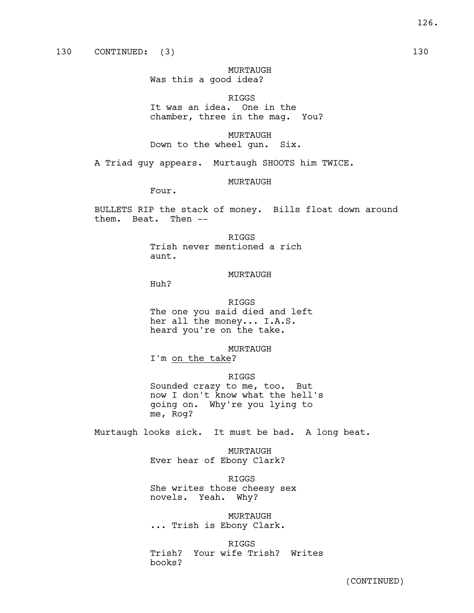MURTAUGH Was this a good idea?

RIGGS

It was an idea. One in the chamber, three in the mag. You?

MURTAUGH Down to the wheel gun. Six.

A Triad guy appears. Murtaugh SHOOTS him TWICE.

MURTAUGH

Four.

BULLETS RIP the stack of money. Bills float down around them. Beat. Then --

RIGGS

Trish never mentioned a rich aunt.

#### MURTAUGH

Huh?

me, Rog?

RIGGS The one you said died and left her all the money... I.A.S. heard you're on the take.

MURTAUGH I'm on the take?

RIGGS Sounded crazy to me, too. But now I don't know what the hell's going on. Why're you lying to

Murtaugh looks sick. It must be bad. A long beat.

MURTAUGH Ever hear of Ebony Clark?

RIGGS She writes those cheesy sex novels. Yeah. Why?

MURTAUGH ... Trish is Ebony Clark.

RIGGS Trish? Your wife Trish? Writes books?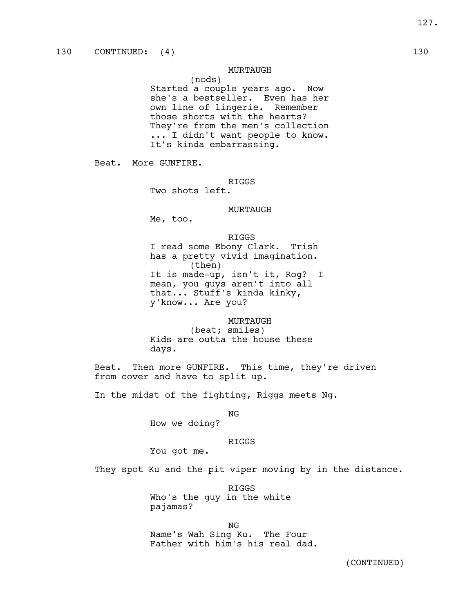# MURTAUGH

(nods)

Started a couple years ago. Now she's a bestseller. Even has her own line of lingerie. Remember those shorts with the hearts? They're from the men's collection ... I didn't want people to know. It's kinda embarrassing.

Beat. More GUNFIRE.

RIGGS

Two shots left.

#### MURTAUGH

Me, too.

#### RIGGS

I read some Ebony Clark. Trish has a pretty vivid imagination. (then) It is made-up, isn't it, Rog? I mean, you guys aren't into all that... Stuff's kinda kinky, y'know... Are you?

# MURTAUGH (beat; smiles)

Kids are outta the house these days.

Beat. Then more GUNFIRE. This time, they're driven from cover and have to split up.

In the midst of the fighting, Riggs meets Ng.

NG

How we doing?

# RIGGS

You got me.

They spot Ku and the pit viper moving by in the distance.

RIGGS Who's the guy in the white pajamas?

NG Name's Wah Sing Ku. The Four Father with him's his real dad.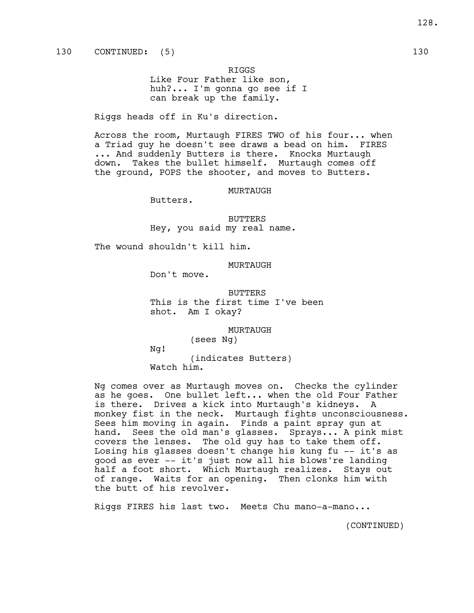RIGGS Like Four Father like son, huh?... I'm gonna go see if I can break up the family.

Riggs heads off in Ku's direction.

Across the room, Murtaugh FIRES TWO of his four... when a Triad guy he doesn't see draws a bead on him. FIRES ... And suddenly Butters is there. Knocks Murtaugh down. Takes the bullet himself. Murtaugh comes off the ground, POPS the shooter, and moves to Butters.

#### MURTAUGH

Butters.

BUTTERS Hey, you said my real name.

The wound shouldn't kill him.

#### MURTAUGH

Don't move.

BUTTERS This is the first time I've been shot. Am I okay?

MURTAUGH

(sees Ng)

Ng!

(indicates Butters) Watch him.

Ng comes over as Murtaugh moves on. Checks the cylinder as he goes. One bullet left... when the old Four Father is there. Drives a kick into Murtaugh's kidneys. A monkey fist in the neck. Murtaugh fights unconsciousness. Sees him moving in again. Finds a paint spray gun at hand. Sees the old man's glasses. Sprays... A pink mist covers the lenses. The old guy has to take them off. Losing his glasses doesn't change his kung fu -- it's as good as ever -- it's just now all his blows're landing half a foot short. Which Murtaugh realizes. Stays out of range. Waits for an opening. Then clonks him with the butt of his revolver.

Riggs FIRES his last two. Meets Chu mano-a-mano...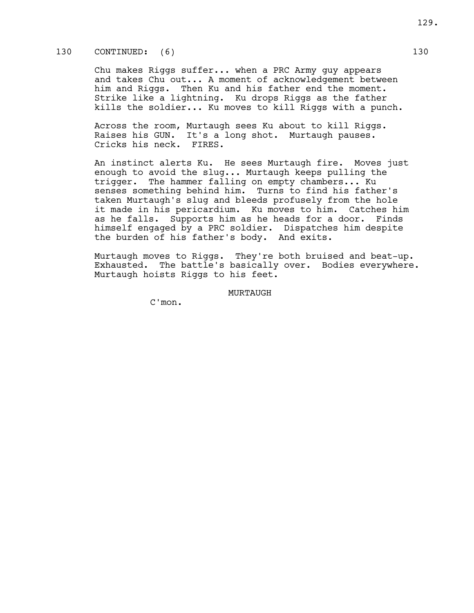# 130 CONTINUED: (6) 130

Chu makes Riggs suffer... when a PRC Army guy appears and takes Chu out... A moment of acknowledgement between him and Riggs. Then Ku and his father end the moment. Strike like a lightning. Ku drops Riggs as the father kills the soldier... Ku moves to kill Riggs with a punch.

Across the room, Murtaugh sees Ku about to kill Riggs. Raises his GUN. It's a long shot. Murtaugh pauses. Cricks his neck. FIRES.

An instinct alerts Ku. He sees Murtaugh fire. Moves just enough to avoid the slug... Murtaugh keeps pulling the trigger. The hammer falling on empty chambers... Ku senses something behind him. Turns to find his father's taken Murtaugh's slug and bleeds profusely from the hole it made in his pericardium. Ku moves to him. Catches him as he falls. Supports him as he heads for a door. Finds himself engaged by a PRC soldier. Dispatches him despite the burden of his father's body. And exits.

Murtaugh moves to Riggs. They're both bruised and beat-up. Exhausted. The battle's basically over. Bodies everywhere. Murtaugh hoists Riggs to his feet.

MURTAUGH

C'mon.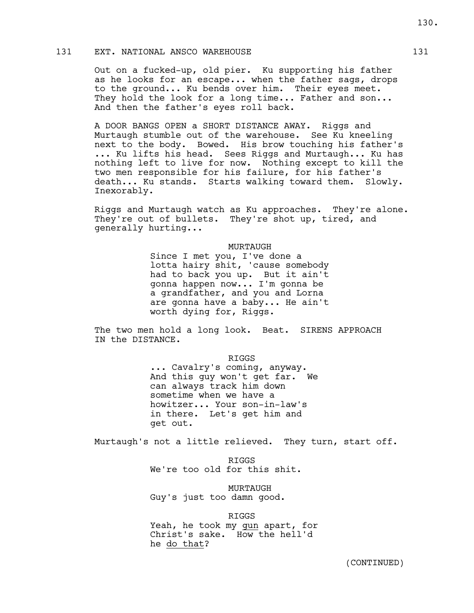# 131 EXT. NATIONAL ANSCO WAREHOUSE 131

Out on a fucked-up, old pier. Ku supporting his father as he looks for an escape... when the father sags, drops to the ground... Ku bends over him. Their eyes meet. They hold the look for a long time... Father and son... And then the father's eyes roll back.

A DOOR BANGS OPEN a SHORT DISTANCE AWAY. Riggs and Murtaugh stumble out of the warehouse. See Ku kneeling next to the body. Bowed. His brow touching his father's ... Ku lifts his head. Sees Riggs and Murtaugh... Ku has nothing left to live for now. Nothing except to kill the two men responsible for his failure, for his father's death... Ku stands. Starts walking toward them. Slowly. Inexorably.

Riggs and Murtaugh watch as Ku approaches. They're alone. They're out of bullets. They're shot up, tired, and generally hurting...

#### MURTAUGH

Since I met you, I've done a lotta hairy shit, 'cause somebody had to back you up. But it ain't gonna happen now... I'm gonna be a grandfather, and you and Lorna are gonna have a baby... He ain't worth dying for, Riggs.

The two men hold a long look. Beat. SIRENS APPROACH IN the DISTANCE.

RIGGS

... Cavalry's coming, anyway. And this guy won't get far. We can always track him down sometime when we have a howitzer... Your son-in-law's in there. Let's get him and get out.

Murtaugh's not a little relieved. They turn, start off.

RIGGS We're too old for this shit.

MURTAUGH Guy's just too damn good.

RIGGS

Yeah, he took my gun apart, for Christ's sake. How the hell'd he do that?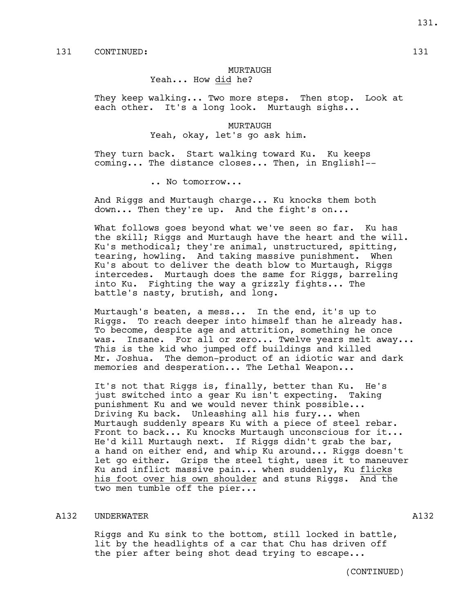# MURTAUGH

Yeah... How did he?

They keep walking... Two more steps. Then stop. Look at each other. It's a long look. Murtaugh sighs...

> MURTAUGH Yeah, okay, let's go ask him.

They turn back. Start walking toward Ku. Ku keeps coming... The distance closes... Then, in English!--

.. No tomorrow...

And Riggs and Murtaugh charge... Ku knocks them both down... Then they're up. And the fight's on...

What follows goes beyond what we've seen so far. Ku has the skill; Riggs and Murtaugh have the heart and the will. Ku's methodical; they're animal, unstructured, spitting, tearing, howling. And taking massive punishment. When Ku's about to deliver the death blow to Murtaugh, Riggs intercedes. Murtaugh does the same for Riggs, barreling into Ku. Fighting the way a grizzly fights... The battle's nasty, brutish, and long.

Murtaugh's beaten, a mess... In the end, it's up to Riggs. To reach deeper into himself than he already has. To become, despite age and attrition, something he once was. Insane. For all or zero... Twelve years melt away... This is the kid who jumped off buildings and killed Mr. Joshua. The demon-product of an idiotic war and dark memories and desperation... The Lethal Weapon...

It's not that Riggs is, finally, better than Ku. He's just switched into a gear Ku isn't expecting. Taking punishment Ku and we would never think possible... Driving Ku back. Unleashing all his fury... when Murtaugh suddenly spears Ku with a piece of steel rebar. Front to back... Ku knocks Murtaugh unconscious for it... He'd kill Murtaugh next. If Riggs didn't grab the bar, a hand on either end, and whip Ku around... Riggs doesn't let go either. Grips the steel tight, uses it to maneuver Ku and inflict massive pain... when suddenly, Ku flicks his foot over his own shoulder and stuns Riggs. And the two men tumble off the pier...

#### A132 UNDERWATER AND ALL AND ALL AND A LOCAL AND A LOCAL AND A LOCAL AND A LOCAL AND A LOCAL AND A LOCAL AND A LOCAL AND A LOCAL AND A LOCAL AND A LOCAL AND A LOCAL AND A LOCAL AND A LOCAL AND A LOCAL AND A LOCAL AND A LOCA

Riggs and Ku sink to the bottom, still locked in battle, lit by the headlights of a car that Chu has driven off the pier after being shot dead trying to escape...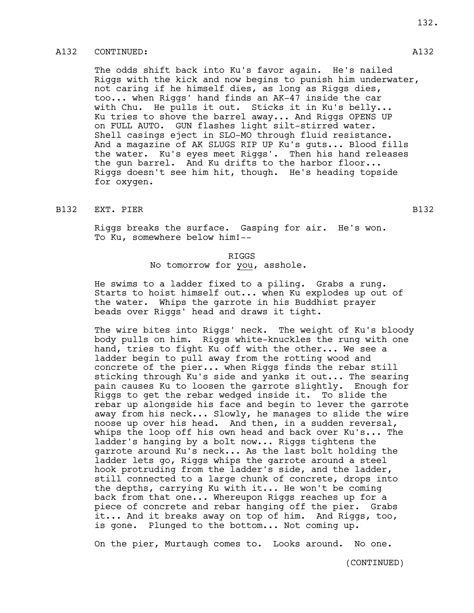# A132 CONTINUED: A132

The odds shift back into Ku's favor again. He's nailed Riggs with the kick and now begins to punish him underwater, not caring if he himself dies, as long as Riggs dies, too... when Riggs' hand finds an AK-47 inside the car with Chu. He pulls it out. Sticks it in Ku's belly... Ku tries to shove the barrel away... And Riggs OPENS UP on FULL AUTO. GUN flashes light silt-stirred water. Shell casings eject in SLO-MO through fluid resistance. And a magazine of AK SLUGS RIP UP Ku's guts... Blood fills the water. Ku's eyes meet Riggs'. Then his hand releases the gun barrel. And Ku drifts to the harbor floor... Riggs doesn't see him hit, though. He's heading topside for oxygen.

# B132 EXT. PIER B132

Riggs breaks the surface. Gasping for air. He's won. To Ku, somewhere below him!--

# RIGGS No tomorrow for you, asshole.

He swims to a ladder fixed to a piling. Grabs a rung. Starts to hoist himself out... when Ku explodes up out of the water. Whips the garrote in his Buddhist prayer beads over Riggs' head and draws it tight.

The wire bites into Riggs' neck. The weight of Ku's bloody body pulls on him. Riggs white-knuckles the rung with one hand, tries to fight Ku off with the other... We see a ladder begin to pull away from the rotting wood and concrete of the pier... when Riggs finds the rebar still sticking through Ku's side and yanks it out... The searing pain causes Ku to loosen the garrote slightly. Enough for Riggs to get the rebar wedged inside it. To slide the rebar up alongside his face and begin to lever the garrote away from his neck... Slowly, he manages to slide the wire noose up over his head. And then, in a sudden reversal, whips the loop off his own head and back over Ku's... The ladder's hanging by a bolt now... Riggs tightens the garrote around Ku's neck... As the last bolt holding the ladder lets go, Riggs whips the garrote around a steel hook protruding from the ladder's side, and the ladder, still connected to a large chunk of concrete, drops into the depths, carrying Ku with it... He won't be coming back from that one... Whereupon Riggs reaches up for a piece of concrete and rebar hanging off the pier. Grabs it... And it breaks away on top of him. And Riggs, too, is gone. Plunged to the bottom... Not coming up.

On the pier, Murtaugh comes to. Looks around. No one.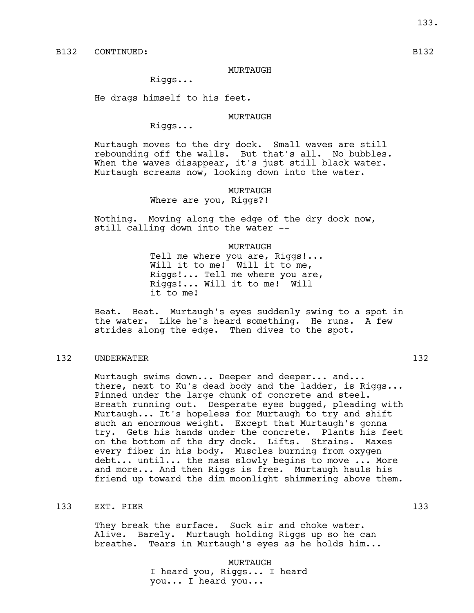MURTAUGH

Riggs...

He drags himself to his feet.

#### MURTAUGH

Riggs...

Murtaugh moves to the dry dock. Small waves are still rebounding off the walls. But that's all. No bubbles. When the waves disappear, it's just still black water. Murtaugh screams now, looking down into the water.

# MURTAUGH Where are you, Riggs?!

Nothing. Moving along the edge of the dry dock now, still calling down into the water --

> MURTAUGH Tell me where you are, Riggs!... Will it to me! Will it to me, Riggs!... Tell me where you are, Riggs!... Will it to me! Will it to me!

Beat. Beat. Murtaugh's eyes suddenly swing to a spot in the water. Like he's heard something. He runs. A few strides along the edge. Then dives to the spot.

# 132 UNDERWATER 132 132

Murtaugh swims down... Deeper and deeper... and... there, next to Ku's dead body and the ladder, is Riggs... Pinned under the large chunk of concrete and steel. Breath running out. Desperate eyes bugged, pleading with Murtaugh... It's hopeless for Murtaugh to try and shift such an enormous weight. Except that Murtaugh's gonna try. Gets his hands under the concrete. Plants his feet on the bottom of the dry dock. Lifts. Strains. Maxes every fiber in his body. Muscles burning from oxygen debt... until... the mass slowly begins to move ... More and more... And then Riggs is free. Murtaugh hauls his friend up toward the dim moonlight shimmering above them.

# 133 EXT. PIER 133

They break the surface. Suck air and choke water. Alive. Barely. Murtaugh holding Riggs up so he can breathe. Tears in Murtaugh's eyes as he holds him...

#### MURTAUGH

I heard you, Riggs... I heard you... I heard you...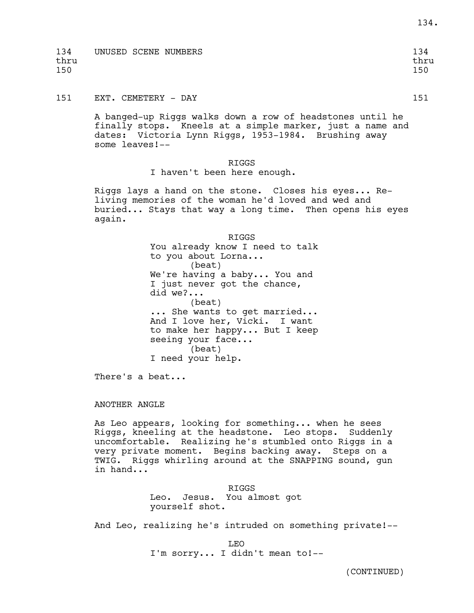| 134  | UNUSED SCENE NUMBERS | 134  |
|------|----------------------|------|
| thru |                      | thru |
| 150  |                      | 150  |
|      |                      |      |

151 EXT. CEMETERY - DAY 151

A banged-up Riggs walks down a row of headstones until he finally stops. Kneels at a simple marker, just a name and dates: Victoria Lynn Riggs, 1953-1984. Brushing away some leaves!--

RIGGS

I haven't been here enough.

Riggs lays a hand on the stone. Closes his eyes... Reliving memories of the woman he'd loved and wed and buried... Stays that way a long time. Then opens his eyes again.

> RIGGS You already know I need to talk to you about Lorna... (beat) We're having a baby... You and I just never got the chance, did we?... (beat) ... She wants to get married... And I love her, Vicki. I want to make her happy... But I keep seeing your face... (beat) I need your help.

There's a beat...

#### ANOTHER ANGLE

As Leo appears, looking for something... when he sees Riggs, kneeling at the headstone. Leo stops. Suddenly uncomfortable. Realizing he's stumbled onto Riggs in a very private moment. Begins backing away. Steps on a TWIG. Riggs whirling around at the SNAPPING sound, gun in hand...

> RIGGS Leo. Jesus. You almost got yourself shot.

And Leo, realizing he's intruded on something private!--

LEO I'm sorry... I didn't mean to!-- 134.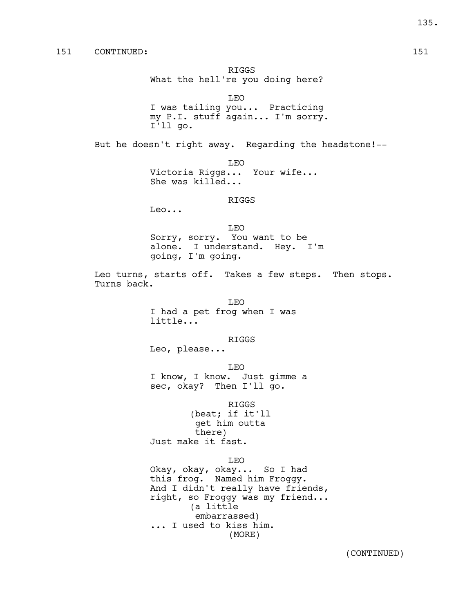RIGGS What the hell're you doing here?

LEO I was tailing you... Practicing my P.I. stuff again... I'm sorry. I'll go.

But he doesn't right away. Regarding the headstone! --

LEO Victoria Riggs... Your wife... She was killed...

RIGGS

Leo...

LEO Sorry, sorry. You want to be alone. I understand. Hey. I'm going, I'm going.

Leo turns, starts off. Takes a few steps. Then stops. Turns back.

> LEO I had a pet frog when I was little...

> > RIGGS

Leo, please...

LEO

I know, I know. Just gimme a sec, okay? Then I'll go.

RIGGS (beat; if it'll get him outta there) Just make it fast.

LEO

Okay, okay, okay... So I had this frog. Named him Froggy. And I didn't really have friends, right, so Froggy was my friend... (a little embarrassed) ... I used to kiss him. (MORE)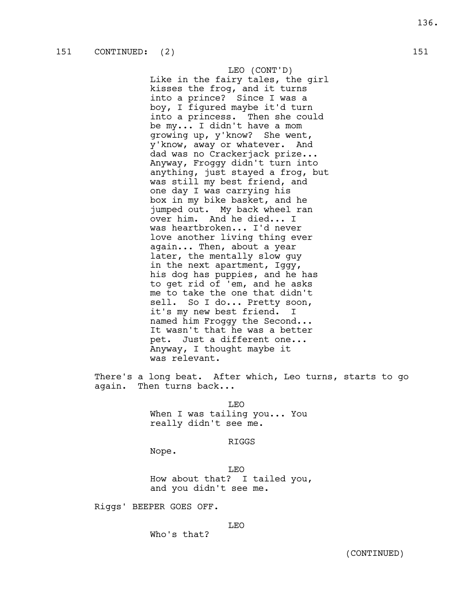LEO (CONT'D) Like in the fairy tales, the girl kisses the frog, and it turns into a prince? Since I was a boy, I figured maybe it'd turn into a princess. Then she could be my... I didn't have a mom growing up, y'know? She went, y'know, away or whatever. And dad was no Crackerjack prize... Anyway, Froggy didn't turn into anything, just stayed a frog, but was still my best friend, and one day I was carrying his box in my bike basket, and he jumped out. My back wheel ran over him. And he died... I was heartbroken... I'd never love another living thing ever again... Then, about a year later, the mentally slow guy in the next apartment, Iggy, his dog has puppies, and he has to get rid of 'em, and he asks me to take the one that didn't sell. So I do... Pretty soon, it's my new best friend. I named him Froggy the Second... It wasn't that he was a better pet. Just a different one... Anyway, I thought maybe it was relevant.

There's a long beat. After which, Leo turns, starts to go again. Then turns back...

> LEO When I was tailing you... You really didn't see me.

> > RIGGS

Nope.

LEO How about that? I tailed you, and you didn't see me.

Riggs' BEEPER GOES OFF.

# LEO

Who's that?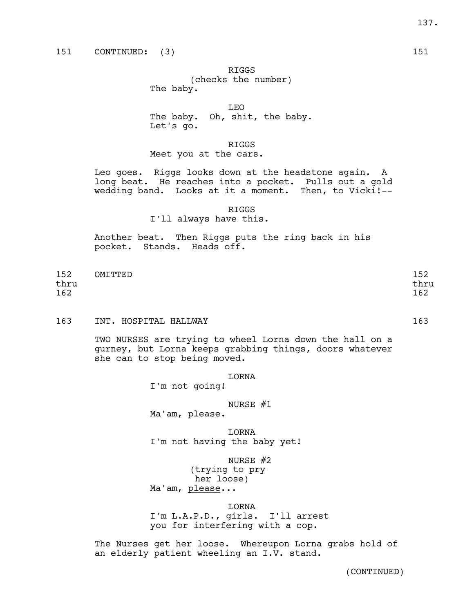RIGGS

(checks the number) The baby.

LEO

The baby. Oh, shit, the baby. Let's go.

RIGGS

Meet you at the cars.

Leo goes. Riggs looks down at the headstone again. A long beat. He reaches into a pocket. Pulls out a gold wedding band. Looks at it a moment. Then, to Vicki!--

RIGGS

I'll always have this.

Another beat. Then Riggs puts the ring back in his pocket. Stands. Heads off.

| 152  | OMITTED | 152  |
|------|---------|------|
| thru |         | thru |
| 162  |         | 162  |

163 INT. HOSPITAL HALLWAY 163

TWO NURSES are trying to wheel Lorna down the hall on a gurney, but Lorna keeps grabbing things, doors whatever she can to stop being moved.

LORNA

I'm not going!

NURSE #1

Ma'am, please.

LORNA I'm not having the baby yet!

NURSE #2

(trying to pry her loose) Ma'am, please...

LORNA

I'm L.A.P.D., girls. I'll arrest you for interfering with a cop.

The Nurses get her loose. Whereupon Lorna grabs hold of an elderly patient wheeling an I.V. stand.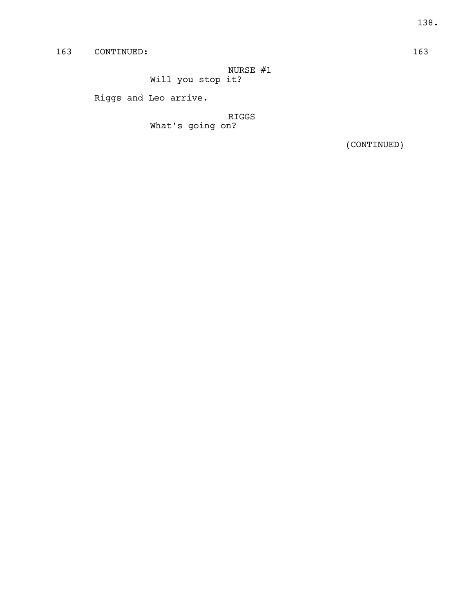NURSE #1 Will you stop it?

Riggs and Leo arrive.

RIGGS What's going on?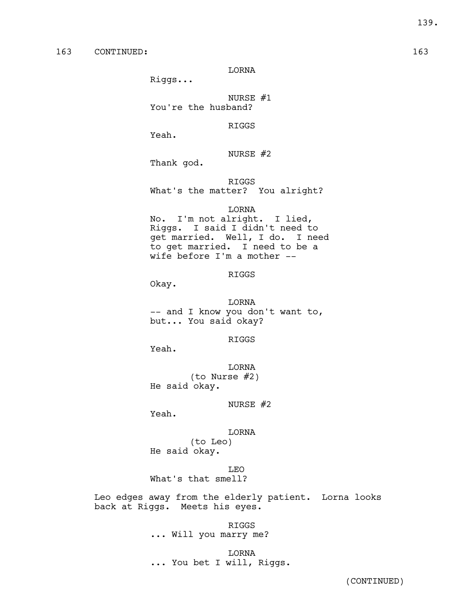LORNA

Riggs...

NURSE #1 You're the husband?

RIGGS

Yeah.

NURSE #2

Thank god.

RIGGS What's the matter? You alright?

#### LORNA

No. I'm not alright. I lied, Riggs. I said I didn't need to get married. Well, I do. I need to get married. I need to be a wife before I'm a mother --

# RIGGS

Okay.

LORNA -- and I know you don't want to, but... You said okay?

RIGGS

Yeah.

LORNA (to Nurse #2) He said okay.

NURSE #2

Yeah.

LORNA (to Leo) He said okay.

LEO What's that smell?

Leo edges away from the elderly patient. Lorna looks back at Riggs. Meets his eyes.

> RIGGS ... Will you marry me?

LORNA ... You bet I will, Riggs.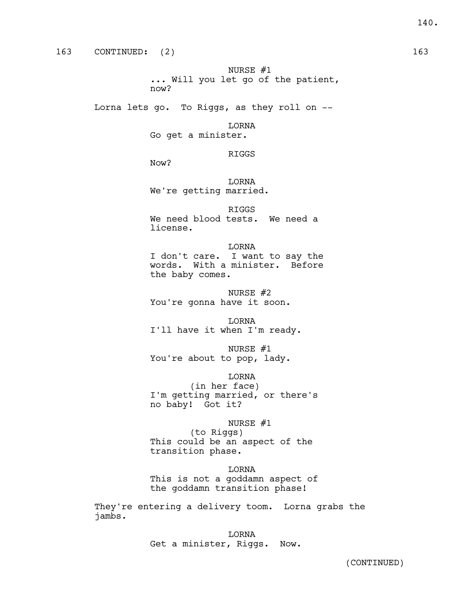NURSE #1 ... Will you let go of the patient, now?

Lorna lets go. To Riggs, as they roll on --

LORNA Go get a minister.

RIGGS

Now?

LORNA We're getting married.

RIGGS We need blood tests. We need a license.

LORNA I don't care. I want to say the words. With a minister. Before the baby comes.

NURSE #2 You're gonna have it soon.

LORNA I'll have it when I'm ready.

NURSE #1 You're about to pop, lady.

LORNA

(in her face) I'm getting married, or there's no baby! Got it?

# NURSE #1

(to Riggs) This could be an aspect of the transition phase.

LORNA

This is not a goddamn aspect of the goddamn transition phase!

They're entering a delivery toom. Lorna grabs the jambs.

> LORNA Get a minister, Riggs. Now.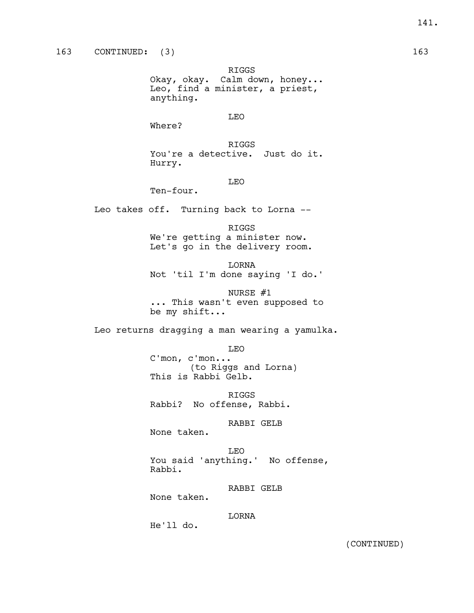RIGGS Okay, okay. Calm down, honey... Leo, find a minister, a priest, anything.

LEO

Where?

RIGGS You're a detective. Just do it. Hurry.

# LEO

Ten-four.

Leo takes off. Turning back to Lorna --

RIGGS We're getting a minister now. Let's go in the delivery room.

LORNA Not 'til I'm done saying 'I do.'

NURSE #1 ... This wasn't even supposed to be my shift...

Leo returns dragging a man wearing a yamulka.

LEO C'mon, c'mon... (to Riggs and Lorna) This is Rabbi Gelb.

RIGGS Rabbi? No offense, Rabbi.

RABBI GELB

None taken.

LEO You said 'anything.' No offense, Rabbi.

RABBI GELB

None taken.

LORNA

He'll do.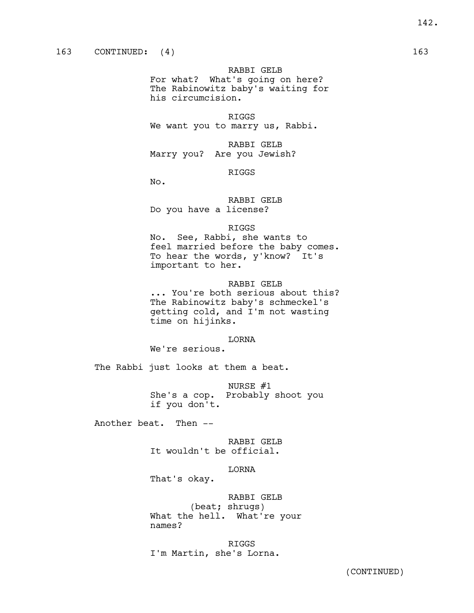RABBI GELB

For what? What's going on here? The Rabinowitz baby's waiting for his circumcision.

RIGGS We want you to marry us, Rabbi.

RABBI GELB Marry you? Are you Jewish?

#### RIGGS

No.

RABBI GELB Do you have a license?

#### RIGGS

No. See, Rabbi, she wants to feel married before the baby comes. To hear the words, y'know? It's important to her.

# RABBI GELB

... You're both serious about this? The Rabinowitz baby's schmeckel's getting cold, and I'm not wasting time on hijinks.

# LORNA

We're serious.

The Rabbi just looks at them a beat.

NURSE #1 She's a cop. Probably shoot you if you don't.

Another beat. Then --

# RABBI GELB It wouldn't be official.

#### LORNA

That's okay.

RABBI GELB (beat; shrugs) What the hell. What're your names?

RIGGS I'm Martin, she's Lorna.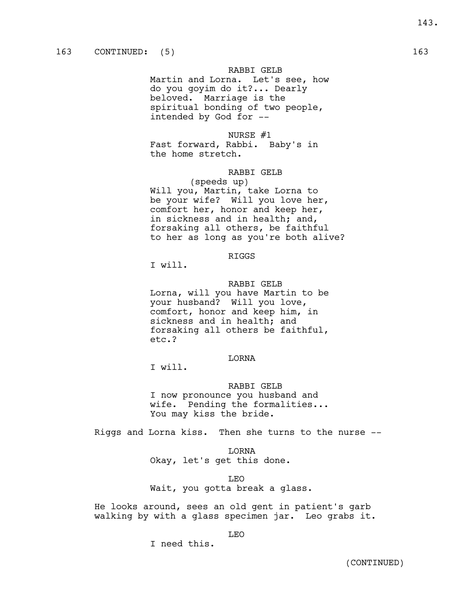RABBI GELB

Martin and Lorna. Let's see, how do you goyim do it?... Dearly beloved. Marriage is the spiritual bonding of two people, intended by God for --

### NURSE #1

Fast forward, Rabbi. Baby's in the home stretch.

# RABBI GELB

(speeds up) Will you, Martin, take Lorna to be your wife? Will you love her, comfort her, honor and keep her, in sickness and in health; and, forsaking all others, be faithful to her as long as you're both alive?

# RIGGS

I will.

RABBI GELB Lorna, will you have Martin to be your husband? Will you love, comfort, honor and keep him, in sickness and in health; and forsaking all others be faithful, etc.?

# LORNA

I will.

RABBI GELB I now pronounce you husband and wife. Pending the formalities... You may kiss the bride.

Riggs and Lorna kiss. Then she turns to the nurse --

LORNA

Okay, let's get this done.

LEO

Wait, you gotta break a glass.

He looks around, sees an old gent in patient's garb walking by with a glass specimen jar. Leo grabs it.

LEO

I need this.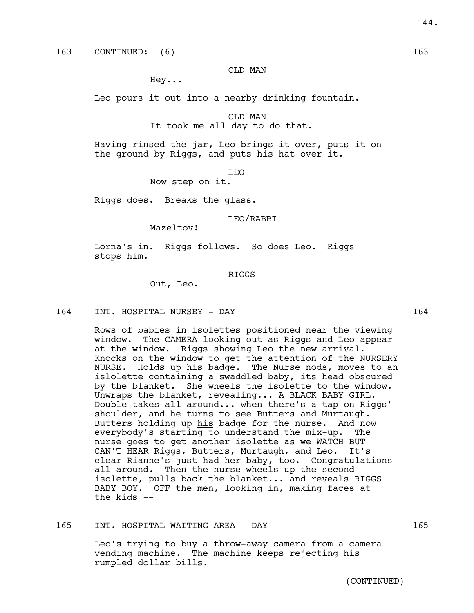### OLD MAN

Hey...

Leo pours it out into a nearby drinking fountain.

OLD MAN It took me all day to do that.

Having rinsed the jar, Leo brings it over, puts it on the ground by Riggs, and puts his hat over it.

LEO

Now step on it.

Riggs does. Breaks the glass.

#### LEO/RABBI

Mazeltov!

Lorna's in. Riggs follows. So does Leo. Riggs stops him.

#### RIGGS

Out, Leo.

164 INT. HOSPITAL NURSEY - DAY 164

Rows of babies in isolettes positioned near the viewing window. The CAMERA looking out as Riggs and Leo appear at the window. Riggs showing Leo the new arrival. Knocks on the window to get the attention of the NURSERY NURSE. Holds up his badge. The Nurse nods, moves to an islolette containing a swaddled baby, its head obscured by the blanket. She wheels the isolette to the window. Unwraps the blanket, revealing... A BLACK BABY GIRL. Double-takes all around... when there's a tap on Riggs' shoulder, and he turns to see Butters and Murtaugh. Butters holding up his badge for the nurse. And now everybody's starting to understand the mix-up. The nurse goes to get another isolette as we WATCH BUT CAN'T HEAR Riggs, Butters, Murtaugh, and Leo. It's clear Rianne's just had her baby, too. Congratulations all around. Then the nurse wheels up the second isolette, pulls back the blanket... and reveals RIGGS BABY BOY. OFF the men, looking in, making faces at the kids --

### 165 INT. HOSPITAL WAITING AREA - DAY 165

Leo's trying to buy a throw-away camera from a camera vending machine. The machine keeps rejecting his rumpled dollar bills.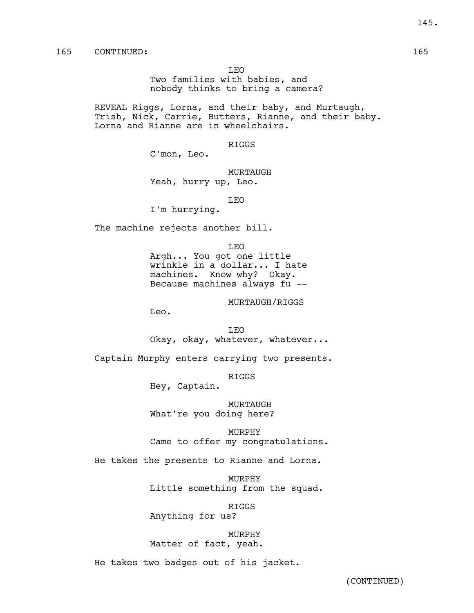145.

### 165 CONTINUED: 165

LEO

Two families with babies, and nobody thinks to bring a camera?

REVEAL Riggs, Lorna, and their baby, and Murtaugh, Trish, Nick, Carrie, Butters, Rianne, and their baby. Lorna and Rianne are in wheelchairs.

RIGGS

C'mon, Leo.

MURTAUGH Yeah, hurry up, Leo.

LEO

I'm hurrying.

The machine rejects another bill.

LEO

Argh... You got one little wrinkle in a dollar... I hate machines. Know why? Okay. Because machines always fu --

MURTAUGH/RIGGS

Leo.

LEO Okay, okay, whatever, whatever...

Captain Murphy enters carrying two presents.

RIGGS

Hey, Captain.

MURTAUGH What're you doing here?

MURPHY Came to offer my congratulations.

He takes the presents to Rianne and Lorna.

MURPHY Little something from the squad.

RIGGS

Anything for us?

MURPHY Matter of fact, yeah.

He takes two badges out of his jacket.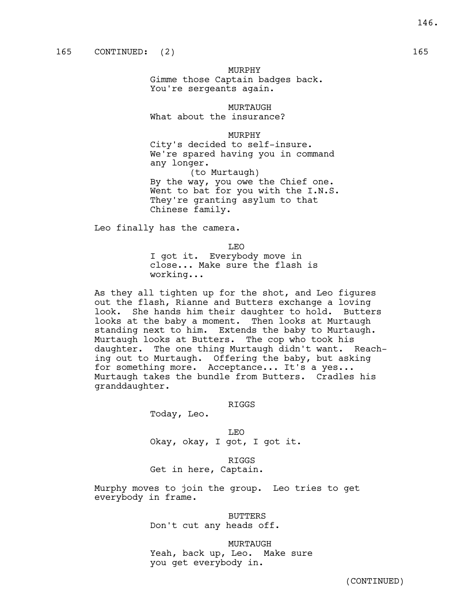MURPHY Gimme those Captain badges back. You're sergeants again.

MURTAUGH

What about the insurance?

MURPHY

City's decided to self-insure. We're spared having you in command any longer.

(to Murtaugh) By the way, you owe the Chief one. Went to bat for you with the I.N.S. They're granting asylum to that Chinese family.

Leo finally has the camera.

LEO I got it. Everybody move in close... Make sure the flash is working...

As they all tighten up for the shot, and Leo figures out the flash, Rianne and Butters exchange a loving look. She hands him their daughter to hold. Butters looks at the baby a moment. Then looks at Murtaugh standing next to him. Extends the baby to Murtaugh. Murtaugh looks at Butters. The cop who took his daughter. The one thing Murtaugh didn't want. Reaching out to Murtaugh. Offering the baby, but asking for something more. Acceptance... It's a yes... Murtaugh takes the bundle from Butters. Cradles his granddaughter.

RIGGS

Today, Leo.

LEO Okay, okay, I got, I got it.

RIGGS Get in here, Captain.

Murphy moves to join the group. Leo tries to get everybody in frame.

> BUTTERS Don't cut any heads off.

MURTAUGH Yeah, back up, Leo. Make sure you get everybody in.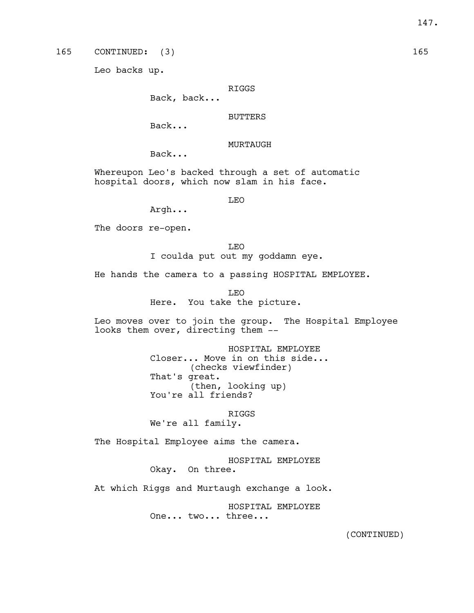Leo backs up.

### RIGGS

Back, back...

### BUTTERS

Back...

## MURTAUGH

Back...

Whereupon Leo's backed through a set of automatic hospital doors, which now slam in his face.

LEO

Argh...

The doors re-open.

LEO I coulda put out my goddamn eye.

He hands the camera to a passing HOSPITAL EMPLOYEE.

LEO

Here. You take the picture.

Leo moves over to join the group. The Hospital Employee looks them over, directing them --

> HOSPITAL EMPLOYEE Closer... Move in on this side... (checks viewfinder) That's great. (then, looking up) You're all friends?

RIGGS We're all family.

The Hospital Employee aims the camera.

HOSPITAL EMPLOYEE Okay. On three.

At which Riggs and Murtaugh exchange a look.

HOSPITAL EMPLOYEE One... two... three...

(CONTINUED)